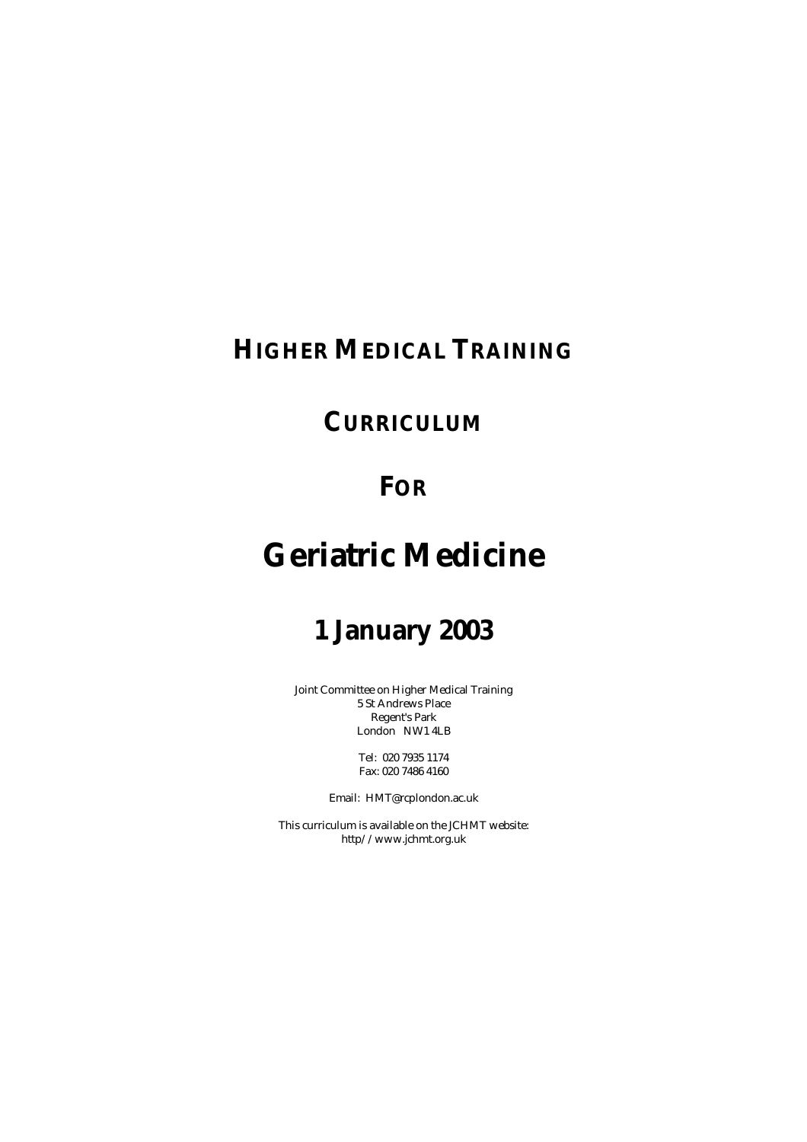## **HIGHER MEDICAL TRAINING**

## **CURRICULUM**

## **FOR**

# **Geriatric Medicine**

# **1 January 2003**

Joint Committee on Higher Medical Training 5 St Andrews Place Regent's Park London NW1 4LB

> Tel: 020 7935 1174 Fax: 020 7486 4160

Email: HMT@rcplondon.ac.uk

This curriculum is available on the JCHMT website: http//www.jchmt.org.uk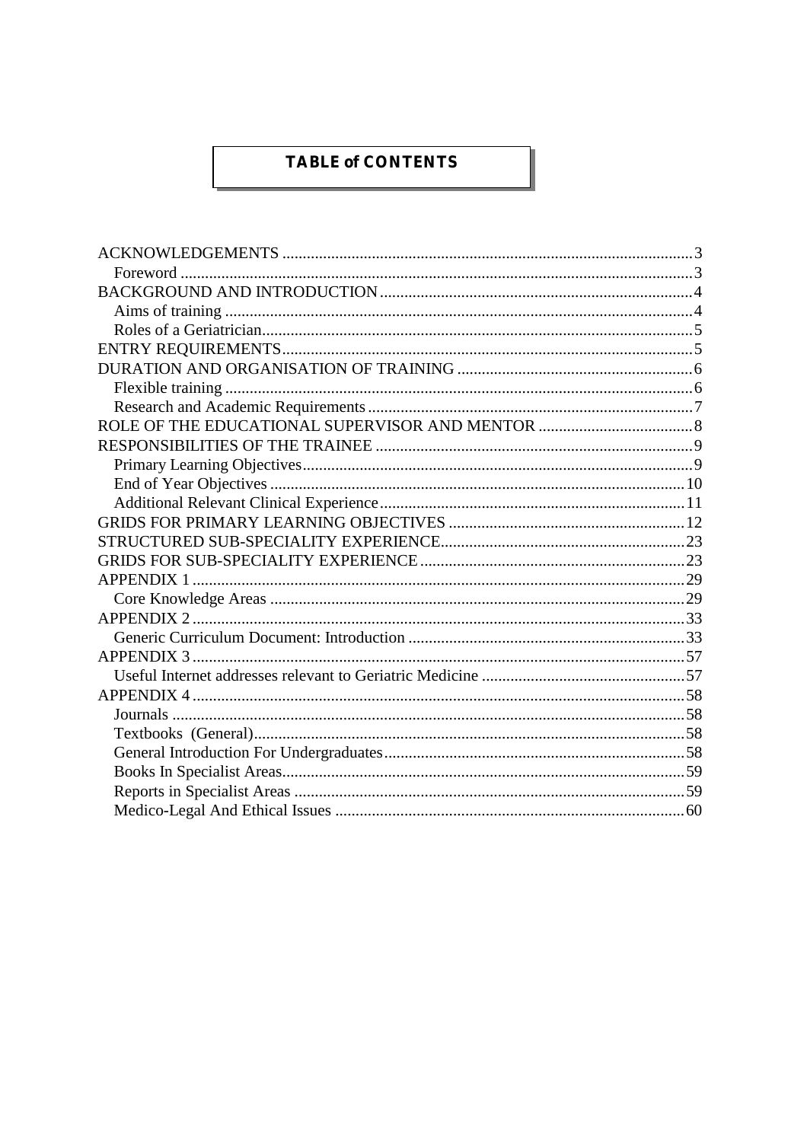## **TABLE of CONTENTS**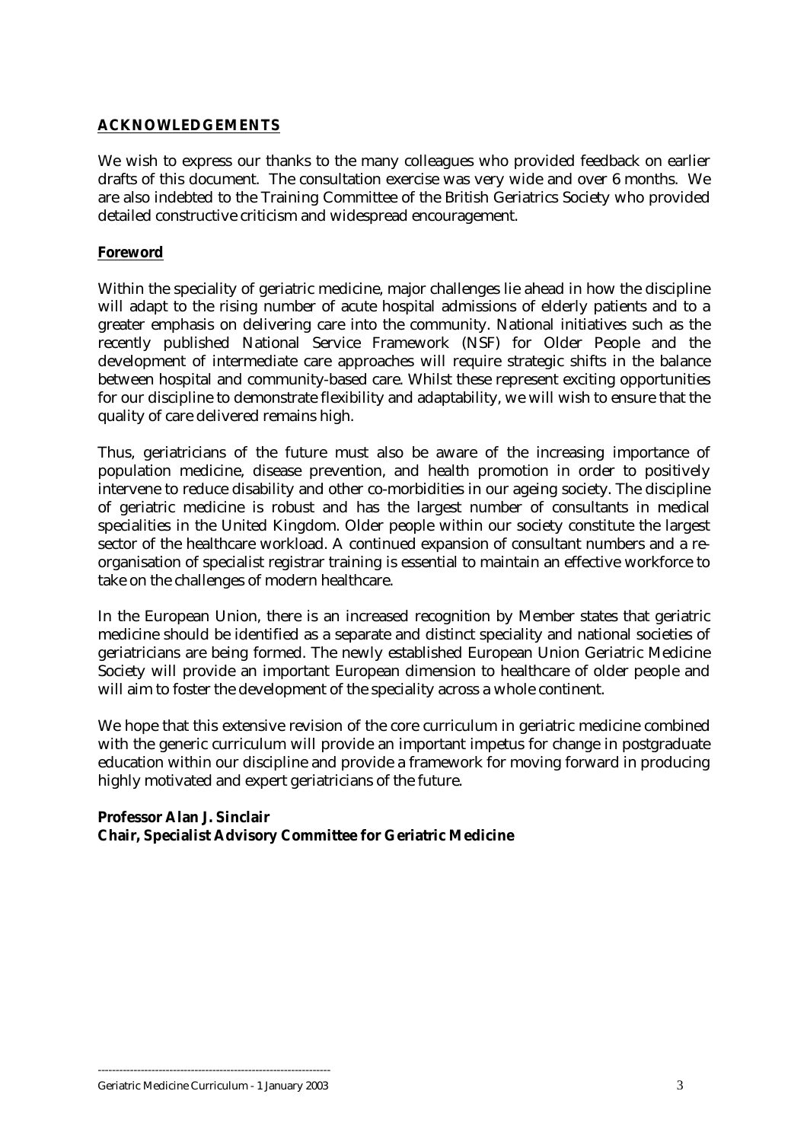## <span id="page-2-0"></span>**ACKNOWLEDGEMENTS**

We wish to express our thanks to the many colleagues who provided feedback on earlier drafts of this document. The consultation exercise was very wide and over 6 months. We are also indebted to the Training Committee of the British Geriatrics Society who provided detailed constructive criticism and widespread encouragement.

## **Foreword**

Within the speciality of geriatric medicine, major challenges lie ahead in how the discipline will adapt to the rising number of acute hospital admissions of elderly patients and to a greater emphasis on delivering care into the community. National initiatives such as the recently published National Service Framework (NSF) for Older People and the development of intermediate care approaches will require strategic shifts in the balance between hospital and community-based care. Whilst these represent exciting opportunities for our discipline to demonstrate flexibility and adaptability, we will wish to ensure that the quality of care delivered remains high.

Thus, geriatricians of the future must also be aware of the increasing importance of population medicine, disease prevention, and health promotion in order to positively intervene to reduce disability and other co-morbidities in our ageing society. The discipline of geriatric medicine is robust and has the largest number of consultants in medical specialities in the United Kingdom. Older people within our society constitute the largest sector of the healthcare workload. A continued expansion of consultant numbers and a reorganisation of specialist registrar training is essential to maintain an effective workforce to take on the challenges of modern healthcare.

In the European Union, there is an increased recognition by Member states that geriatric medicine should be identified as a separate and distinct speciality and national societies of geriatricians are being formed. The newly established European Union Geriatric Medicine Society will provide an important European dimension to healthcare of older people and will aim to foster the development of the speciality across a whole continent.

We hope that this extensive revision of the core curriculum in geriatric medicine combined with the generic curriculum will provide an important impetus for change in postgraduate education within our discipline and provide a framework for moving forward in producing highly motivated and expert geriatricians of the future.

## **Professor Alan J. Sinclair Chair, Specialist Advisory Committee for Geriatric Medicine**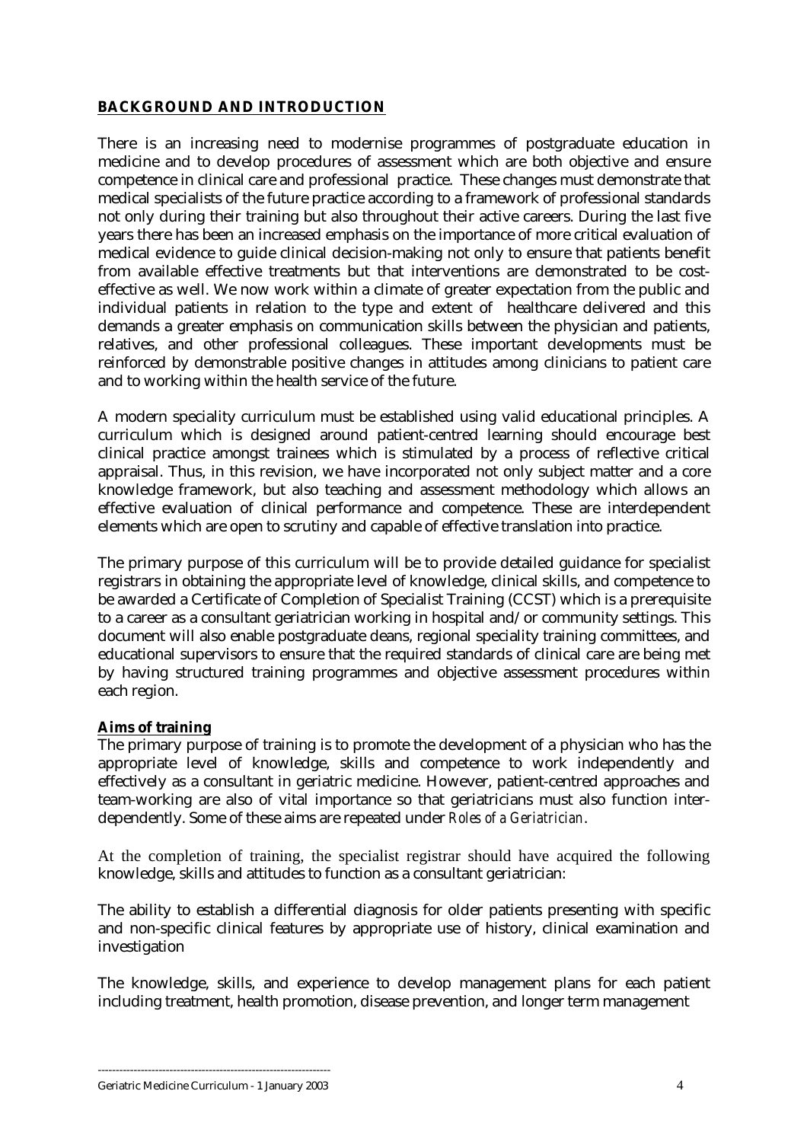## <span id="page-3-0"></span>**BACKGROUND AND INTRODUCTION**

There is an increasing need to modernise programmes of postgraduate education in medicine and to develop procedures of assessment which are both objective and ensure competence in clinical care and professional practice. These changes must demonstrate that medical specialists of the future practice according to a framework of professional standards not only during their training but also throughout their active careers. During the last five years there has been an increased emphasis on the importance of more critical evaluation of medical evidence to guide clinical decision-making not only to ensure that patients benefit from available effective treatments but that interventions are demonstrated to be costeffective as well. We now work within a climate of greater expectation from the public and individual patients in relation to the type and extent of healthcare delivered and this demands a greater emphasis on communication skills between the physician and patients, relatives, and other professional colleagues. These important developments must be reinforced by demonstrable positive changes in attitudes among clinicians to patient care and to working within the health service of the future.

A modern speciality curriculum must be established using valid educational principles. A curriculum which is designed around patient-centred learning should encourage best clinical practice amongst trainees which is stimulated by a process of reflective critical appraisal. Thus, in this revision, we have incorporated not only subject matter and a core knowledge framework, but also teaching and assessment methodology which allows an effective evaluation of clinical performance and competence. These are interdependent elements which are open to scrutiny and capable of effective translation into practice.

The primary purpose of this curriculum will be to provide detailed guidance for specialist registrars in obtaining the appropriate level of knowledge, clinical skills, and competence to be awarded a Certificate of Completion of Specialist Training (CCST) which is a prerequisite to a career as a consultant geriatrician working in hospital and/or community settings. This document will also enable postgraduate deans, regional speciality training committees, and educational supervisors to ensure that the required standards of clinical care are being met by having structured training programmes and objective assessment procedures within each region.

## **Aims of training**

The primary purpose of training is to promote the development of a physician who has the appropriate level of knowledge, skills and competence to work independently and effectively as a consultant in geriatric medicine. However, patient-centred approaches and team-working are also of vital importance so that geriatricians must also function interdependently. Some of these aims are repeated under *Roles of a Geriatrician*.

At the completion of training, the specialist registrar should have acquired the following knowledge, skills and attitudes to function as a consultant geriatrician:

The ability to establish a differential diagnosis for older patients presenting with specific and non-specific clinical features by appropriate use of history, clinical examination and investigation

The knowledge, skills, and experience to develop management plans for each patient including treatment, health promotion, disease prevention, and longer term management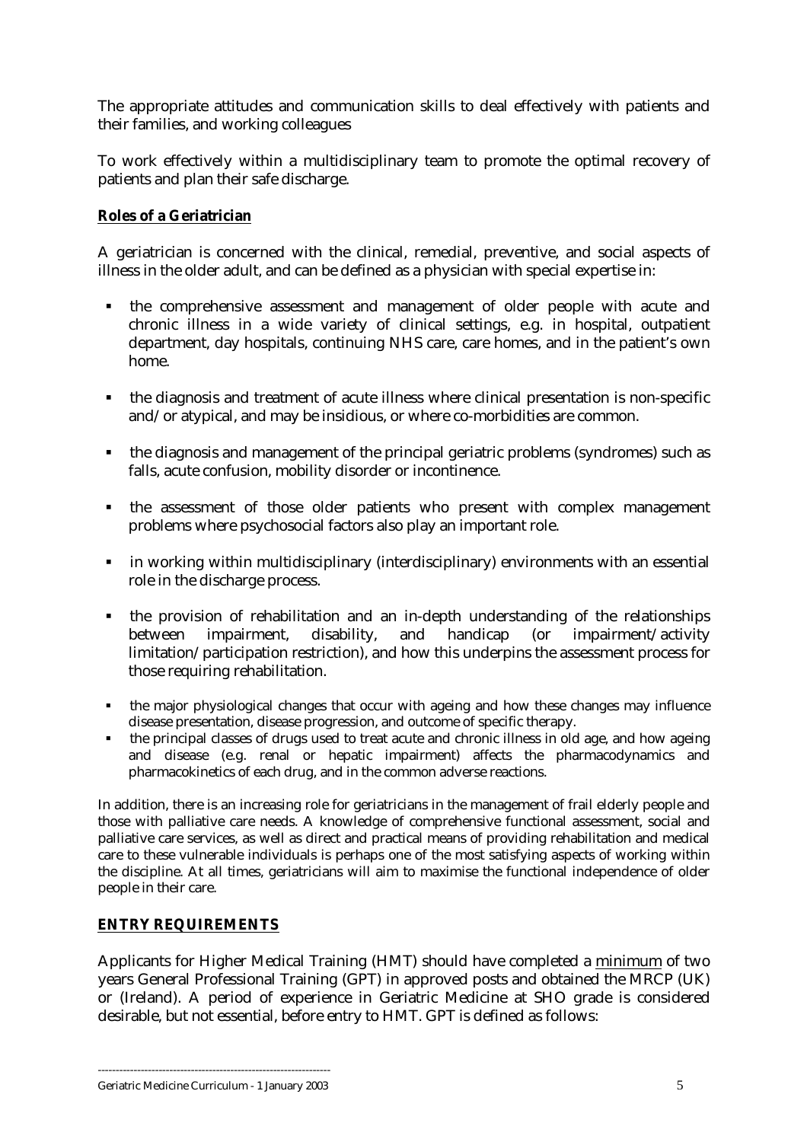<span id="page-4-0"></span>The appropriate attitudes and communication skills to deal effectively with patients and their families, and working colleagues

To work effectively within a multidisciplinary team to promote the optimal recovery of patients and plan their safe discharge.

## **Roles of a Geriatrician**

A geriatrician is concerned with the clinical, remedial, preventive, and social aspects of illness in the older adult, and can be defined as a physician with special expertise in:

- ! the comprehensive assessment and management of older people with acute and chronic illness in a wide variety of clinical settings, e.g. in hospital, outpatient department, day hospitals, continuing NHS care, care homes, and in the patient's own home.
- ! the diagnosis and treatment of acute illness where clinical presentation is non-specific and/or atypical, and may be insidious, or where co-morbidities are common.
- ! the diagnosis and management of the principal geriatric problems (syndromes) such as falls, acute confusion, mobility disorder or incontinence.
- ! the assessment of those older patients who present with complex management problems where psychosocial factors also play an important role.
- ! in working within multidisciplinary (interdisciplinary) environments with an essential role in the discharge process.
- ! the provision of rehabilitation and an in-depth understanding of the relationships between impairment, disability, and handicap (or impairment/activity limitation/participation restriction), and how this underpins the assessment process for those requiring rehabilitation.
- ! the major physiological changes that occur with ageing and how these changes may influence disease presentation, disease progression, and outcome of specific therapy.
- the principal classes of drugs used to treat acute and chronic illness in old age, and how ageing and disease (e.g. renal or hepatic impairment) affects the pharmacodynamics and pharmacokinetics of each drug, and in the common adverse reactions.

In addition, there is an increasing role for geriatricians in the management of frail elderly people and those with palliative care needs. A knowledge of comprehensive functional assessment, social and palliative care services, as well as direct and practical means of providing rehabilitation and medical care to these vulnerable individuals is perhaps one of the most satisfying aspects of working within the discipline. At all times, geriatricians will aim to maximise the functional independence of older people in their care.

## **ENTRY REQUIREMENTS**

Applicants for Higher Medical Training (HMT) should have completed a minimum of two years General Professional Training (GPT) in approved posts and obtained the MRCP (UK) or (Ireland). A period of experience in Geriatric Medicine at SHO grade is considered desirable, but not essential, before entry to HMT. GPT is defined as follows: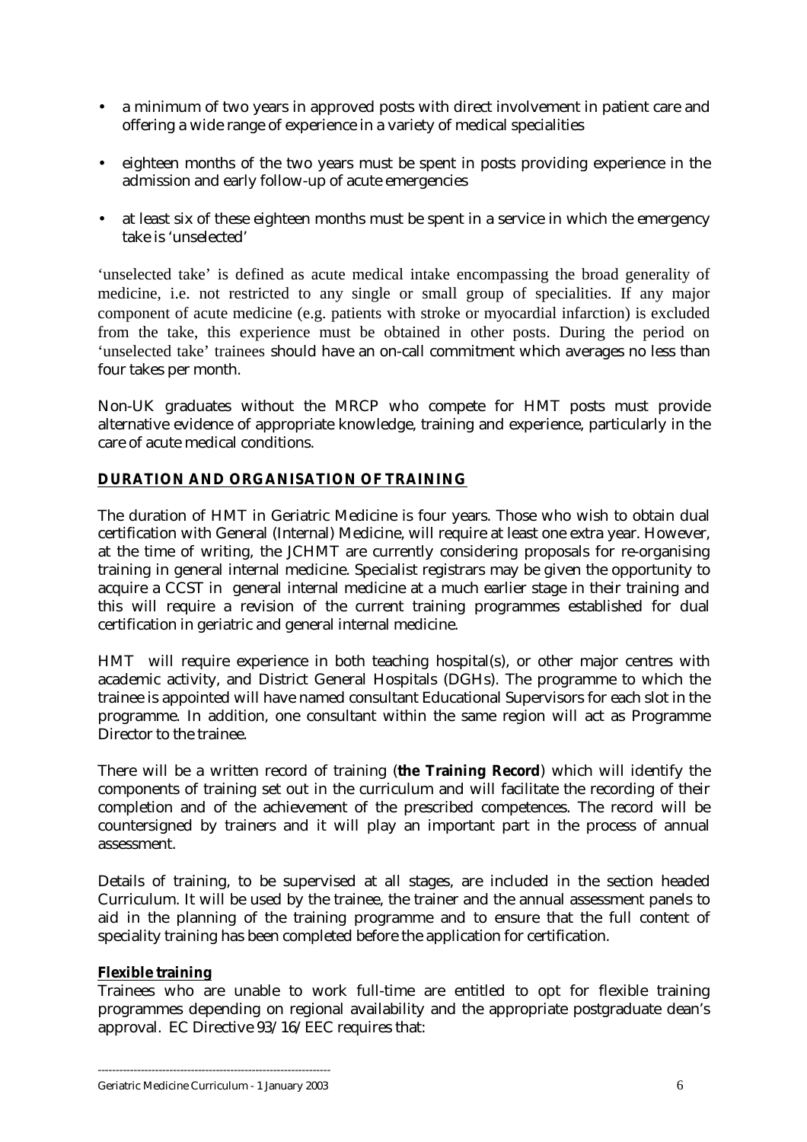- <span id="page-5-0"></span>• a minimum of two years in approved posts with direct involvement in patient care and offering a wide range of experience in a variety of medical specialities
- eighteen months of the two years must be spent in posts providing experience in the admission and early follow-up of acute emergencies
- at least six of these eighteen months must be spent in a service in which the emergency take is 'unselected'

'unselected take' is defined as acute medical intake encompassing the broad generality of medicine, i.e. not restricted to any single or small group of specialities. If any major component of acute medicine (e.g. patients with stroke or myocardial infarction) is excluded from the take, this experience must be obtained in other posts. During the period on 'unselected take' trainees should have an on-call commitment which averages no less than four takes per month.

Non-UK graduates without the MRCP who compete for HMT posts must provide alternative evidence of appropriate knowledge, training and experience, particularly in the care of acute medical conditions.

## **DURATION AND ORGANISATION OF TRAINING**

The duration of HMT in Geriatric Medicine is four years. Those who wish to obtain dual certification with General (Internal) Medicine, will require at least one extra year. However, at the time of writing, the JCHMT are currently considering proposals for re-organising training in general internal medicine. Specialist registrars may be given the opportunity to acquire a CCST in general internal medicine at a much earlier stage in their training and this will require a revision of the current training programmes established for dual certification in geriatric and general internal medicine.

HMT will require experience in both teaching hospital(s), or other major centres with academic activity, and District General Hospitals (DGHs). The programme to which the trainee is appointed will have named consultant Educational Supervisors for each slot in the programme. In addition, one consultant within the same region will act as Programme Director to the trainee.

There will be a written record of training (**the Training Record**) which will identify the components of training set out in the curriculum and will facilitate the recording of their completion and of the achievement of the prescribed competences. The record will be countersigned by trainers and it will play an important part in the process of annual assessment.

Details of training, to be supervised at all stages, are included in the section headed Curriculum. It will be used by the trainee, the trainer and the annual assessment panels to aid in the planning of the training programme and to ensure that the full content of speciality training has been completed before the application for certification.

## **Flexible training**

Trainees who are unable to work full-time are entitled to opt for flexible training programmes depending on regional availability and the appropriate postgraduate dean's approval. EC Directive 93/16/EEC requires that: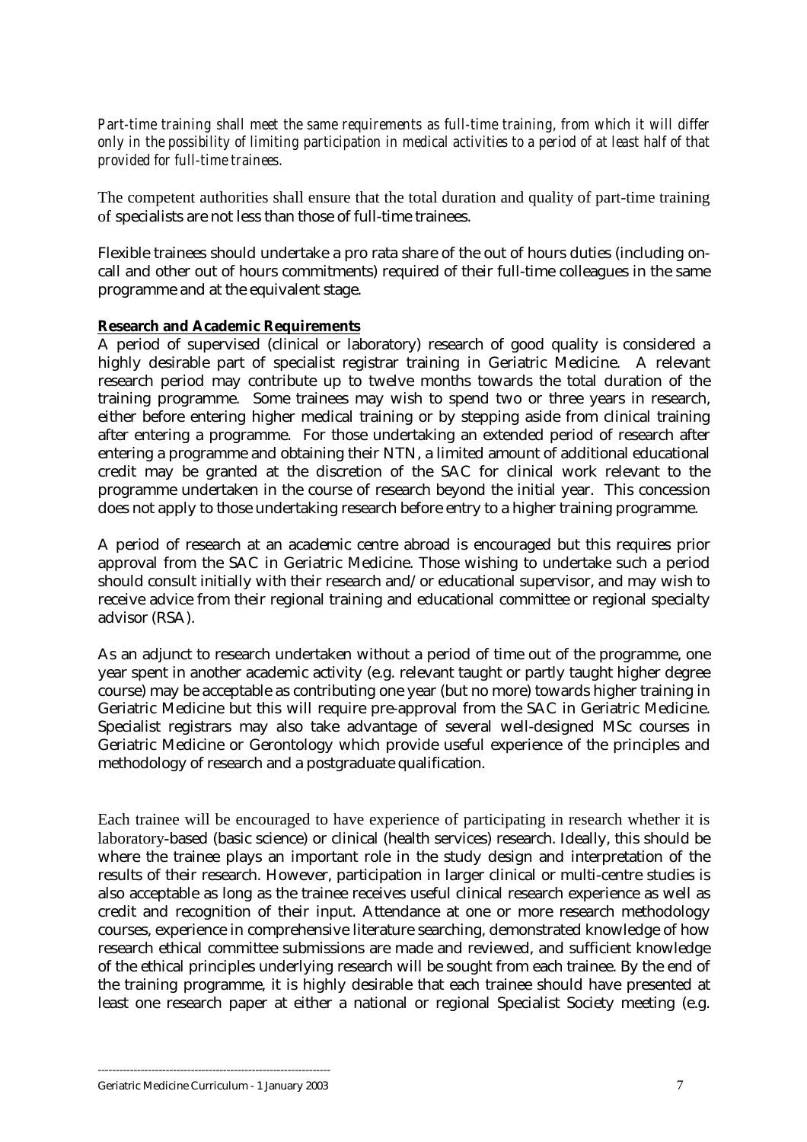<span id="page-6-0"></span>*Part-time training shall meet the same requirements as full-time training, from which it will differ only in the possibility of limiting participation in medical activities to a period of at least half of that provided for full-time trainees.* 

The competent authorities shall ensure that the total duration and quality of part-time training of specialists are not less than those of full-time trainees.

Flexible trainees should undertake a pro rata share of the out of hours duties (including oncall and other out of hours commitments) required of their full-time colleagues in the same programme and at the equivalent stage.

## **Research and Academic Requirements**

A period of supervised (clinical or laboratory) research of good quality is considered a highly desirable part of specialist registrar training in Geriatric Medicine. A relevant research period may contribute up to twelve months towards the total duration of the training programme. Some trainees may wish to spend two or three years in research, either before entering higher medical training or by stepping aside from clinical training after entering a programme. For those undertaking an extended period of research after entering a programme and obtaining their NTN, a limited amount of additional educational credit may be granted at the discretion of the SAC for clinical work relevant to the programme undertaken in the course of research beyond the initial year. This concession does not apply to those undertaking research before entry to a higher training programme.

A period of research at an academic centre abroad is encouraged but this requires prior approval from the SAC in Geriatric Medicine. Those wishing to undertake such a period should consult initially with their research and/or educational supervisor, and may wish to receive advice from their regional training and educational committee or regional specialty advisor (RSA).

As an adjunct to research undertaken without a period of time out of the programme, one year spent in another academic activity (e.g. relevant taught or partly taught higher degree course) may be acceptable as contributing one year (but no more) towards higher training in Geriatric Medicine but this will require pre-approval from the SAC in Geriatric Medicine. Specialist registrars may also take advantage of several well-designed MSc courses in Geriatric Medicine or Gerontology which provide useful experience of the principles and methodology of research and a postgraduate qualification.

Each trainee will be encouraged to have experience of participating in research whether it is laboratory-based (basic science) or clinical (health services) research. Ideally, this should be where the trainee plays an important role in the study design and interpretation of the results of their research. However, participation in larger clinical or multi-centre studies is also acceptable as long as the trainee receives useful clinical research experience as well as credit and recognition of their input. Attendance at one or more research methodology courses, experience in comprehensive literature searching, demonstrated knowledge of how research ethical committee submissions are made and reviewed, and sufficient knowledge of the ethical principles underlying research will be sought from each trainee. By the end of the training programme, it is highly desirable that each trainee should have presented at least one research paper at either a national or regional Specialist Society meeting (e.g.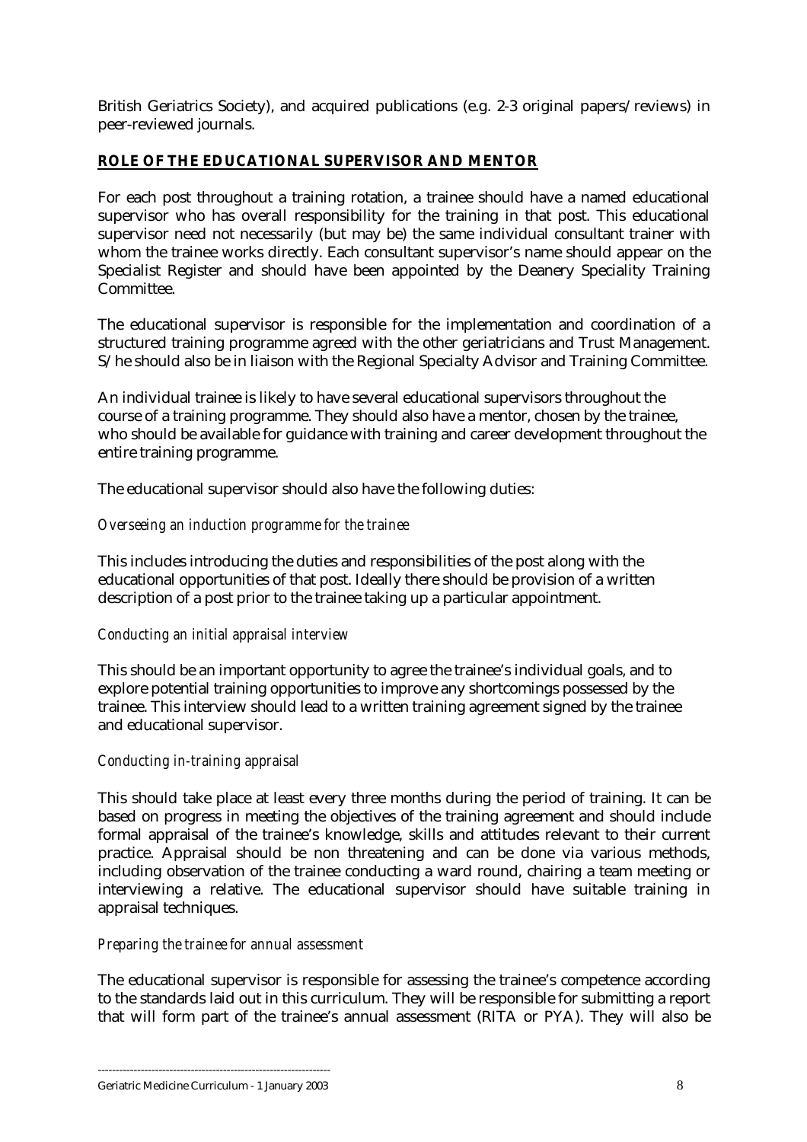<span id="page-7-0"></span>British Geriatrics Society), and acquired publications (e.g. 2-3 original papers/reviews) in peer-reviewed journals.

## **ROLE OF THE EDUCATIONAL SUPERVISOR AND MENTOR**

For each post throughout a training rotation, a trainee should have a named educational supervisor who has overall responsibility for the training in that post. This educational supervisor need not necessarily (but may be) the same individual consultant trainer with whom the trainee works directly. Each consultant supervisor's name should appear on the Specialist Register and should have been appointed by the Deanery Speciality Training Committee.

The educational supervisor is responsible for the implementation and coordination of a structured training programme agreed with the other geriatricians and Trust Management. S/he should also be in liaison with the Regional Specialty Advisor and Training Committee.

An individual trainee is likely to have several educational supervisors throughout the course of a training programme. They should also have a mentor, chosen by the trainee, who should be available for guidance with training and career development throughout the entire training programme.

The educational supervisor should also have the following duties:

## *Overseeing an induction programme for the trainee*

This includes introducing the duties and responsibilities of the post along with the educational opportunities of that post. Ideally there should be provision of a written description of a post prior to the trainee taking up a particular appointment.

## *Conducting an initial appraisal interview*

This should be an important opportunity to agree the trainee's individual goals, and to explore potential training opportunities to improve any shortcomings possessed by the trainee. This interview should lead to a written training agreement signed by the trainee and educational supervisor.

## *Conducting in-training appraisal*

This should take place at least every three months during the period of training. It can be based on progress in meeting the objectives of the training agreement and should include formal appraisal of the trainee's knowledge, skills and attitudes relevant to their current practice. Appraisal should be non threatening and can be done via various methods, including observation of the trainee conducting a ward round, chairing a team meeting or interviewing a relative. The educational supervisor should have suitable training in appraisal techniques.

## *Preparing the trainee for annual assessment*

The educational supervisor is responsible for assessing the trainee's competence according to the standards laid out in this curriculum. They will be responsible for submitting a report that will form part of the trainee's annual assessment (RITA or PYA). They will also be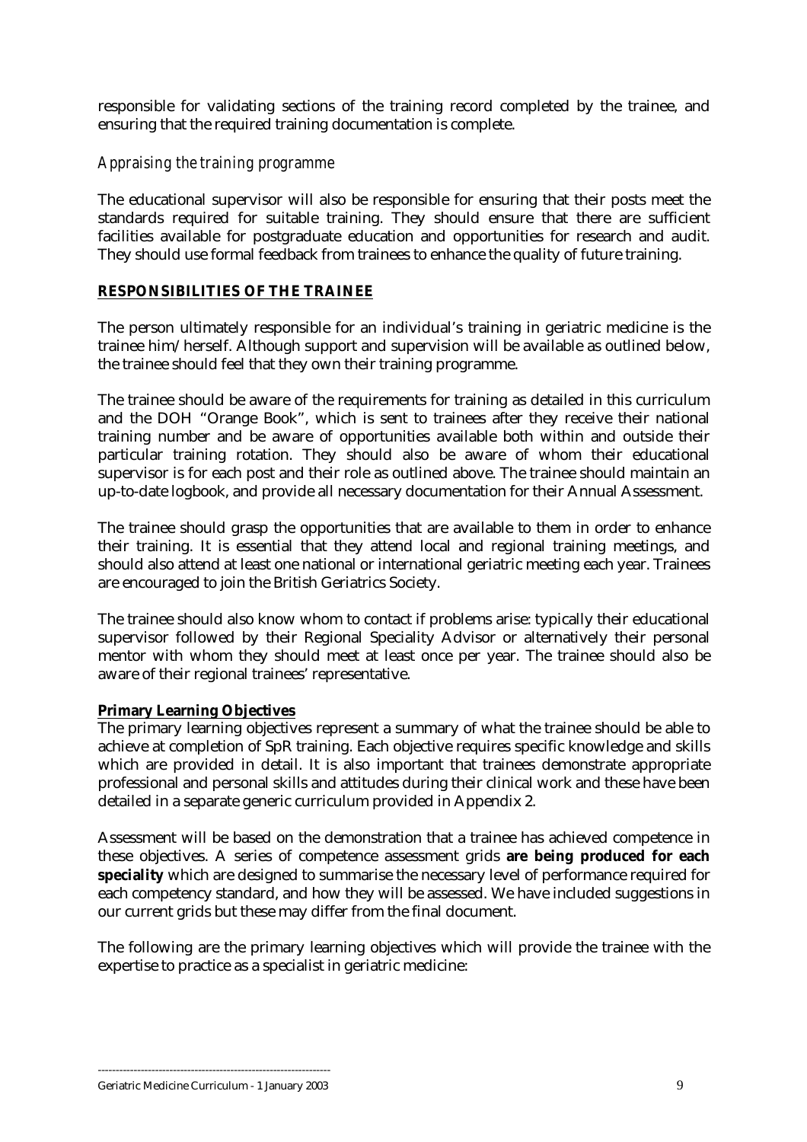<span id="page-8-0"></span>responsible for validating sections of the training record completed by the trainee, and ensuring that the required training documentation is complete.

## *Appraising the training programme*

The educational supervisor will also be responsible for ensuring that their posts meet the standards required for suitable training. They should ensure that there are sufficient facilities available for postgraduate education and opportunities for research and audit. They should use formal feedback from trainees to enhance the quality of future training.

## **RESPONSIBILITIES OF THE TRAINEE**

The person ultimately responsible for an individual's training in geriatric medicine is the trainee him/herself. Although support and supervision will be available as outlined below, the trainee should feel that they own their training programme.

The trainee should be aware of the requirements for training as detailed in this curriculum and the DOH "Orange Book", which is sent to trainees after they receive their national training number and be aware of opportunities available both within and outside their particular training rotation. They should also be aware of whom their educational supervisor is for each post and their role as outlined above. The trainee should maintain an up-to-date logbook, and provide all necessary documentation for their Annual Assessment.

The trainee should grasp the opportunities that are available to them in order to enhance their training. It is essential that they attend local and regional training meetings, and should also attend at least one national or international geriatric meeting each year. Trainees are encouraged to join the British Geriatrics Society.

The trainee should also know whom to contact if problems arise: typically their educational supervisor followed by their Regional Speciality Advisor or alternatively their personal mentor with whom they should meet at least once per year. The trainee should also be aware of their regional trainees' representative.

## **Primary Learning Objectives**

The primary learning objectives represent a summary of what the trainee should be able to achieve at completion of SpR training. Each objective requires specific knowledge and skills which are provided in detail. It is also important that trainees demonstrate appropriate professional and personal skills and attitudes during their clinical work and these have been detailed in a separate generic curriculum provided in Appendix 2.

Assessment will be based on the demonstration that a trainee has achieved competence in these objectives. A series of competence assessment grids **are being produced for each speciality** which are designed to summarise the necessary level of performance required for each competency standard, and how they will be assessed. We have included suggestions in our current grids but these may differ from the final document.

The following are the primary learning objectives which will provide the trainee with the expertise to practice as a specialist in geriatric medicine: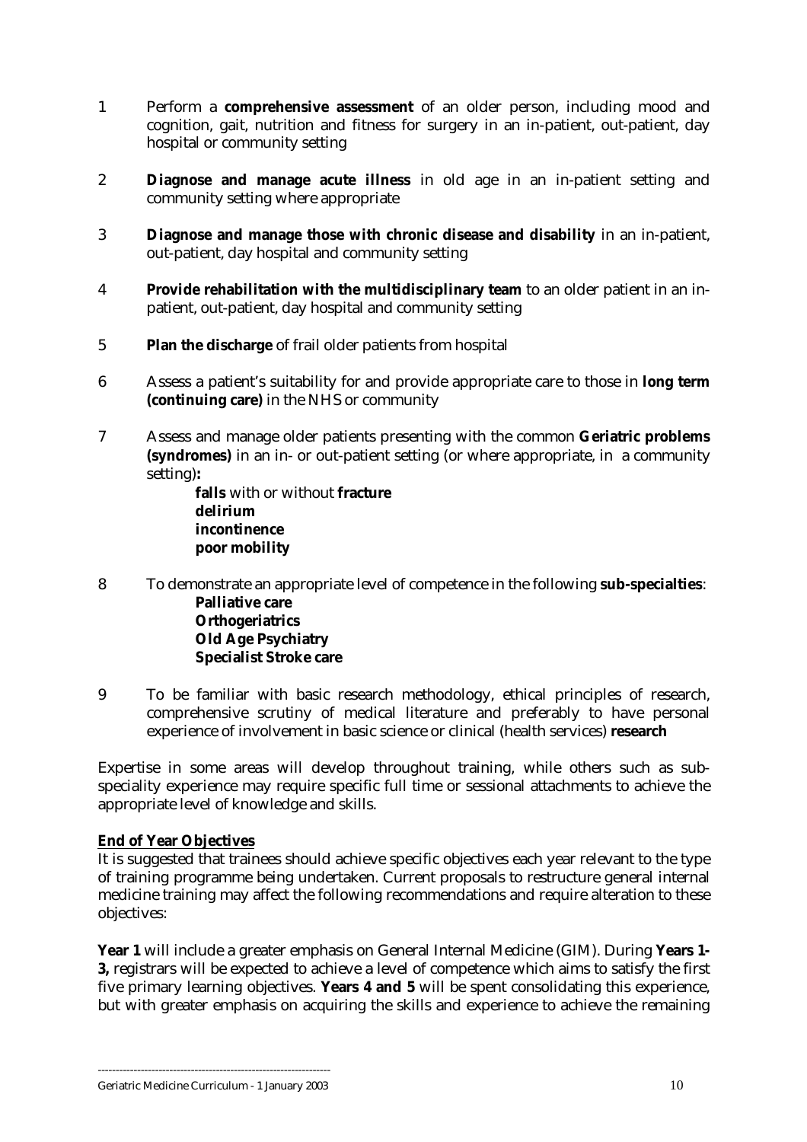- <span id="page-9-0"></span>1 Perform a **comprehensive assessment** of an older person, including mood and cognition, gait, nutrition and fitness for surgery in an in-patient, out-patient, day hospital or community setting
- 2 **Diagnose and manage acute illness** in old age in an in-patient setting and community setting where appropriate
- 3 **Diagnose and manage those with chronic disease and disability** in an in-patient, out-patient, day hospital and community setting
- 4 **Provide rehabilitation with the multidisciplinary team** to an older patient in an inpatient, out-patient, day hospital and community setting
- 5 **Plan the discharge** of frail older patients from hospital
- 6 Assess a patient's suitability for and provide appropriate care to those in **long term (continuing care)** in the NHS or community
- 7 Assess and manage older patients presenting with the common **Geriatric problems (syndromes)** in an in- or out-patient setting (or where appropriate, in a community setting)**:**

**falls** with or without **fracture delirium incontinence poor mobility**

- 8 To demonstrate an appropriate level of competence in the following **sub-specialties**: **Palliative care Orthogeriatrics Old Age Psychiatry Specialist Stroke care**
- 9 To be familiar with basic research methodology, ethical principles of research, comprehensive scrutiny of medical literature and preferably to have personal experience of involvement in basic science or clinical (health services) **research**

Expertise in some areas will develop throughout training, while others such as subspeciality experience may require specific full time or sessional attachments to achieve the appropriate level of knowledge and skills.

## **End of Year Objectives**

It is suggested that trainees should achieve specific objectives each year relevant to the type of training programme being undertaken. Current proposals to restructure general internal medicine training may affect the following recommendations and require alteration to these objectives:

**Year 1** will include a greater emphasis on General Internal Medicine (GIM). During **Years 1- 3,** registrars will be expected to achieve a level of competence which aims to satisfy the first five primary learning objectives. **Years 4 and 5** will be spent consolidating this experience, but with greater emphasis on acquiring the skills and experience to achieve the remaining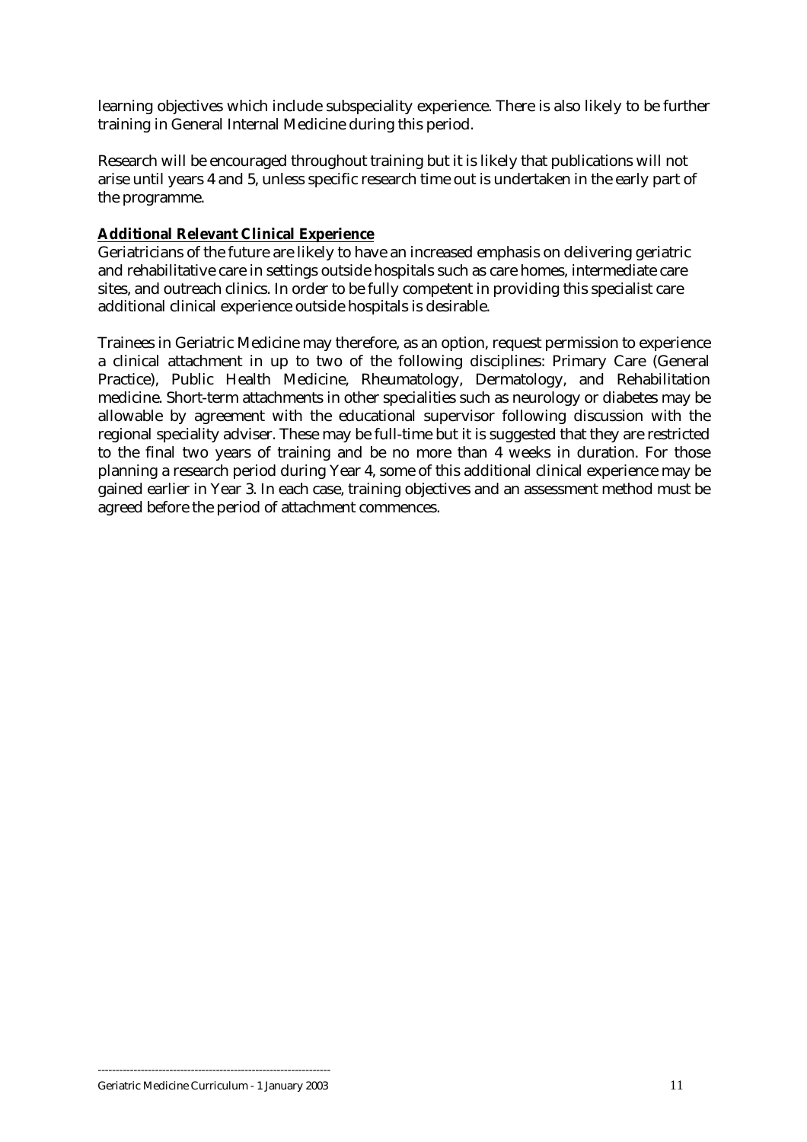<span id="page-10-0"></span>learning objectives which include subspeciality experience. There is also likely to be further training in General Internal Medicine during this period.

Research will be encouraged throughout training but it is likely that publications will not arise until years 4 and 5, unless specific research time out is undertaken in the early part of the programme.

## **Additional Relevant Clinical Experience**

Geriatricians of the future are likely to have an increased emphasis on delivering geriatric and rehabilitative care in settings outside hospitals such as care homes, intermediate care sites, and outreach clinics. In order to be fully competent in providing this specialist care additional clinical experience outside hospitals is desirable.

Trainees in Geriatric Medicine may therefore, as an option, request permission to experience a clinical attachment in up to two of the following disciplines: Primary Care (General Practice), Public Health Medicine, Rheumatology, Dermatology, and Rehabilitation medicine. Short-term attachments in other specialities such as neurology or diabetes may be allowable by agreement with the educational supervisor following discussion with the regional speciality adviser. These may be full-time but it is suggested that they are restricted to the final two years of training and be no more than 4 weeks in duration. For those planning a research period during Year 4, some of this additional clinical experience may be gained earlier in Year 3. In each case, training objectives and an assessment method must be agreed before the period of attachment commences.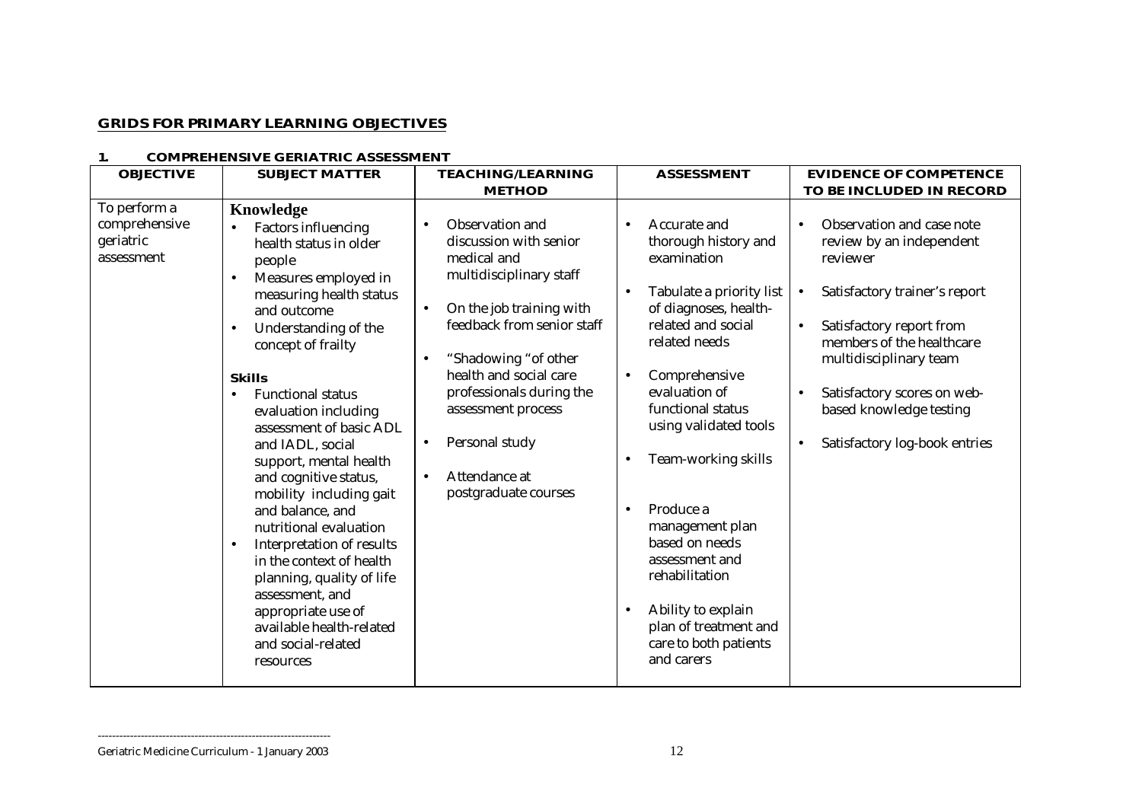## <span id="page-11-0"></span>**GRIDS FOR PRIMARY LEARNING OBJECTIVES**

#### **1. COMPREHENSIVE GERIATRIC ASSESSMENT**

| <b>OBJECTIVE</b>                                         | <b>SUBJECT MATTER</b>                                                                                                                                                                                                                                                                                                                                                                                                                                                                                                                                                                                                                                                                         | <b>TEACHING/LEARNING</b>                                                                                                                                                                                                                                                                                                                            | <b>ASSESSMENT</b>                                                                                                                                                                                                                                                                                                                                                                                                                               | <b>EVIDENCE OF COMPETENCE</b>                                                                                                                                                                                                                                                                                           |
|----------------------------------------------------------|-----------------------------------------------------------------------------------------------------------------------------------------------------------------------------------------------------------------------------------------------------------------------------------------------------------------------------------------------------------------------------------------------------------------------------------------------------------------------------------------------------------------------------------------------------------------------------------------------------------------------------------------------------------------------------------------------|-----------------------------------------------------------------------------------------------------------------------------------------------------------------------------------------------------------------------------------------------------------------------------------------------------------------------------------------------------|-------------------------------------------------------------------------------------------------------------------------------------------------------------------------------------------------------------------------------------------------------------------------------------------------------------------------------------------------------------------------------------------------------------------------------------------------|-------------------------------------------------------------------------------------------------------------------------------------------------------------------------------------------------------------------------------------------------------------------------------------------------------------------------|
|                                                          |                                                                                                                                                                                                                                                                                                                                                                                                                                                                                                                                                                                                                                                                                               | <b>METHOD</b>                                                                                                                                                                                                                                                                                                                                       |                                                                                                                                                                                                                                                                                                                                                                                                                                                 | TO BE INCLUDED IN RECORD                                                                                                                                                                                                                                                                                                |
| To perform a<br>comprehensive<br>geriatric<br>assessment | Knowledge<br><b>Factors influencing</b><br>health status in older<br>people<br>Measures employed in<br>$\bullet$<br>measuring health status<br>and outcome<br>Understanding of the<br>$\bullet$<br>concept of frailty<br><b>Skills</b><br><b>Functional status</b><br>$\bullet$<br>evaluation including<br>assessment of basic ADL<br>and IADL, social<br>support, mental health<br>and cognitive status,<br>mobility including gait<br>and balance, and<br>nutritional evaluation<br>Interpretation of results<br>$\bullet$<br>in the context of health<br>planning, quality of life<br>assessment, and<br>appropriate use of<br>available health-related<br>and social-related<br>resources | Observation and<br>$\bullet$<br>discussion with senior<br>medical and<br>multidisciplinary staff<br>On the job training with<br>$\bullet$<br>feedback from senior staff<br>"Shadowing "of other<br>health and social care<br>professionals during the<br>assessment process<br>Personal study<br>$\bullet$<br>Attendance at<br>postgraduate courses | Accurate and<br>$\bullet$<br>thorough history and<br>examination<br>Tabulate a priority list<br>of diagnoses, health-<br>related and social<br>related needs<br>Comprehensive<br>evaluation of<br>functional status<br>using validated tools<br>Team-working skills<br>Produce a<br>management plan<br>based on needs<br>assessment and<br>rehabilitation<br>Ability to explain<br>plan of treatment and<br>care to both patients<br>and carers | Observation and case note<br>review by an independent<br>reviewer<br>Satisfactory trainer's report<br>$\bullet$<br>Satisfactory report from<br>$\bullet$<br>members of the healthcare<br>multidisciplinary team<br>Satisfactory scores on web-<br>based knowledge testing<br>Satisfactory log-book entries<br>$\bullet$ |

Geriatric Medicine Curriculum - 1 January 2003 12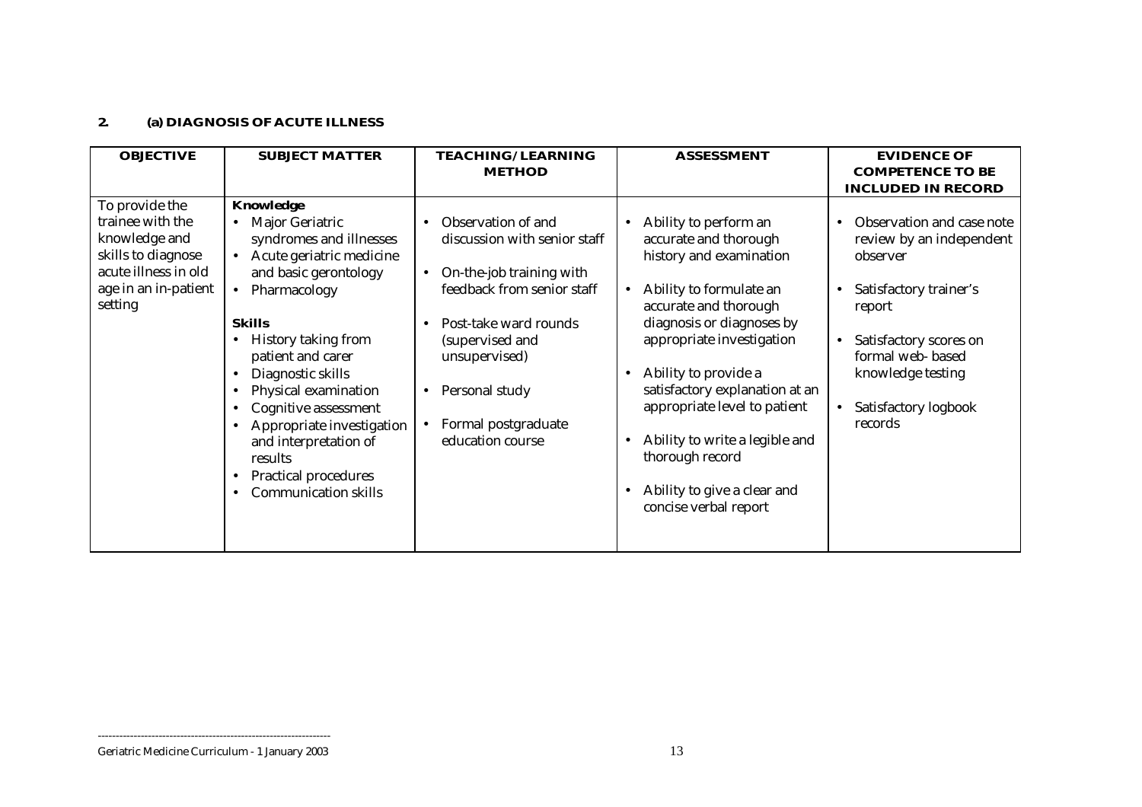## **2. (a) DIAGNOSIS OF ACUTE ILLNESS**

| <b>OBJECTIVE</b>                                                                                                                     | <b>SUBJECT MATTER</b>                                                                                                                                                                                                                                                                                                                                                                                             | <b>TEACHING/ LEARNING</b>                                                                                                                                                                                                                                                                               | <b>ASSESSMENT</b>                                                                                                                                                                                                                                                                                                                                                                              | <b>EVIDENCE OF</b>                                                                                                                                                                                                       |
|--------------------------------------------------------------------------------------------------------------------------------------|-------------------------------------------------------------------------------------------------------------------------------------------------------------------------------------------------------------------------------------------------------------------------------------------------------------------------------------------------------------------------------------------------------------------|---------------------------------------------------------------------------------------------------------------------------------------------------------------------------------------------------------------------------------------------------------------------------------------------------------|------------------------------------------------------------------------------------------------------------------------------------------------------------------------------------------------------------------------------------------------------------------------------------------------------------------------------------------------------------------------------------------------|--------------------------------------------------------------------------------------------------------------------------------------------------------------------------------------------------------------------------|
|                                                                                                                                      |                                                                                                                                                                                                                                                                                                                                                                                                                   | <b>METHOD</b>                                                                                                                                                                                                                                                                                           |                                                                                                                                                                                                                                                                                                                                                                                                | <b>COMPETENCE TO BE</b><br><b>INCLUDED IN RECORD</b>                                                                                                                                                                     |
| To provide the<br>trainee with the<br>knowledge and<br>skills to diagnose<br>acute illness in old<br>age in an in-patient<br>setting | Knowledge<br><b>Major Geriatric</b><br>syndromes and illnesses<br>Acute geriatric medicine<br>and basic gerontology<br>Pharmacology<br><b>Skills</b><br>History taking from<br>patient and carer<br>Diagnostic skills<br>Physical examination<br>Cognitive assessment<br>$\bullet$<br>Appropriate investigation<br>and interpretation of<br>results<br><b>Practical procedures</b><br><b>Communication skills</b> | Observation of and<br>$\bullet$<br>discussion with senior staff<br>On-the-job training with<br>$\bullet$<br>feedback from senior staff<br>Post-take ward rounds<br>$\bullet$<br>(supervised and<br>unsupervised)<br>Personal study<br>$\bullet$<br>Formal postgraduate<br>$\bullet$<br>education course | Ability to perform an<br>accurate and thorough<br>history and examination<br>Ability to formulate an<br>accurate and thorough<br>diagnosis or diagnoses by<br>appropriate investigation<br>Ability to provide a<br>satisfactory explanation at an<br>appropriate level to patient<br>Ability to write a legible and<br>thorough record<br>Ability to give a clear and<br>concise verbal report | Observation and case note<br>review by an independent<br>observer<br>Satisfactory trainer's<br>report<br>Satisfactory scores on<br>$\bullet$<br>formal web-based<br>knowledge testing<br>Satisfactory logbook<br>records |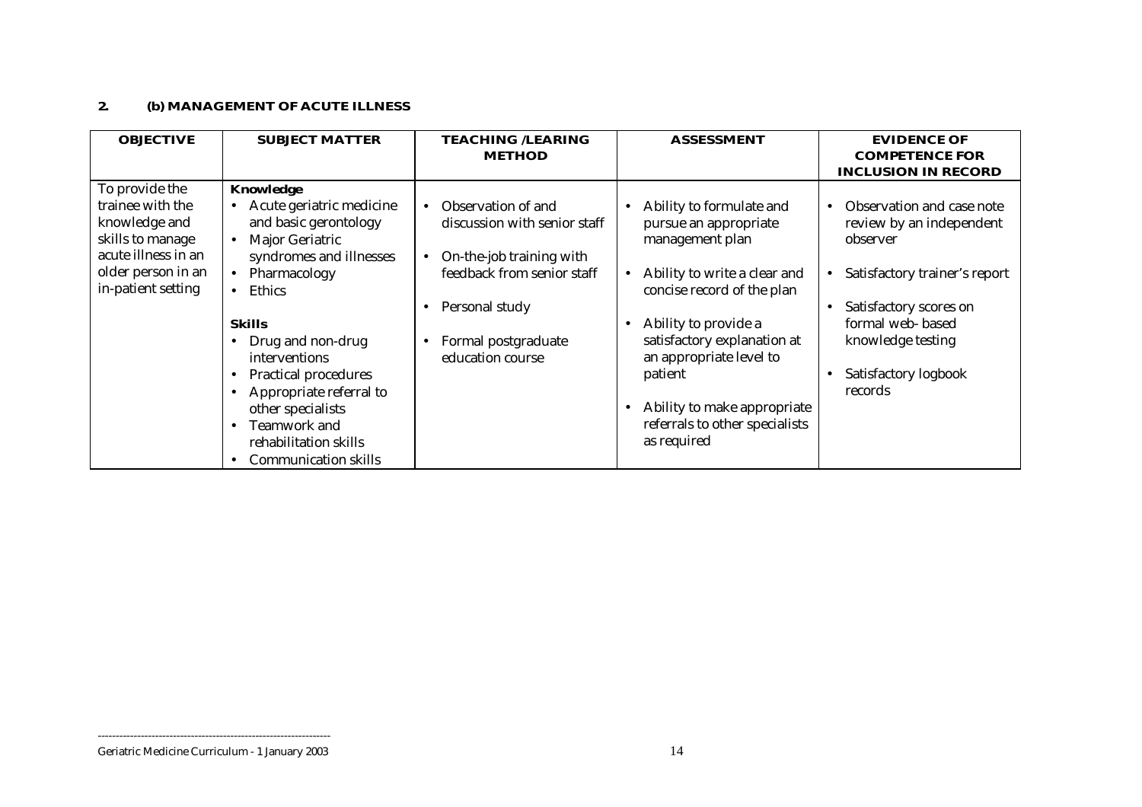## **2. (b) MANAGEMENT OF ACUTE ILLNESS**

| <b>OBJECTIVE</b>                                                                                                                           | <b>SUBJECT MATTER</b>                                                                                                                                                                                                                                                                                                                                             | <b>TEACHING /LEARING</b><br><b>METHOD</b>                                                                                                                                                           | <b>ASSESSMENT</b>                                                                                                                                                                                                                                                                                                                                      | <b>EVIDENCE OF</b><br><b>COMPETENCE FOR</b><br><b>INCLUSION IN RECORD</b>                                                                                                                                             |
|--------------------------------------------------------------------------------------------------------------------------------------------|-------------------------------------------------------------------------------------------------------------------------------------------------------------------------------------------------------------------------------------------------------------------------------------------------------------------------------------------------------------------|-----------------------------------------------------------------------------------------------------------------------------------------------------------------------------------------------------|--------------------------------------------------------------------------------------------------------------------------------------------------------------------------------------------------------------------------------------------------------------------------------------------------------------------------------------------------------|-----------------------------------------------------------------------------------------------------------------------------------------------------------------------------------------------------------------------|
| To provide the<br>trainee with the<br>knowledge and<br>skills to manage<br>acute illness in an<br>older person in an<br>in-patient setting | Knowledge<br>Acute geriatric medicine<br>and basic gerontology<br>Major Geriatric<br>$\bullet$<br>syndromes and illnesses<br>Pharmacology<br>Ethics<br><b>Skills</b><br>Drug and non-drug<br>interventions<br><b>Practical procedures</b><br>Appropriate referral to<br>other specialists<br>Teamwork and<br>rehabilitation skills<br><b>Communication skills</b> | Observation of and<br>$\bullet$<br>discussion with senior staff<br>On-the-job training with<br>$\bullet$<br>feedback from senior staff<br>Personal study<br>Formal postgraduate<br>education course | Ability to formulate and<br>$\bullet$<br>pursue an appropriate<br>management plan<br>Ability to write a clear and<br>$\bullet$<br>concise record of the plan<br>Ability to provide a<br>$\bullet$<br>satisfactory explanation at<br>an appropriate level to<br>patient<br>Ability to make appropriate<br>referrals to other specialists<br>as required | Observation and case note<br>$\bullet$<br>review by an independent<br>observer<br>Satisfactory trainer's report<br>Satisfactory scores on<br>formal web-based<br>knowledge testing<br>Satisfactory logbook<br>records |

Geriatric Medicine Curriculum - 1 January 2003 14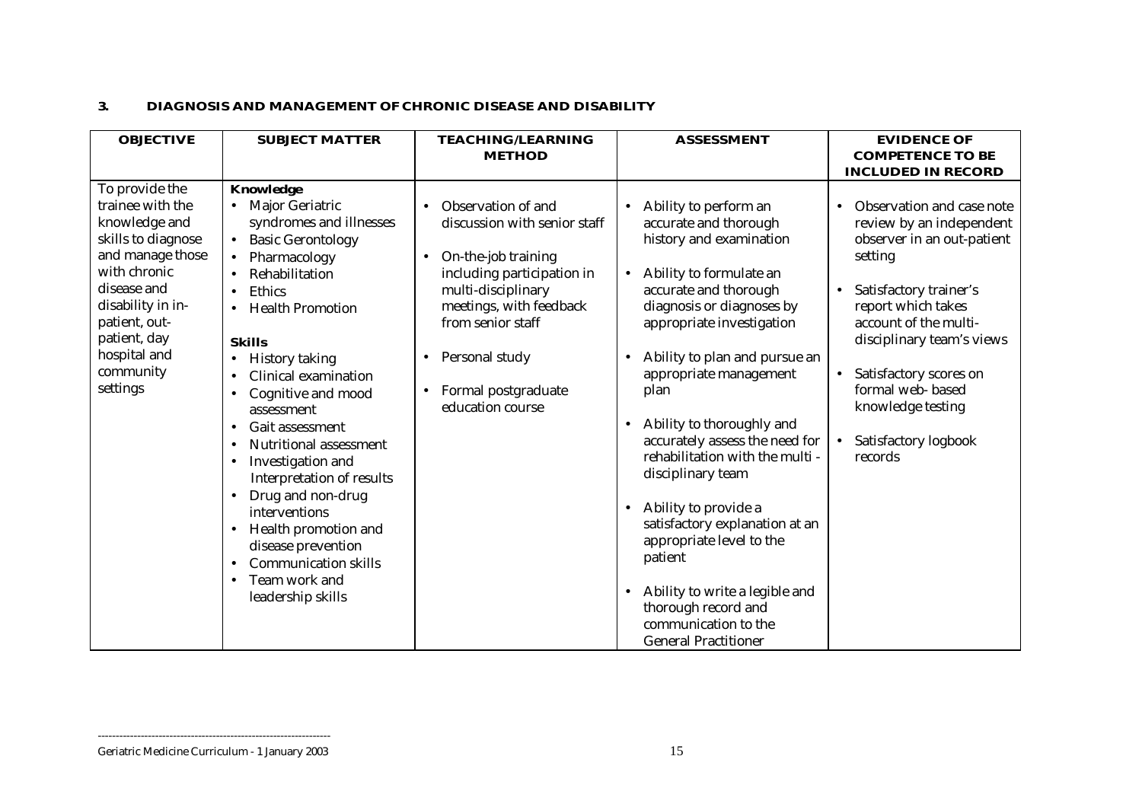#### **3. DIAGNOSIS AND MANAGEMENT OF CHRONIC DISEASE AND DISABILITY**

| <b>OBJECTIVE</b>                                                                                                                                                                                                            | <b>SUBJECT MATTER</b>                                                                                                                                                                                                                                                                                                                                                                                                                                                                                                                                                                                                                                                                                           | <b>TEACHING/LEARNING</b>                                                                                                                                                                                                                                | <b>ASSESSMENT</b>                                                                                                                                                                                                                                                                                                                                                                                                                                                                                                                                                                                                                                      | <b>EVIDENCE OF</b>                                                                                                                                                                                                                                                                                                                                |
|-----------------------------------------------------------------------------------------------------------------------------------------------------------------------------------------------------------------------------|-----------------------------------------------------------------------------------------------------------------------------------------------------------------------------------------------------------------------------------------------------------------------------------------------------------------------------------------------------------------------------------------------------------------------------------------------------------------------------------------------------------------------------------------------------------------------------------------------------------------------------------------------------------------------------------------------------------------|---------------------------------------------------------------------------------------------------------------------------------------------------------------------------------------------------------------------------------------------------------|--------------------------------------------------------------------------------------------------------------------------------------------------------------------------------------------------------------------------------------------------------------------------------------------------------------------------------------------------------------------------------------------------------------------------------------------------------------------------------------------------------------------------------------------------------------------------------------------------------------------------------------------------------|---------------------------------------------------------------------------------------------------------------------------------------------------------------------------------------------------------------------------------------------------------------------------------------------------------------------------------------------------|
|                                                                                                                                                                                                                             |                                                                                                                                                                                                                                                                                                                                                                                                                                                                                                                                                                                                                                                                                                                 | <b>METHOD</b>                                                                                                                                                                                                                                           |                                                                                                                                                                                                                                                                                                                                                                                                                                                                                                                                                                                                                                                        | <b>COMPETENCE TO BE</b>                                                                                                                                                                                                                                                                                                                           |
|                                                                                                                                                                                                                             |                                                                                                                                                                                                                                                                                                                                                                                                                                                                                                                                                                                                                                                                                                                 |                                                                                                                                                                                                                                                         |                                                                                                                                                                                                                                                                                                                                                                                                                                                                                                                                                                                                                                                        | <b>INCLUDED IN RECORD</b>                                                                                                                                                                                                                                                                                                                         |
| To provide the<br>trainee with the<br>knowledge and<br>skills to diagnose<br>and manage those<br>with chronic<br>disease and<br>disability in in-<br>patient, out-<br>patient, day<br>hospital and<br>community<br>settings | Knowledge<br><b>Major Geriatric</b><br>syndromes and illnesses<br><b>Basic Gerontology</b><br>$\bullet$<br>Pharmacology<br>$\bullet$<br>Rehabilitation<br>Ethics<br>$\bullet$<br><b>Health Promotion</b><br>$\bullet$<br><b>Skills</b><br><b>History taking</b><br>Clinical examination<br>$\bullet$<br>Cognitive and mood<br>$\bullet$<br>assessment<br><b>Gait assessment</b><br>$\bullet$<br>Nutritional assessment<br>$\bullet$<br>Investigation and<br>$\bullet$<br>Interpretation of results<br>Drug and non-drug<br>$\bullet$<br>interventions<br>Health promotion and<br>$\bullet$<br>disease prevention<br><b>Communication skills</b><br>$\bullet$<br>Team work and<br>$\bullet$<br>leadership skills | Observation of and<br>discussion with senior staff<br>On-the-job training<br>$\bullet$<br>including participation in<br>multi-disciplinary<br>meetings, with feedback<br>from senior staff<br>Personal study<br>Formal postgraduate<br>education course | Ability to perform an<br>$\bullet$<br>accurate and thorough<br>history and examination<br>Ability to formulate an<br>accurate and thorough<br>diagnosis or diagnoses by<br>appropriate investigation<br>Ability to plan and pursue an<br>appropriate management<br>plan<br>Ability to thoroughly and<br>$\bullet$<br>accurately assess the need for<br>rehabilitation with the multi -<br>disciplinary team<br>Ability to provide a<br>$\bullet$<br>satisfactory explanation at an<br>appropriate level to the<br>patient<br>Ability to write a legible and<br>$\bullet$<br>thorough record and<br>communication to the<br><b>General Practitioner</b> | Observation and case note<br>$\bullet$<br>review by an independent<br>observer in an out-patient<br>setting<br>Satisfactory trainer's<br>$\bullet$<br>report which takes<br>account of the multi-<br>disciplinary team's views<br>Satisfactory scores on<br>$\bullet$<br>formal web-based<br>knowledge testing<br>Satisfactory logbook<br>records |

Geriatric Medicine Curriculum - 1 January 2003 15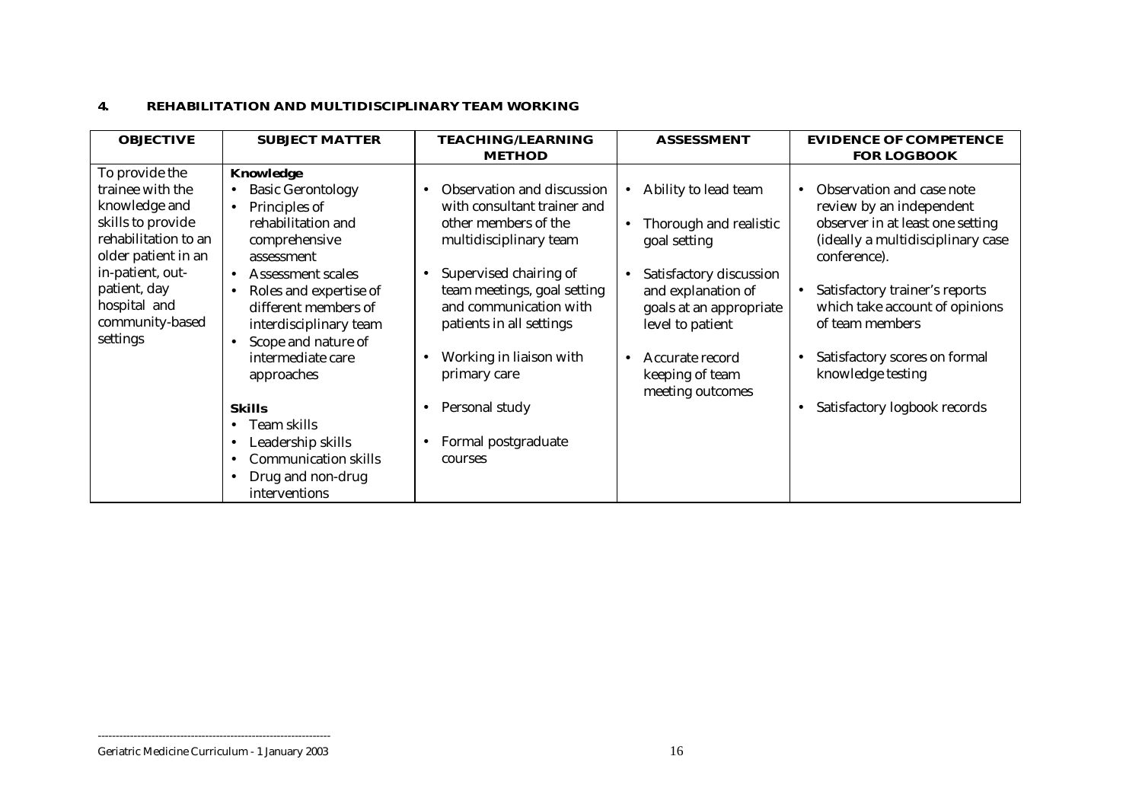#### **4. REHABILITATION AND MULTIDISCIPLINARY TEAM WORKING**

| <b>OBJECTIVE</b>                                                                                                                            | <b>SUBJECT MATTER</b>                                                                                                                                      | <b>TEACHING/LEARNING</b>                                                                                                              | <b>ASSESSMENT</b>                                                                                                   | <b>EVIDENCE OF COMPETENCE</b>                                                                                                                  |
|---------------------------------------------------------------------------------------------------------------------------------------------|------------------------------------------------------------------------------------------------------------------------------------------------------------|---------------------------------------------------------------------------------------------------------------------------------------|---------------------------------------------------------------------------------------------------------------------|------------------------------------------------------------------------------------------------------------------------------------------------|
|                                                                                                                                             |                                                                                                                                                            | <b>METHOD</b>                                                                                                                         |                                                                                                                     | <b>FOR LOGBOOK</b>                                                                                                                             |
| To provide the<br>trainee with the<br>knowledge and<br>skills to provide<br>rehabilitation to an<br>older patient in an<br>in-patient, out- | Knowledge<br><b>Basic Gerontology</b><br>Principles of<br>$\bullet$<br>rehabilitation and<br>comprehensive<br>assessment<br>Assessment scales<br>$\bullet$ | Observation and discussion<br>with consultant trainer and<br>other members of the<br>multidisciplinary team<br>Supervised chairing of | Ability to lead team<br>$\bullet$<br>Thorough and realistic<br>$\bullet$<br>goal setting<br>Satisfactory discussion | Observation and case note<br>review by an independent<br>observer in at least one setting<br>(ideally a multidisciplinary case<br>conference). |
| patient, day<br>hospital and<br>community-based<br>settings                                                                                 | Roles and expertise of<br>$\bullet$<br>different members of<br>interdisciplinary team<br>Scope and nature of<br>$\bullet$                                  | team meetings, goal setting<br>and communication with<br>patients in all settings                                                     | and explanation of<br>goals at an appropriate<br>level to patient                                                   | Satisfactory trainer's reports<br>٠<br>which take account of opinions<br>of team members                                                       |
|                                                                                                                                             | intermediate care<br>approaches                                                                                                                            | Working in liaison with<br>primary care                                                                                               | Accurate record<br>$\bullet$<br>keeping of team<br>meeting outcomes                                                 | Satisfactory scores on formal<br>knowledge testing                                                                                             |
|                                                                                                                                             | <b>Skills</b>                                                                                                                                              | Personal study                                                                                                                        |                                                                                                                     | Satisfactory logbook records<br>$\bullet$                                                                                                      |
|                                                                                                                                             | Team skills<br>$\bullet$                                                                                                                                   |                                                                                                                                       |                                                                                                                     |                                                                                                                                                |
|                                                                                                                                             | Leadership skills<br>$\bullet$                                                                                                                             | Formal postgraduate                                                                                                                   |                                                                                                                     |                                                                                                                                                |
|                                                                                                                                             | <b>Communication skills</b><br>$\bullet$                                                                                                                   | courses                                                                                                                               |                                                                                                                     |                                                                                                                                                |
|                                                                                                                                             | Drug and non-drug<br>$\bullet$<br>interventions                                                                                                            |                                                                                                                                       |                                                                                                                     |                                                                                                                                                |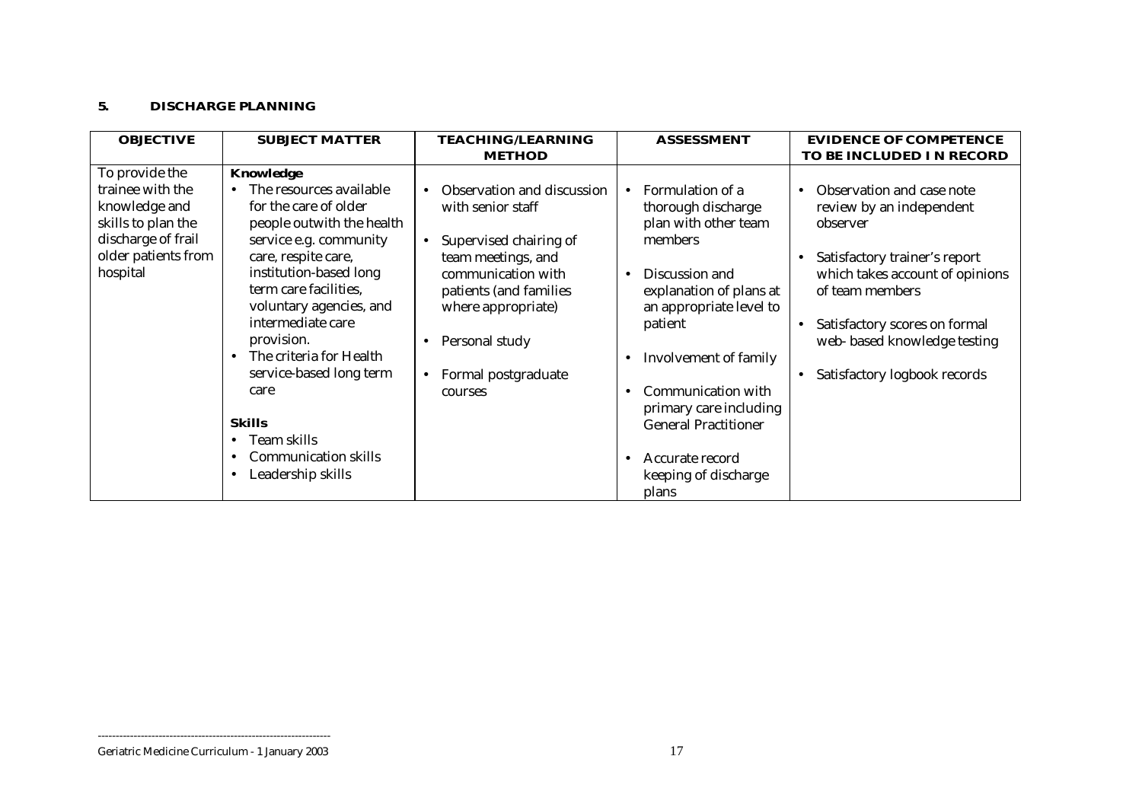#### **5. DISCHARGE PLANNING**

| <b>OBJECTIVE</b>                                                                                                       | <b>SUBJECT MATTER</b>                                                                                                                       | <b>TEACHING/LEARNING</b>                                                                                     | <b>ASSESSMENT</b>                                                                                                               | <b>EVIDENCE OF COMPETENCE</b>                                                                                       |
|------------------------------------------------------------------------------------------------------------------------|---------------------------------------------------------------------------------------------------------------------------------------------|--------------------------------------------------------------------------------------------------------------|---------------------------------------------------------------------------------------------------------------------------------|---------------------------------------------------------------------------------------------------------------------|
|                                                                                                                        |                                                                                                                                             | <b>METHOD</b>                                                                                                |                                                                                                                                 | TO BE INCLUDED I N RECORD                                                                                           |
| To provide the<br>trainee with the<br>knowledge and<br>skills to plan the<br>discharge of frail<br>older patients from | Knowledge<br>The resources available<br>for the care of older<br>people outwith the health<br>service e.g. community<br>care, respite care, | Observation and discussion<br>with senior staff<br>Supervised chairing of<br>$\bullet$<br>team meetings, and | Formulation of a<br>$\bullet$<br>thorough discharge<br>plan with other team<br>members                                          | Observation and case note<br>review by an independent<br>observer<br>Satisfactory trainer's report                  |
| hospital                                                                                                               | institution-based long<br>term care facilities,<br>voluntary agencies, and<br>intermediate care<br>provision.<br>The criteria for Health    | communication with<br>patients (and families<br>where appropriate)<br>Personal study<br>$\bullet$            | Discussion and<br>explanation of plans at<br>an appropriate level to<br>patient<br>Involvement of family                        | which takes account of opinions<br>of team members<br>Satisfactory scores on formal<br>web- based knowledge testing |
|                                                                                                                        | service-based long term<br>care<br><b>Skills</b><br>Team skills<br><b>Communication skills</b><br>Leadership skills<br>$\bullet$            | Formal postgraduate<br>$\bullet$<br>courses                                                                  | Communication with<br>primary care including<br><b>General Practitioner</b><br>Accurate record<br>keeping of discharge<br>plans | Satisfactory logbook records                                                                                        |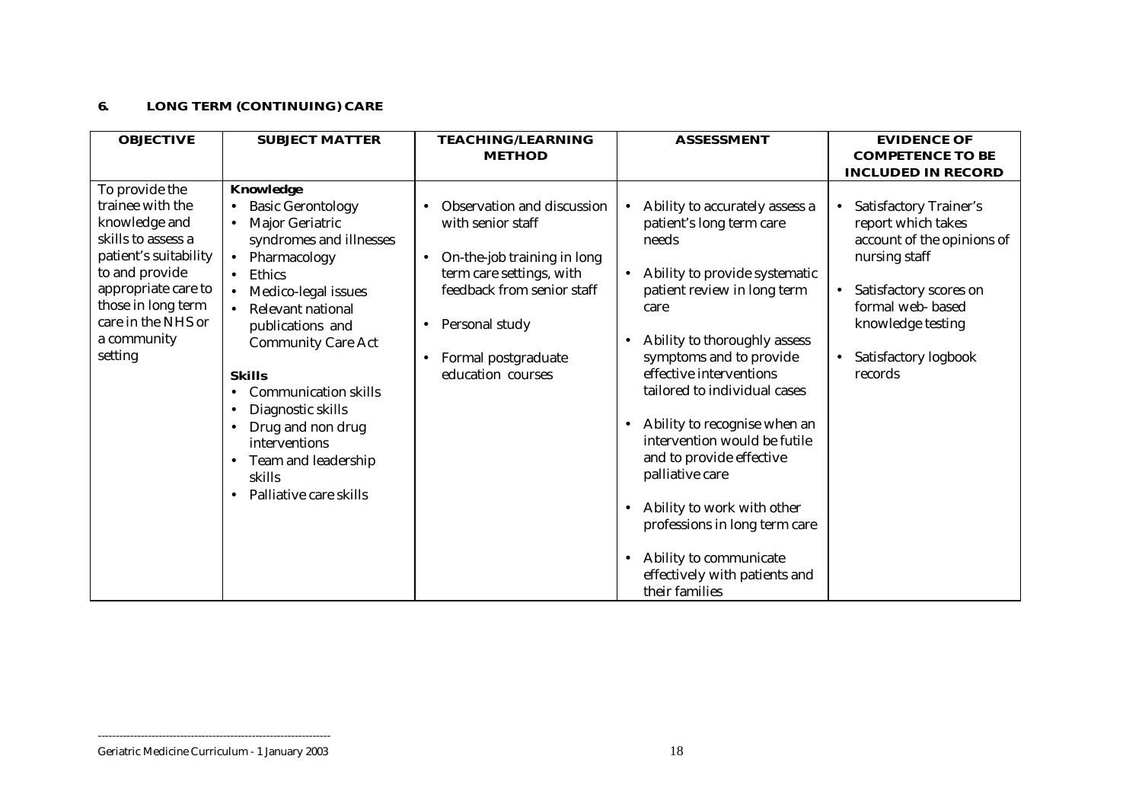## **6. LONG TERM (CONTINUING) CARE**

| <b>OBJECTIVE</b>                                                                                                                                                                                                  | <b>SUBJECT MATTER</b>                                                                                                                                                                                                                                                                                                                                                                                                                | <b>TEACHING/LEARNING</b>                                                                                                                                                                                            | <b>ASSESSMENT</b>                                                                                                                                                                                                                                                                                                                                                                                                                                                                                                                                      | <b>EVIDENCE OF</b>                                                                                                                                                                                                                              |
|-------------------------------------------------------------------------------------------------------------------------------------------------------------------------------------------------------------------|--------------------------------------------------------------------------------------------------------------------------------------------------------------------------------------------------------------------------------------------------------------------------------------------------------------------------------------------------------------------------------------------------------------------------------------|---------------------------------------------------------------------------------------------------------------------------------------------------------------------------------------------------------------------|--------------------------------------------------------------------------------------------------------------------------------------------------------------------------------------------------------------------------------------------------------------------------------------------------------------------------------------------------------------------------------------------------------------------------------------------------------------------------------------------------------------------------------------------------------|-------------------------------------------------------------------------------------------------------------------------------------------------------------------------------------------------------------------------------------------------|
|                                                                                                                                                                                                                   |                                                                                                                                                                                                                                                                                                                                                                                                                                      | <b>METHOD</b>                                                                                                                                                                                                       |                                                                                                                                                                                                                                                                                                                                                                                                                                                                                                                                                        | <b>COMPETENCE TO BE</b>                                                                                                                                                                                                                         |
|                                                                                                                                                                                                                   |                                                                                                                                                                                                                                                                                                                                                                                                                                      |                                                                                                                                                                                                                     |                                                                                                                                                                                                                                                                                                                                                                                                                                                                                                                                                        | <b>INCLUDED IN RECORD</b>                                                                                                                                                                                                                       |
| To provide the<br>trainee with the<br>knowledge and<br>skills to assess a<br>patient's suitability<br>to and provide<br>appropriate care to<br>those in long term<br>care in the NHS or<br>a community<br>setting | Knowledge<br><b>Basic Gerontology</b><br>$\bullet$<br>Major Geriatric<br>syndromes and illnesses<br>Pharmacology<br>$\bullet$<br>Ethics<br>Medico-legal issues<br>Relevant national<br>publications and<br><b>Community Care Act</b><br><b>Skills</b><br><b>Communication skills</b><br>Diagnostic skills<br>$\bullet$<br>Drug and non drug<br>interventions<br>Team and leadership<br>$\bullet$<br>skills<br>Palliative care skills | Observation and discussion<br>with senior staff<br>On-the-job training in long<br>$\bullet$<br>term care settings, with<br>feedback from senior staff<br>Personal study<br>Formal postgraduate<br>education courses | Ability to accurately assess a<br>patient's long term care<br>needs<br>Ability to provide systematic<br>$\bullet$<br>patient review in long term<br>care<br>Ability to thoroughly assess<br>symptoms and to provide<br>effective interventions<br>tailored to individual cases<br>Ability to recognise when an<br>$\bullet$<br>intervention would be futile<br>and to provide effective<br>palliative care<br>Ability to work with other<br>professions in long term care<br>Ability to communicate<br>effectively with patients and<br>their families | <b>Satisfactory Trainer's</b><br>$\bullet$<br>report which takes<br>account of the opinions of<br>nursing staff<br>Satisfactory scores on<br>$\bullet$<br>formal web-based<br>knowledge testing<br>Satisfactory logbook<br>$\bullet$<br>records |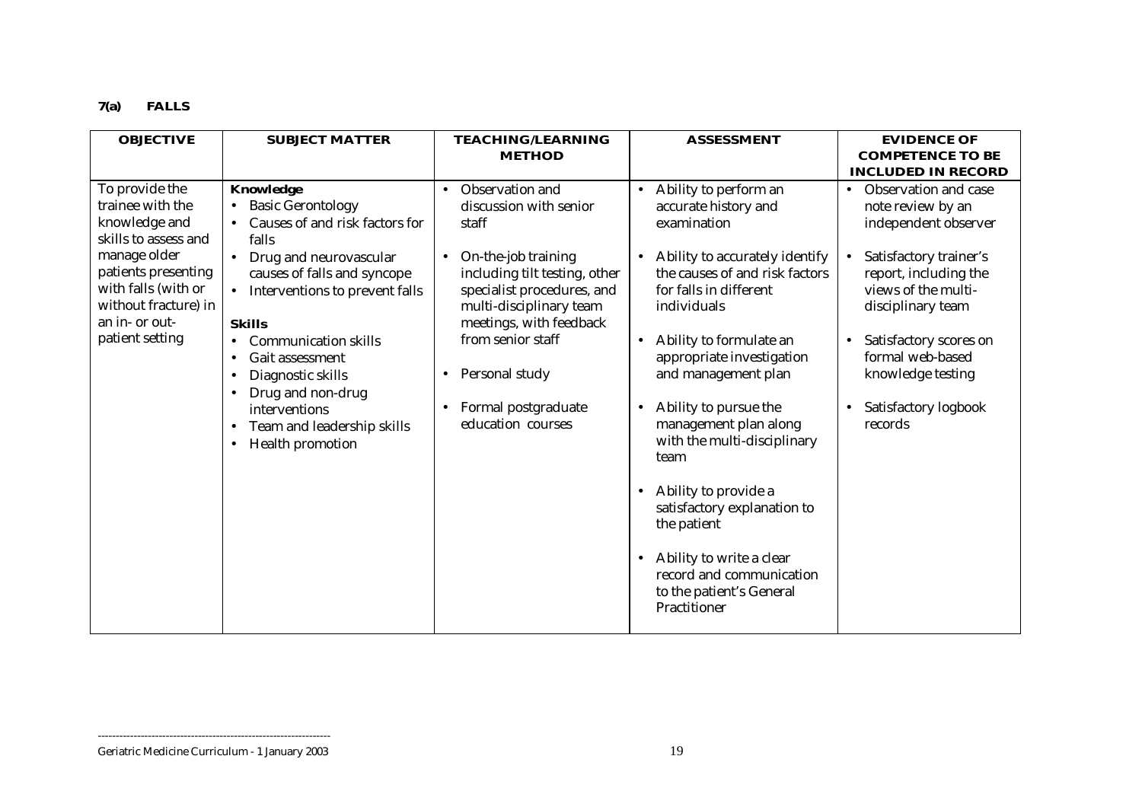## **7(a) FALLS**

| <b>OBJECTIVE</b>                                                                                                                                                                                       | <b>SUBJECT MATTER</b>                                                                                                                                                                                                                                                                                                                                                                                                        | <b>TEACHING/LEARNING</b>                                                                                                                                                                                                                                                                                                              | <b>ASSESSMENT</b>                                                                                                                                                                                                                                                                                                                                                                                                                                                                                                                                                                            | <b>EVIDENCE OF</b>                                                                                                                                                                                                                                                                  |
|--------------------------------------------------------------------------------------------------------------------------------------------------------------------------------------------------------|------------------------------------------------------------------------------------------------------------------------------------------------------------------------------------------------------------------------------------------------------------------------------------------------------------------------------------------------------------------------------------------------------------------------------|---------------------------------------------------------------------------------------------------------------------------------------------------------------------------------------------------------------------------------------------------------------------------------------------------------------------------------------|----------------------------------------------------------------------------------------------------------------------------------------------------------------------------------------------------------------------------------------------------------------------------------------------------------------------------------------------------------------------------------------------------------------------------------------------------------------------------------------------------------------------------------------------------------------------------------------------|-------------------------------------------------------------------------------------------------------------------------------------------------------------------------------------------------------------------------------------------------------------------------------------|
|                                                                                                                                                                                                        |                                                                                                                                                                                                                                                                                                                                                                                                                              | <b>METHOD</b>                                                                                                                                                                                                                                                                                                                         |                                                                                                                                                                                                                                                                                                                                                                                                                                                                                                                                                                                              | <b>COMPETENCE TO BE</b>                                                                                                                                                                                                                                                             |
|                                                                                                                                                                                                        |                                                                                                                                                                                                                                                                                                                                                                                                                              |                                                                                                                                                                                                                                                                                                                                       |                                                                                                                                                                                                                                                                                                                                                                                                                                                                                                                                                                                              | <b>INCLUDED IN RECORD</b>                                                                                                                                                                                                                                                           |
| To provide the<br>trainee with the<br>knowledge and<br>skills to assess and<br>manage older<br>patients presenting<br>with falls (with or<br>without fracture) in<br>an in- or out-<br>patient setting | Knowledge<br><b>Basic Gerontology</b><br>Causes of and risk factors for<br>falls<br>Drug and neurovascular<br>causes of falls and syncope<br>Interventions to prevent falls<br><b>Skills</b><br><b>Communication skills</b><br>$\bullet$<br>Gait assessment<br>$\bullet$<br>Diagnostic skills<br>$\bullet$<br>Drug and non-drug<br>interventions<br>Team and leadership skills<br>$\bullet$<br>Health promotion<br>$\bullet$ | Observation and<br>$\bullet$<br>discussion with senior<br>staff<br>On-the-job training<br>$\bullet$<br>including tilt testing, other<br>specialist procedures, and<br>multi-disciplinary team<br>meetings, with feedback<br>from senior staff<br>Personal study<br>$\bullet$<br>Formal postgraduate<br>$\bullet$<br>education courses | Ability to perform an<br>$\bullet$<br>accurate history and<br>examination<br>Ability to accurately identify<br>the causes of and risk factors<br>for falls in different<br>individuals<br>Ability to formulate an<br>$\bullet$<br>appropriate investigation<br>and management plan<br>Ability to pursue the<br>$\bullet$<br>management plan along<br>with the multi-disciplinary<br>team<br>Ability to provide a<br>$\bullet$<br>satisfactory explanation to<br>the patient<br>Ability to write a clear<br>$\bullet$<br>record and communication<br>to the patient's General<br>Practitioner | Observation and case<br>$\bullet$<br>note review by an<br>independent observer<br>Satisfactory trainer's<br>report, including the<br>views of the multi-<br>disciplinary team<br>Satisfactory scores on<br>formal web-based<br>knowledge testing<br>Satisfactory logbook<br>records |

#### Geriatric Medicine Curriculum - 1 January 2003 19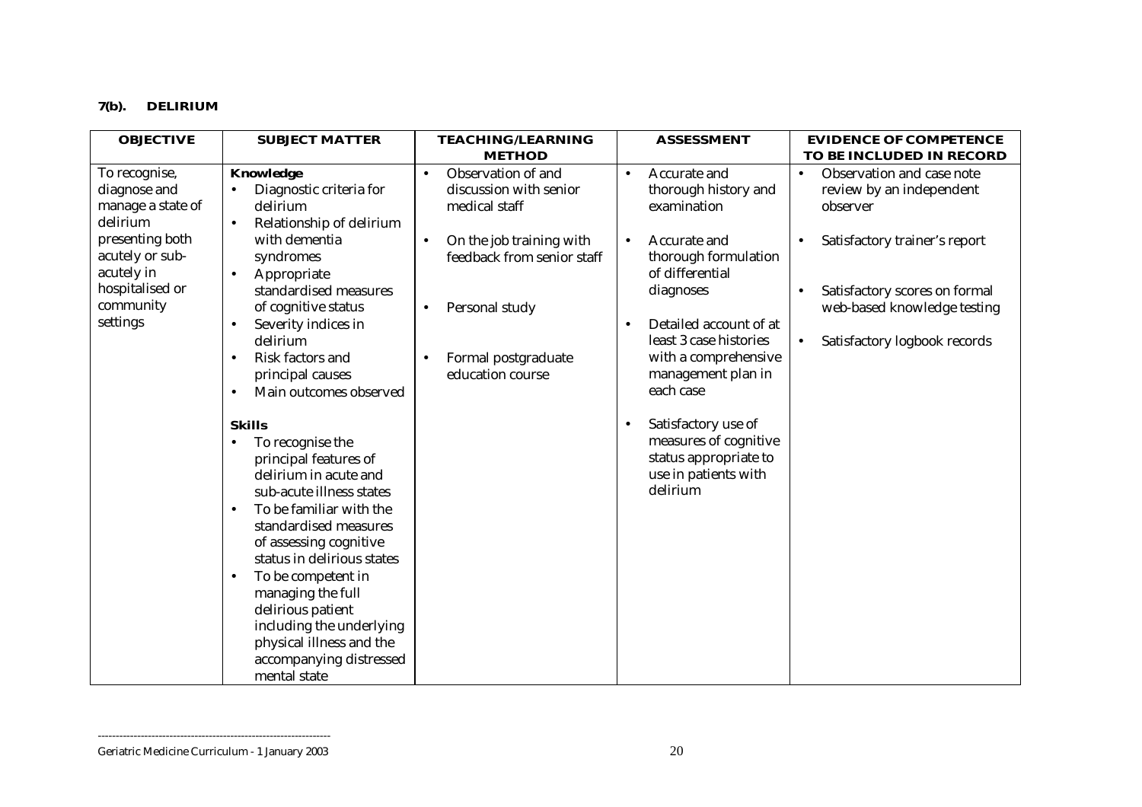## **7(b). DELIRIUM**

| <b>OBJECTIVE</b>                                 | <b>SUBJECT MATTER</b>                                                                                                                       | <b>TEACHING/LEARNING</b>                               | <b>ASSESSMENT</b>                                                    | <b>EVIDENCE OF COMPETENCE</b>                                      |
|--------------------------------------------------|---------------------------------------------------------------------------------------------------------------------------------------------|--------------------------------------------------------|----------------------------------------------------------------------|--------------------------------------------------------------------|
| To recognise,                                    | Knowledge                                                                                                                                   | <b>METHOD</b><br>Observation of and<br>$\bullet$       | Accurate and<br>$\bullet$                                            | TO BE INCLUDED IN RECORD<br>Observation and case note<br>$\bullet$ |
| diagnose and<br>manage a state of<br>delirium    | Diagnostic criteria for<br>delirium<br>Relationship of delirium<br>$\bullet$                                                                | discussion with senior<br>medical staff                | thorough history and<br>examination                                  | review by an independent<br>observer                               |
| presenting both<br>acutely or sub-<br>acutely in | with dementia<br>syndromes<br>Appropriate<br>$\bullet$                                                                                      | On the job training with<br>feedback from senior staff | Accurate and<br>$\bullet$<br>thorough formulation<br>of differential | Satisfactory trainer's report                                      |
| hospitalised or<br>community<br>settings         | standardised measures<br>of cognitive status<br>Severity indices in                                                                         | Personal study                                         | diagnoses<br>Detailed account of at                                  | Satisfactory scores on formal<br>web-based knowledge testing       |
|                                                  | delirium<br>Risk factors and<br>$\bullet$<br>principal causes                                                                               | Formal postgraduate<br>education course                | least 3 case histories<br>with a comprehensive<br>management plan in | Satisfactory logbook records<br>$\bullet$                          |
|                                                  | Main outcomes observed<br>$\bullet$                                                                                                         |                                                        | each case                                                            |                                                                    |
|                                                  | <b>Skills</b><br>To recognise the<br>$\bullet$                                                                                              |                                                        | Satisfactory use of<br>measures of cognitive                         |                                                                    |
|                                                  | principal features of<br>delirium in acute and<br>sub-acute illness states<br>To be familiar with the<br>$\bullet$<br>standardised measures |                                                        | status appropriate to<br>use in patients with<br>delirium            |                                                                    |
|                                                  | of assessing cognitive<br>status in delirious states<br>To be competent in<br>$\bullet$<br>managing the full<br>delirious patient           |                                                        |                                                                      |                                                                    |
|                                                  | including the underlying<br>physical illness and the<br>accompanying distressed<br>mental state                                             |                                                        |                                                                      |                                                                    |

Geriatric Medicine Curriculum - 1 January 2003 20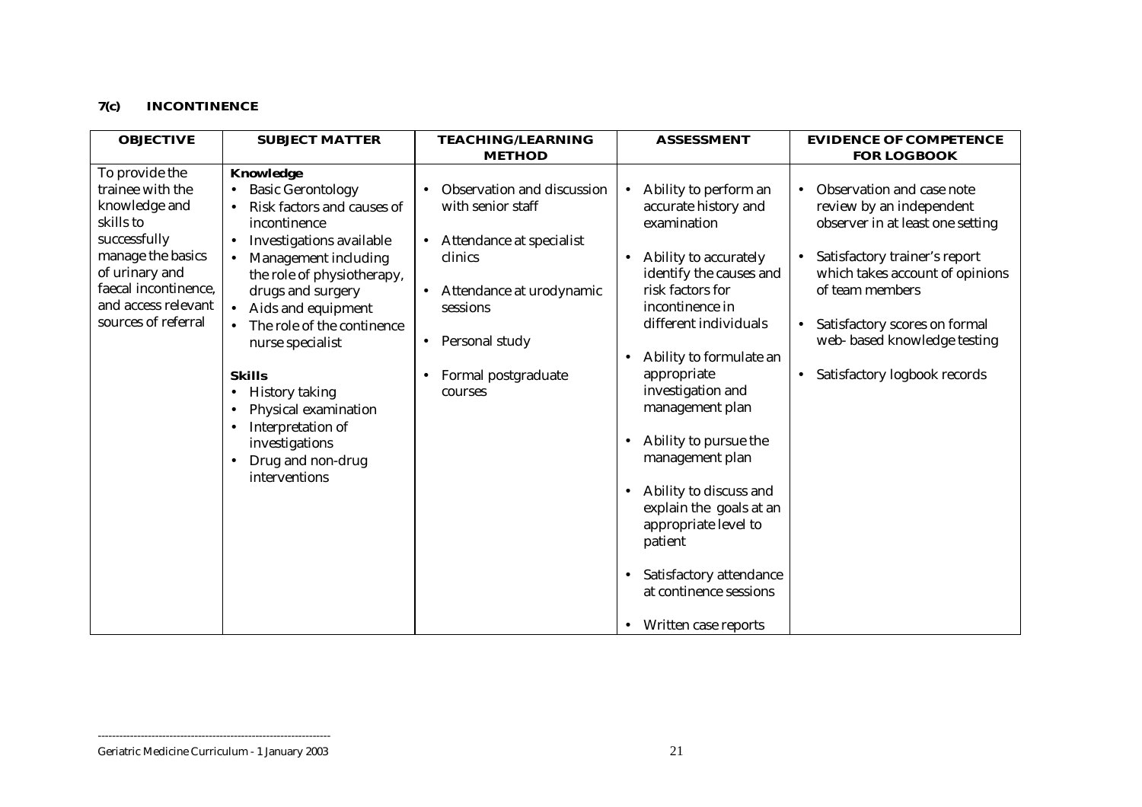## **7(c) INCONTINENCE**

| <b>OBJECTIVE</b>                                                                                                                                                                              | <b>SUBJECT MATTER</b>                                                                                                                                                                                                                                                                                                                                                                                                                       | <b>TEACHING/LEARNING</b>                                                                                                                                                                                     | <b>ASSESSMENT</b>                                                                                                                                                                                                                                                                                                                        | <b>EVIDENCE OF COMPETENCE</b>                                                                                                                                                                                                                                                                  |
|-----------------------------------------------------------------------------------------------------------------------------------------------------------------------------------------------|---------------------------------------------------------------------------------------------------------------------------------------------------------------------------------------------------------------------------------------------------------------------------------------------------------------------------------------------------------------------------------------------------------------------------------------------|--------------------------------------------------------------------------------------------------------------------------------------------------------------------------------------------------------------|------------------------------------------------------------------------------------------------------------------------------------------------------------------------------------------------------------------------------------------------------------------------------------------------------------------------------------------|------------------------------------------------------------------------------------------------------------------------------------------------------------------------------------------------------------------------------------------------------------------------------------------------|
|                                                                                                                                                                                               |                                                                                                                                                                                                                                                                                                                                                                                                                                             | <b>METHOD</b>                                                                                                                                                                                                |                                                                                                                                                                                                                                                                                                                                          | <b>FOR LOGBOOK</b>                                                                                                                                                                                                                                                                             |
| To provide the<br>trainee with the<br>knowledge and<br>skills to<br>successfully<br>manage the basics<br>of urinary and<br>faecal incontinence,<br>and access relevant<br>sources of referral | Knowledge<br><b>Basic Gerontology</b><br>Risk factors and causes of<br>incontinence<br>Investigations available<br>$\bullet$<br>Management including<br>the role of physiotherapy,<br>drugs and surgery<br>Aids and equipment<br>$\bullet$<br>The role of the continence<br>nurse specialist<br><b>Skills</b><br><b>History taking</b><br>Physical examination<br>Interpretation of<br>investigations<br>Drug and non-drug<br>interventions | Observation and discussion<br>with senior staff<br>Attendance at specialist<br>$\bullet$<br>clinics<br>Attendance at urodynamic<br>sessions<br>Personal study<br>$\bullet$<br>Formal postgraduate<br>courses | Ability to perform an<br>$\bullet$<br>accurate history and<br>examination<br>Ability to accurately<br>$\bullet$<br>identify the causes and<br>risk factors for<br>incontinence in<br>different individuals<br>Ability to formulate an<br>appropriate<br>investigation and<br>management plan<br>Ability to pursue the<br>management plan | Observation and case note<br>review by an independent<br>observer in at least one setting<br>Satisfactory trainer's report<br>which takes account of opinions<br>of team members<br>Satisfactory scores on formal<br>web- based knowledge testing<br>Satisfactory logbook records<br>$\bullet$ |
|                                                                                                                                                                                               |                                                                                                                                                                                                                                                                                                                                                                                                                                             |                                                                                                                                                                                                              | Ability to discuss and<br>$\bullet$<br>explain the goals at an<br>appropriate level to<br>patient                                                                                                                                                                                                                                        |                                                                                                                                                                                                                                                                                                |
|                                                                                                                                                                                               |                                                                                                                                                                                                                                                                                                                                                                                                                                             |                                                                                                                                                                                                              | Satisfactory attendance<br>$\bullet$<br>at continence sessions<br>Written case reports                                                                                                                                                                                                                                                   |                                                                                                                                                                                                                                                                                                |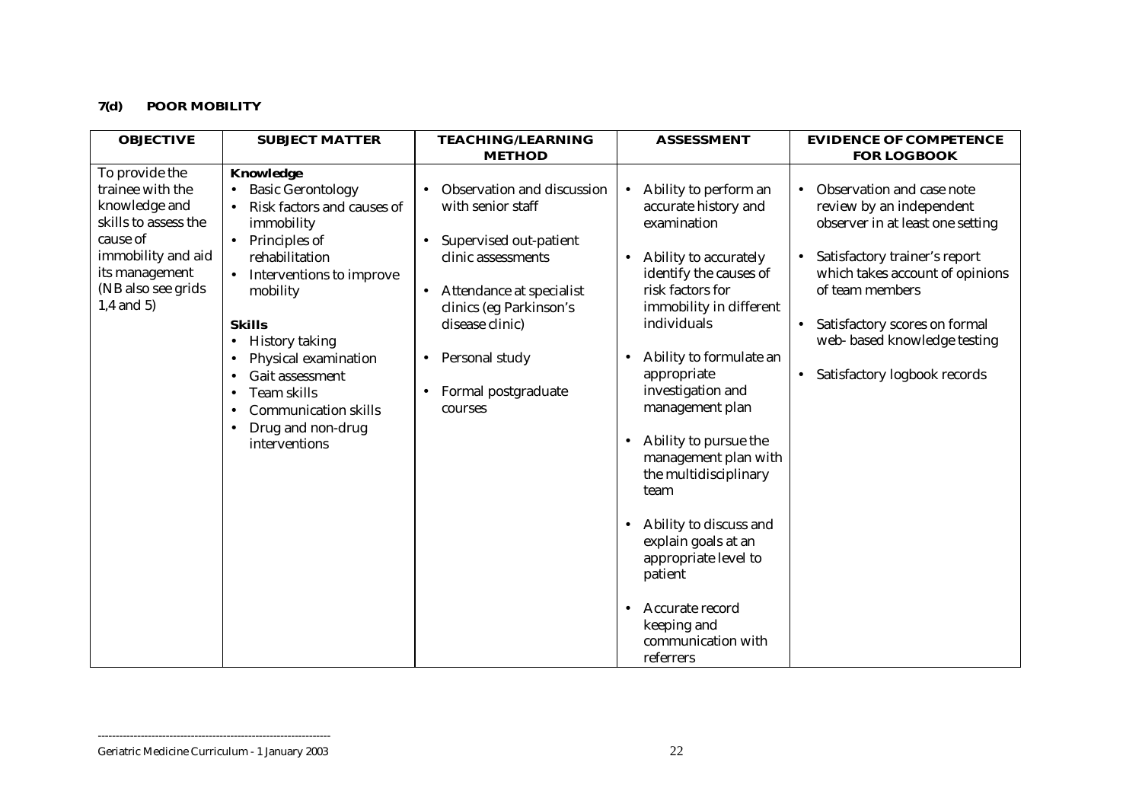## **7(d) POOR MOBILITY**

| <b>OBJECTIVE</b>                                                                                                                                                      | <b>SUBJECT MATTER</b>                                                                                                                                                                                                                                                                                                                                                                                                                                | <b>TEACHING/LEARNING</b>                                                                                                                                                                                                                   | <b>ASSESSMENT</b>                                                                                                                                                                                                                                                                                                                                                                                                                                                                                                                                              | <b>EVIDENCE OF COMPETENCE</b>                                                                                                                                                                                                                                                                               |
|-----------------------------------------------------------------------------------------------------------------------------------------------------------------------|------------------------------------------------------------------------------------------------------------------------------------------------------------------------------------------------------------------------------------------------------------------------------------------------------------------------------------------------------------------------------------------------------------------------------------------------------|--------------------------------------------------------------------------------------------------------------------------------------------------------------------------------------------------------------------------------------------|----------------------------------------------------------------------------------------------------------------------------------------------------------------------------------------------------------------------------------------------------------------------------------------------------------------------------------------------------------------------------------------------------------------------------------------------------------------------------------------------------------------------------------------------------------------|-------------------------------------------------------------------------------------------------------------------------------------------------------------------------------------------------------------------------------------------------------------------------------------------------------------|
|                                                                                                                                                                       |                                                                                                                                                                                                                                                                                                                                                                                                                                                      | <b>METHOD</b>                                                                                                                                                                                                                              |                                                                                                                                                                                                                                                                                                                                                                                                                                                                                                                                                                | <b>FOR LOGBOOK</b>                                                                                                                                                                                                                                                                                          |
| To provide the<br>trainee with the<br>knowledge and<br>skills to assess the<br>cause of<br>immobility and aid<br>its management<br>(NB also see grids<br>$1,4$ and 5) | Knowledge<br><b>Basic Gerontology</b><br>$\bullet$<br>Risk factors and causes of<br>immobility<br>Principles of<br>$\bullet$<br>rehabilitation<br>Interventions to improve<br>$\bullet$<br>mobility<br><b>Skills</b><br><b>History taking</b><br>$\bullet$<br>Physical examination<br>$\bullet$<br>Gait assessment<br><b>Team skills</b><br>$\bullet$<br><b>Communication skills</b><br>$\bullet$<br>Drug and non-drug<br>$\bullet$<br>interventions | Observation and discussion<br>with senior staff<br>Supervised out-patient<br>clinic assessments<br>Attendance at specialist<br>$\bullet$<br>clinics (eg Parkinson's<br>disease clinic)<br>Personal study<br>Formal postgraduate<br>courses | Ability to perform an<br>$\bullet$<br>accurate history and<br>examination<br>Ability to accurately<br>identify the causes of<br>risk factors for<br>immobility in different<br>individuals<br>Ability to formulate an<br>appropriate<br>investigation and<br>management plan<br>Ability to pursue the<br>$\bullet$<br>management plan with<br>the multidisciplinary<br>team<br>Ability to discuss and<br>$\bullet$<br>explain goals at an<br>appropriate level to<br>patient<br>Accurate record<br>$\bullet$<br>keeping and<br>communication with<br>referrers | Observation and case note<br>$\bullet$<br>review by an independent<br>observer in at least one setting<br>Satisfactory trainer's report<br>which takes account of opinions<br>of team members<br>Satisfactory scores on formal<br>web- based knowledge testing<br>Satisfactory logbook records<br>$\bullet$ |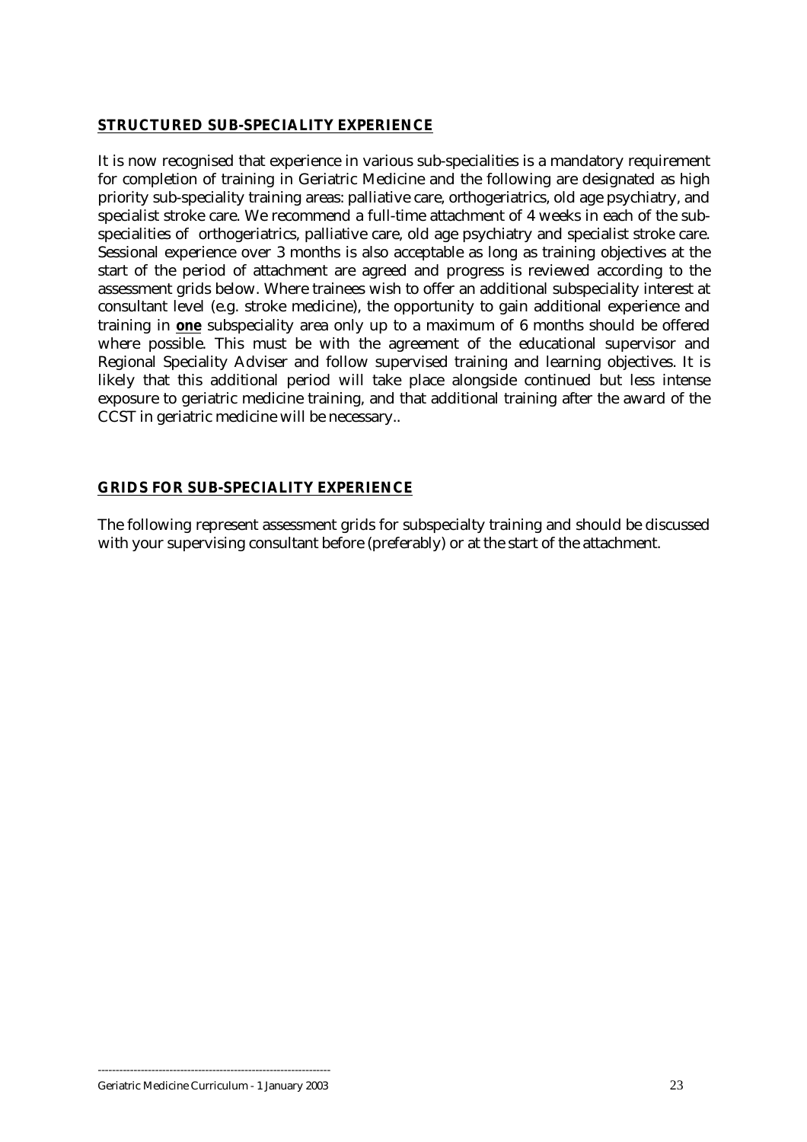## <span id="page-22-0"></span>**STRUCTURED SUB-SPECIALITY EXPERIENCE**

It is now recognised that experience in various sub-specialities is a mandatory requirement for completion of training in Geriatric Medicine and the following are designated as high priority sub-speciality training areas: palliative care, orthogeriatrics, old age psychiatry, and specialist stroke care. We recommend a full-time attachment of 4 weeks in each of the subspecialities of orthogeriatrics, palliative care, old age psychiatry and specialist stroke care. Sessional experience over 3 months is also acceptable as long as training objectives at the start of the period of attachment are agreed and progress is reviewed according to the assessment grids below. Where trainees wish to offer an additional subspeciality interest at consultant level (e.g. stroke medicine), the opportunity to gain additional experience and training in **one** subspeciality area only up to a maximum of 6 months should be offered where possible. This must be with the agreement of the educational supervisor and Regional Speciality Adviser and follow supervised training and learning objectives. It is likely that this additional period will take place alongside continued but less intense exposure to geriatric medicine training, and that additional training after the award of the CCST in geriatric medicine will be necessary..

## **GRIDS FOR SUB-SPECIALITY EXPERIENCE**

The following represent assessment grids for subspecialty training and should be discussed with your supervising consultant before (preferably) or at the start of the attachment.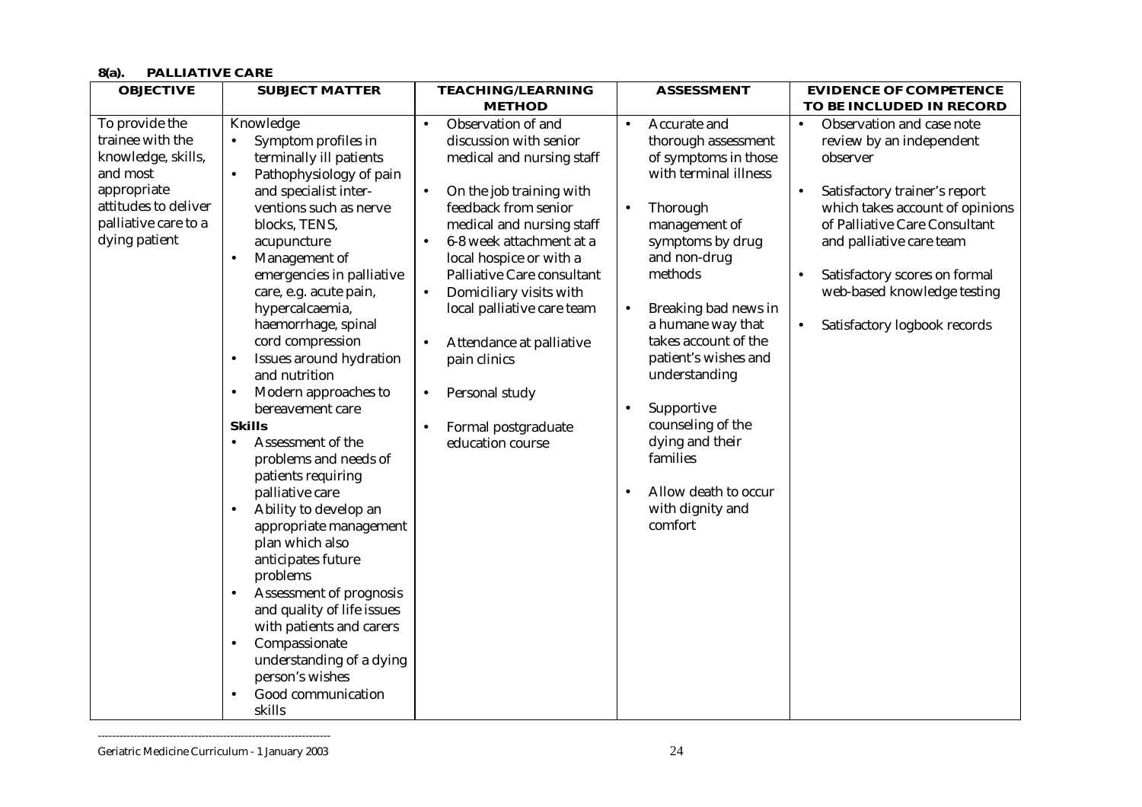## **8(a). PALLIATIVE CARE**

| <b>OBJECTIVE</b>                                                                                                                                     | <b>SUBJECT MATTER</b>                                                                                                                                                                                                                                                                                                                                                                                                                                                                                                                                                                                                                                                                                                                                                                                                                                                                                   | <b>TEACHING/LEARNING</b>                                                                                                                                                                                                                                                                                                                                                                                                                                                           | <b>ASSESSMENT</b>                                                                                                                                                                                                                                                                                                                                                                                                                                           | <b>EVIDENCE OF COMPETENCE</b>                                                                                                                                                                                                                                                                                   |
|------------------------------------------------------------------------------------------------------------------------------------------------------|---------------------------------------------------------------------------------------------------------------------------------------------------------------------------------------------------------------------------------------------------------------------------------------------------------------------------------------------------------------------------------------------------------------------------------------------------------------------------------------------------------------------------------------------------------------------------------------------------------------------------------------------------------------------------------------------------------------------------------------------------------------------------------------------------------------------------------------------------------------------------------------------------------|------------------------------------------------------------------------------------------------------------------------------------------------------------------------------------------------------------------------------------------------------------------------------------------------------------------------------------------------------------------------------------------------------------------------------------------------------------------------------------|-------------------------------------------------------------------------------------------------------------------------------------------------------------------------------------------------------------------------------------------------------------------------------------------------------------------------------------------------------------------------------------------------------------------------------------------------------------|-----------------------------------------------------------------------------------------------------------------------------------------------------------------------------------------------------------------------------------------------------------------------------------------------------------------|
|                                                                                                                                                      |                                                                                                                                                                                                                                                                                                                                                                                                                                                                                                                                                                                                                                                                                                                                                                                                                                                                                                         | <b>METHOD</b>                                                                                                                                                                                                                                                                                                                                                                                                                                                                      |                                                                                                                                                                                                                                                                                                                                                                                                                                                             | TO BE INCLUDED IN RECORD                                                                                                                                                                                                                                                                                        |
| To provide the<br>trainee with the<br>knowledge, skills,<br>and most<br>appropriate<br>attitudes to deliver<br>palliative care to a<br>dying patient | Knowledge<br>Symptom profiles in<br>$\bullet$<br>terminally ill patients<br>Pathophysiology of pain<br>and specialist inter-<br>ventions such as nerve<br>blocks, TENS,<br>acupuncture<br>Management of<br>emergencies in palliative<br>care, e.g. acute pain,<br>hypercalcaemia,<br>haemorrhage, spinal<br>cord compression<br>Issues around hydration<br>$\bullet$<br>and nutrition<br>Modern approaches to<br>$\bullet$<br>bereavement care<br><b>Skills</b><br>Assessment of the<br>$\bullet$<br>problems and needs of<br>patients requiring<br>palliative care<br>Ability to develop an<br>$\bullet$<br>appropriate management<br>plan which also<br>anticipates future<br>problems<br>Assessment of prognosis<br>$\bullet$<br>and quality of life issues<br>with patients and carers<br>Compassionate<br>$\bullet$<br>understanding of a dying<br>person's wishes<br>Good communication<br>skills | Observation of and<br>$\bullet$<br>discussion with senior<br>medical and nursing staff<br>On the job training with<br>$\bullet$<br>feedback from senior<br>medical and nursing staff<br>6-8 week attachment at a<br>$\bullet$<br>local hospice or with a<br>Palliative Care consultant<br>Domiciliary visits with<br>$\bullet$<br>local palliative care team<br>Attendance at palliative<br>pain clinics<br>Personal study<br>$\bullet$<br>Formal postgraduate<br>education course | Accurate and<br>$\bullet$<br>thorough assessment<br>of symptoms in those<br>with terminal illness<br>Thorough<br>$\bullet$<br>management of<br>symptoms by drug<br>and non-drug<br>methods<br>Breaking bad news in<br>$\bullet$<br>a humane way that<br>takes account of the<br>patient's wishes and<br>understanding<br>Supportive<br>counseling of the<br>dying and their<br>families<br>Allow death to occur<br>$\bullet$<br>with dignity and<br>comfort | Observation and case note<br>$\bullet$<br>review by an independent<br>observer<br>Satisfactory trainer's report<br>which takes account of opinions<br>of Palliative Care Consultant<br>and palliative care team<br>Satisfactory scores on formal<br>web-based knowledge testing<br>Satisfactory logbook records |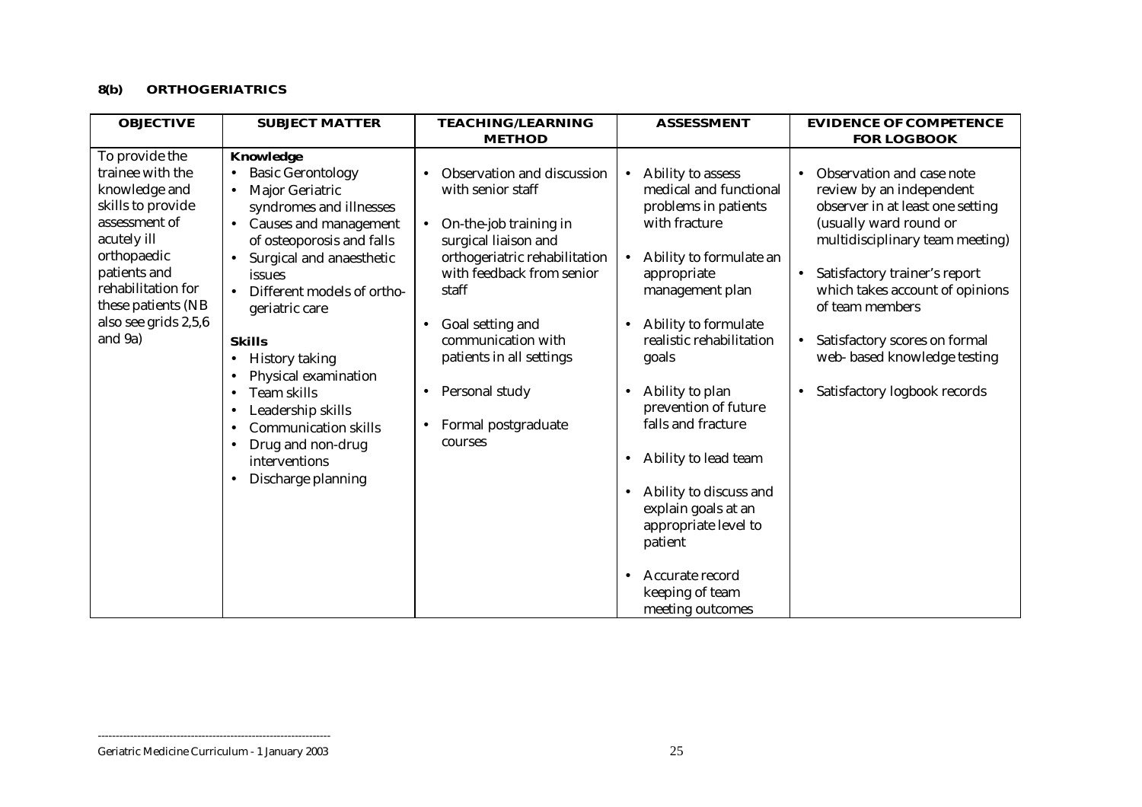#### **8(b) ORTHOGERIATRICS**

| <b>OBJECTIVE</b>                                                                                                                                                                                                       | <b>SUBJECT MATTER</b>                                                                                                                                                                                                                                                                                                                                                                                                                                                                                                                         | <b>TEACHING/LEARNING</b>                                                                                                                                                                                                                                                                                                          | <b>ASSESSMENT</b>                                                                                                                                                                                                                                                                                                                                                                                                                                                                          | <b>EVIDENCE OF COMPETENCE</b>                                                                                                                                                                                                                                                                                                                              |
|------------------------------------------------------------------------------------------------------------------------------------------------------------------------------------------------------------------------|-----------------------------------------------------------------------------------------------------------------------------------------------------------------------------------------------------------------------------------------------------------------------------------------------------------------------------------------------------------------------------------------------------------------------------------------------------------------------------------------------------------------------------------------------|-----------------------------------------------------------------------------------------------------------------------------------------------------------------------------------------------------------------------------------------------------------------------------------------------------------------------------------|--------------------------------------------------------------------------------------------------------------------------------------------------------------------------------------------------------------------------------------------------------------------------------------------------------------------------------------------------------------------------------------------------------------------------------------------------------------------------------------------|------------------------------------------------------------------------------------------------------------------------------------------------------------------------------------------------------------------------------------------------------------------------------------------------------------------------------------------------------------|
|                                                                                                                                                                                                                        |                                                                                                                                                                                                                                                                                                                                                                                                                                                                                                                                               | <b>METHOD</b>                                                                                                                                                                                                                                                                                                                     |                                                                                                                                                                                                                                                                                                                                                                                                                                                                                            | <b>FOR LOGBOOK</b>                                                                                                                                                                                                                                                                                                                                         |
| To provide the<br>trainee with the<br>knowledge and<br>skills to provide<br>assessment of<br>acutely ill<br>orthopaedic<br>patients and<br>rehabilitation for<br>these patients (NB<br>also see grids 2,5,6<br>and 9a) | Knowledge<br><b>Basic Gerontology</b><br>Major Geriatric<br>$\bullet$<br>syndromes and illnesses<br>Causes and management<br>$\bullet$<br>of osteoporosis and falls<br>Surgical and anaesthetic<br>issues<br>Different models of ortho-<br>$\bullet$<br>geriatric care<br><b>Skills</b><br><b>History taking</b><br>٠<br>Physical examination<br>$\bullet$<br>Team skills<br>$\bullet$<br>Leadership skills<br>$\bullet$<br><b>Communication skills</b><br>$\bullet$<br>Drug and non-drug<br>interventions<br>Discharge planning<br>$\bullet$ | Observation and discussion<br>with senior staff<br>On-the-job training in<br>$\bullet$<br>surgical liaison and<br>orthogeriatric rehabilitation<br>with feedback from senior<br>staff<br>Goal setting and<br>communication with<br>patients in all settings<br>Personal study<br>٠<br>Formal postgraduate<br>$\bullet$<br>courses | Ability to assess<br>$\bullet$<br>medical and functional<br>problems in patients<br>with fracture<br>Ability to formulate an<br>appropriate<br>management plan<br>Ability to formulate<br>realistic rehabilitation<br>goals<br>Ability to plan<br>$\bullet$<br>prevention of future<br>falls and fracture<br>Ability to lead team<br>٠<br>Ability to discuss and<br>$\bullet$<br>explain goals at an<br>appropriate level to<br>patient<br>Accurate record<br>$\bullet$<br>keeping of team | Observation and case note<br>review by an independent<br>observer in at least one setting<br>(usually ward round or<br>multidisciplinary team meeting)<br>Satisfactory trainer's report<br>which takes account of opinions<br>of team members<br>Satisfactory scores on formal<br>$\bullet$<br>web-based knowledge testing<br>Satisfactory logbook records |
|                                                                                                                                                                                                                        |                                                                                                                                                                                                                                                                                                                                                                                                                                                                                                                                               |                                                                                                                                                                                                                                                                                                                                   | meeting outcomes                                                                                                                                                                                                                                                                                                                                                                                                                                                                           |                                                                                                                                                                                                                                                                                                                                                            |

Geriatric Medicine Curriculum - 1 January 2003 25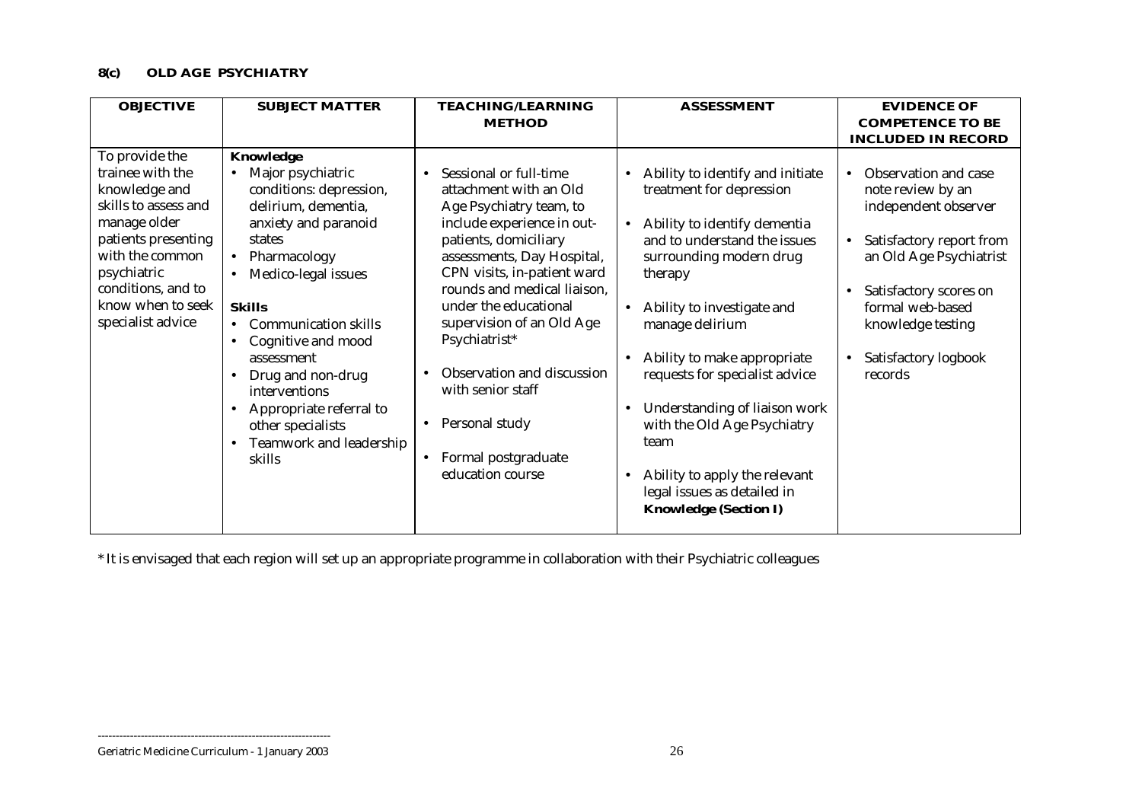## **8(c) OLD AGE PSYCHIATRY**

| <b>OBJECTIVE</b>                                                                                                                                                                                                     | <b>SUBJECT MATTER</b>                                                                                                                                                                                                                                                                | <b>TEACHING/LEARNING</b>                                                                                                                                                                                                                                                                                           | <b>ASSESSMENT</b>                                                                                                                                                                                                                                               | <b>EVIDENCE OF</b>                                                                                                                                                                                                                                                                      |
|----------------------------------------------------------------------------------------------------------------------------------------------------------------------------------------------------------------------|--------------------------------------------------------------------------------------------------------------------------------------------------------------------------------------------------------------------------------------------------------------------------------------|--------------------------------------------------------------------------------------------------------------------------------------------------------------------------------------------------------------------------------------------------------------------------------------------------------------------|-----------------------------------------------------------------------------------------------------------------------------------------------------------------------------------------------------------------------------------------------------------------|-----------------------------------------------------------------------------------------------------------------------------------------------------------------------------------------------------------------------------------------------------------------------------------------|
|                                                                                                                                                                                                                      |                                                                                                                                                                                                                                                                                      | <b>METHOD</b>                                                                                                                                                                                                                                                                                                      |                                                                                                                                                                                                                                                                 | <b>COMPETENCE TO BE</b>                                                                                                                                                                                                                                                                 |
|                                                                                                                                                                                                                      |                                                                                                                                                                                                                                                                                      |                                                                                                                                                                                                                                                                                                                    |                                                                                                                                                                                                                                                                 |                                                                                                                                                                                                                                                                                         |
| To provide the<br>trainee with the<br>knowledge and<br>skills to assess and<br>manage older<br>patients presenting<br>with the common<br>psychiatric<br>conditions, and to<br>know when to seek<br>specialist advice | Knowledge<br>Major psychiatric<br>conditions: depression,<br>delirium, dementia,<br>anxiety and paranoid<br>states<br>Pharmacology<br>$\bullet$<br>Medico-legal issues<br>$\bullet$<br><b>Skills</b><br><b>Communication skills</b><br>Cognitive and mood<br>$\bullet$<br>assessment | Sessional or full-time<br>$\bullet$<br>attachment with an Old<br>Age Psychiatry team, to<br>include experience in out-<br>patients, domiciliary<br>assessments, Day Hospital,<br>CPN visits, in-patient ward<br>rounds and medical liaison,<br>under the educational<br>supervision of an Old Age<br>Psychiatrist* | Ability to identify and initiate<br>treatment for depression<br>Ability to identify dementia<br>and to understand the issues<br>surrounding modern drug<br>therapy<br>Ability to investigate and<br>$\bullet$<br>manage delirium<br>Ability to make appropriate | <b>INCLUDED IN RECORD</b><br>Observation and case<br>$\bullet$<br>note review by an<br>independent observer<br>Satisfactory report from<br>$\bullet$<br>an Old Age Psychiatrist<br>Satisfactory scores on<br>formal web-based<br>knowledge testing<br>Satisfactory logbook<br>$\bullet$ |
|                                                                                                                                                                                                                      | Drug and non-drug<br>$\bullet$<br>interventions<br>Appropriate referral to<br>$\bullet$<br>other specialists<br>Teamwork and leadership<br>skills                                                                                                                                    | Observation and discussion<br>with senior staff<br>Personal study<br>$\bullet$<br>Formal postgraduate<br>$\bullet$<br>education course                                                                                                                                                                             | requests for specialist advice<br>Understanding of liaison work<br>with the Old Age Psychiatry<br>team<br>Ability to apply the relevant<br>$\bullet$<br>legal issues as detailed in<br><b>Knowledge (Section I)</b>                                             | records                                                                                                                                                                                                                                                                                 |

\* It is envisaged that each region will set up an appropriate programme in collaboration with their Psychiatric colleagues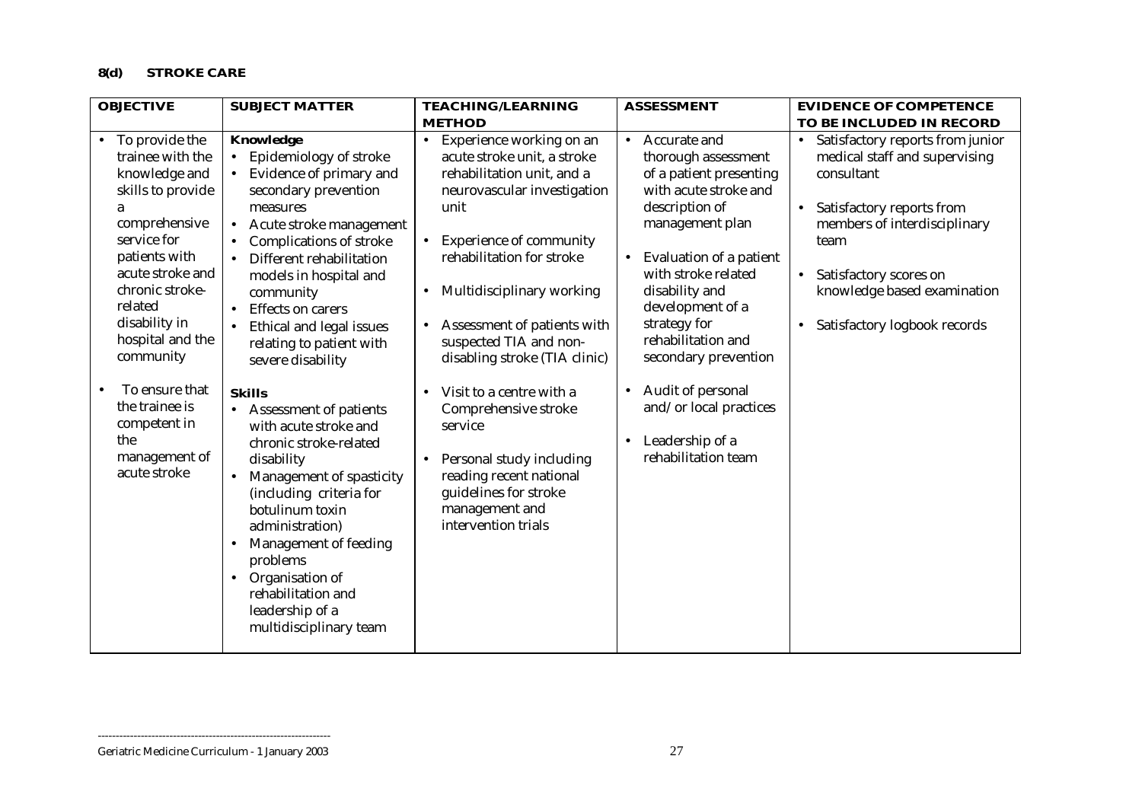## **8(d) STROKE CARE**

| <b>OBJECTIVE</b><br><b>SUBJECT MATTER</b>                                                                                                                                                                                                                                                                    |                                                                                                                                                                                                                                                                                                                                                                                                                                                 | <b>TEACHING/LEARNING</b>                                                                                                                                                                                                                                                                                                                                                                                                 | <b>ASSESSMENT</b>                                                                                                                                                                                                                                                                                                                                                                                        | <b>EVIDENCE OF COMPETENCE</b>                                                                                                                                                                                                                                                                     |  |
|--------------------------------------------------------------------------------------------------------------------------------------------------------------------------------------------------------------------------------------------------------------------------------------------------------------|-------------------------------------------------------------------------------------------------------------------------------------------------------------------------------------------------------------------------------------------------------------------------------------------------------------------------------------------------------------------------------------------------------------------------------------------------|--------------------------------------------------------------------------------------------------------------------------------------------------------------------------------------------------------------------------------------------------------------------------------------------------------------------------------------------------------------------------------------------------------------------------|----------------------------------------------------------------------------------------------------------------------------------------------------------------------------------------------------------------------------------------------------------------------------------------------------------------------------------------------------------------------------------------------------------|---------------------------------------------------------------------------------------------------------------------------------------------------------------------------------------------------------------------------------------------------------------------------------------------------|--|
|                                                                                                                                                                                                                                                                                                              |                                                                                                                                                                                                                                                                                                                                                                                                                                                 | <b>METHOD</b>                                                                                                                                                                                                                                                                                                                                                                                                            |                                                                                                                                                                                                                                                                                                                                                                                                          | TO BE INCLUDED IN RECORD                                                                                                                                                                                                                                                                          |  |
| • To provide the<br>trainee with the<br>knowledge and<br>skills to provide<br>a<br>comprehensive<br>service for<br>patients with<br>acute stroke and<br>chronic stroke-<br>related<br>disability in<br>hospital and the<br>community<br>To ensure that<br>$\bullet$<br>the trainee is<br>competent in<br>the | Knowledge<br>Epidemiology of stroke<br>$\bullet$<br>Evidence of primary and<br>secondary prevention<br>measures<br>Acute stroke management<br>$\bullet$<br>Complications of stroke<br>Different rehabilitation<br>models in hospital and<br>community<br><b>Effects on carers</b><br>$\bullet$<br>Ethical and legal issues<br>relating to patient with<br>severe disability<br><b>Skills</b><br>Assessment of patients<br>with acute stroke and | Experience working on an<br>$\bullet$<br>acute stroke unit, a stroke<br>rehabilitation unit, and a<br>neurovascular investigation<br>unit<br><b>Experience of community</b><br>$\bullet$<br>rehabilitation for stroke<br>Multidisciplinary working<br>$\bullet$<br>Assessment of patients with<br>suspected TIA and non-<br>disabling stroke (TIA clinic)<br>Visit to a centre with a<br>Comprehensive stroke<br>service | Accurate and<br>$\bullet$<br>thorough assessment<br>of a patient presenting<br>with acute stroke and<br>description of<br>management plan<br>Evaluation of a patient<br>$\bullet$<br>with stroke related<br>disability and<br>development of a<br>strategy for<br>rehabilitation and<br>secondary prevention<br>Audit of personal<br>$\bullet$<br>and/or local practices<br>Leadership of a<br>$\bullet$ | Satisfactory reports from junior<br>$\bullet$<br>medical staff and supervising<br>consultant<br>Satisfactory reports from<br>$\bullet$<br>members of interdisciplinary<br>team<br>Satisfactory scores on<br>$\bullet$<br>knowledge based examination<br>Satisfactory logbook records<br>$\bullet$ |  |
| management of<br>acute stroke                                                                                                                                                                                                                                                                                | chronic stroke-related<br>disability<br>Management of spasticity<br>$\bullet$<br>(including criteria for<br>botulinum toxin<br>administration)<br>Management of feeding<br>$\bullet$<br>problems<br>Organisation of<br>$\bullet$<br>rehabilitation and<br>leadership of a<br>multidisciplinary team                                                                                                                                             | Personal study including<br>$\bullet$<br>reading recent national<br>guidelines for stroke<br>management and<br>intervention trials                                                                                                                                                                                                                                                                                       | rehabilitation team                                                                                                                                                                                                                                                                                                                                                                                      |                                                                                                                                                                                                                                                                                                   |  |

#### Geriatric Medicine Curriculum - 1 January 2003 27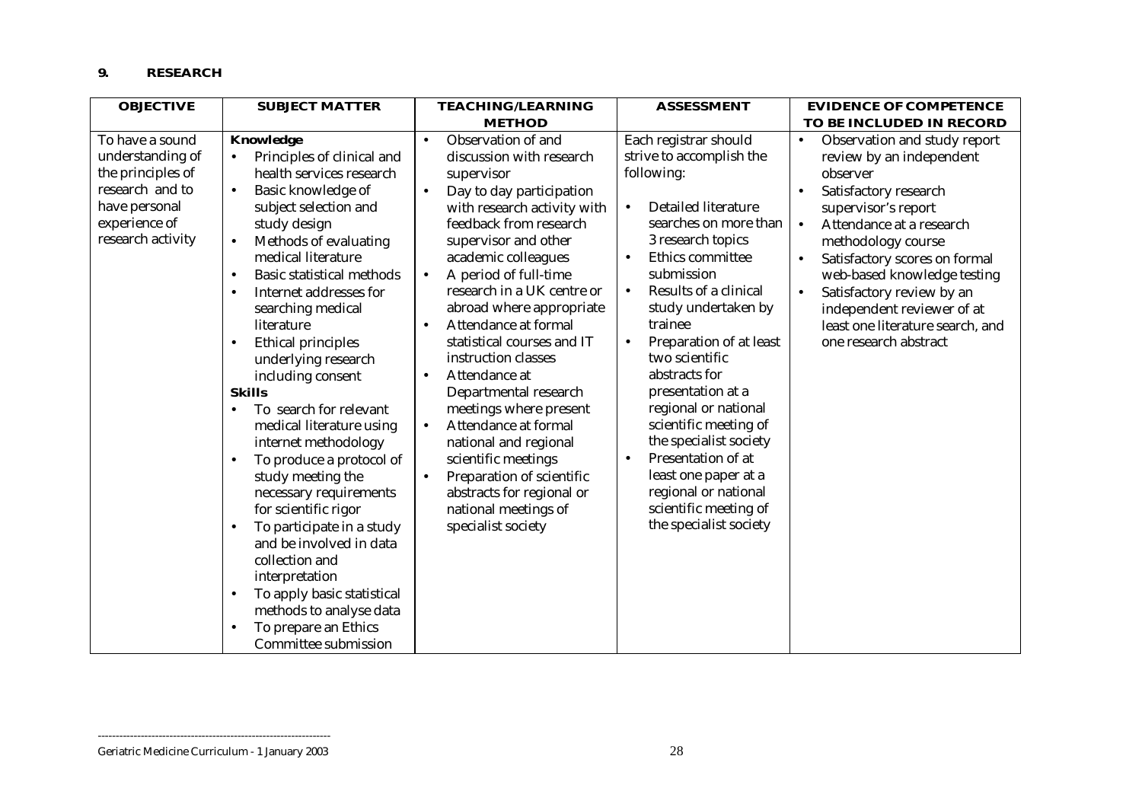#### **9. RESEARCH**

| <b>OBJECTIVE</b>                                                                                                                   | <b>SUBJECT MATTER</b>                                                                                                                                                                                                                                                                                                                                                                                                                                                                                                                                                                                                                                                                                                                                                                                                                                                                         | <b>TEACHING/LEARNING</b>                                                                                                                                                                                                                                                                                                                                                                                                                                                                                                                                                                                                                                                                   | <b>ASSESSMENT</b>                                                                                                                                                                                                                                                                                                                                                                                                                                                                                                                                                                   | <b>EVIDENCE OF COMPETENCE</b>                                                                                                                                                                                                                                                                                                                                                                         |  |
|------------------------------------------------------------------------------------------------------------------------------------|-----------------------------------------------------------------------------------------------------------------------------------------------------------------------------------------------------------------------------------------------------------------------------------------------------------------------------------------------------------------------------------------------------------------------------------------------------------------------------------------------------------------------------------------------------------------------------------------------------------------------------------------------------------------------------------------------------------------------------------------------------------------------------------------------------------------------------------------------------------------------------------------------|--------------------------------------------------------------------------------------------------------------------------------------------------------------------------------------------------------------------------------------------------------------------------------------------------------------------------------------------------------------------------------------------------------------------------------------------------------------------------------------------------------------------------------------------------------------------------------------------------------------------------------------------------------------------------------------------|-------------------------------------------------------------------------------------------------------------------------------------------------------------------------------------------------------------------------------------------------------------------------------------------------------------------------------------------------------------------------------------------------------------------------------------------------------------------------------------------------------------------------------------------------------------------------------------|-------------------------------------------------------------------------------------------------------------------------------------------------------------------------------------------------------------------------------------------------------------------------------------------------------------------------------------------------------------------------------------------------------|--|
|                                                                                                                                    |                                                                                                                                                                                                                                                                                                                                                                                                                                                                                                                                                                                                                                                                                                                                                                                                                                                                                               | <b>METHOD</b>                                                                                                                                                                                                                                                                                                                                                                                                                                                                                                                                                                                                                                                                              |                                                                                                                                                                                                                                                                                                                                                                                                                                                                                                                                                                                     | TO BE INCLUDED IN RECORD                                                                                                                                                                                                                                                                                                                                                                              |  |
| To have a sound<br>understanding of<br>the principles of<br>research and to<br>have personal<br>experience of<br>research activity | Knowledge<br>Principles of clinical and<br>health services research<br>Basic knowledge of<br>$\bullet$<br>subject selection and<br>study design<br>Methods of evaluating<br>$\bullet$<br>medical literature<br><b>Basic statistical methods</b><br>$\bullet$<br>Internet addresses for<br>$\bullet$<br>searching medical<br>literature<br>Ethical principles<br>$\bullet$<br>underlying research<br>including consent<br><b>Skills</b><br>To search for relevant<br>$\bullet$<br>medical literature using<br>internet methodology<br>To produce a protocol of<br>$\bullet$<br>study meeting the<br>necessary requirements<br>for scientific rigor<br>To participate in a study<br>$\bullet$<br>and be involved in data<br>collection and<br>interpretation<br>To apply basic statistical<br>$\bullet$<br>methods to analyse data<br>To prepare an Ethics<br>$\bullet$<br>Committee submission | Observation of and<br>$\bullet$<br>discussion with research<br>supervisor<br>Day to day participation<br>$\bullet$<br>with research activity with<br>feedback from research<br>supervisor and other<br>academic colleagues<br>A period of full-time<br>$\bullet$<br>research in a UK centre or<br>abroad where appropriate<br>Attendance at formal<br>statistical courses and IT<br>instruction classes<br>Attendance at<br>$\bullet$<br>Departmental research<br>meetings where present<br>Attendance at formal<br>$\bullet$<br>national and regional<br>scientific meetings<br>Preparation of scientific<br>٠<br>abstracts for regional or<br>national meetings of<br>specialist society | Each registrar should<br>strive to accomplish the<br>following:<br><b>Detailed literature</b><br>$\bullet$<br>searches on more than<br>3 research topics<br>Ethics committee<br>$\bullet$<br>submission<br>Results of a clinical<br>$\bullet$<br>study undertaken by<br>trainee<br>Preparation of at least<br>two scientific<br>abstracts for<br>presentation at a<br>regional or national<br>scientific meeting of<br>the specialist society<br>Presentation of at<br>$\bullet$<br>least one paper at a<br>regional or national<br>scientific meeting of<br>the specialist society | Observation and study report<br>$\bullet$<br>review by an independent<br>observer<br>Satisfactory research<br>supervisor's report<br>Attendance at a research<br>$\bullet$<br>methodology course<br>Satisfactory scores on formal<br>web-based knowledge testing<br>Satisfactory review by an<br>$\bullet$<br>independent reviewer of at<br>least one literature search, and<br>one research abstract |  |

#### Geriatric Medicine Curriculum - 1 January 2003 28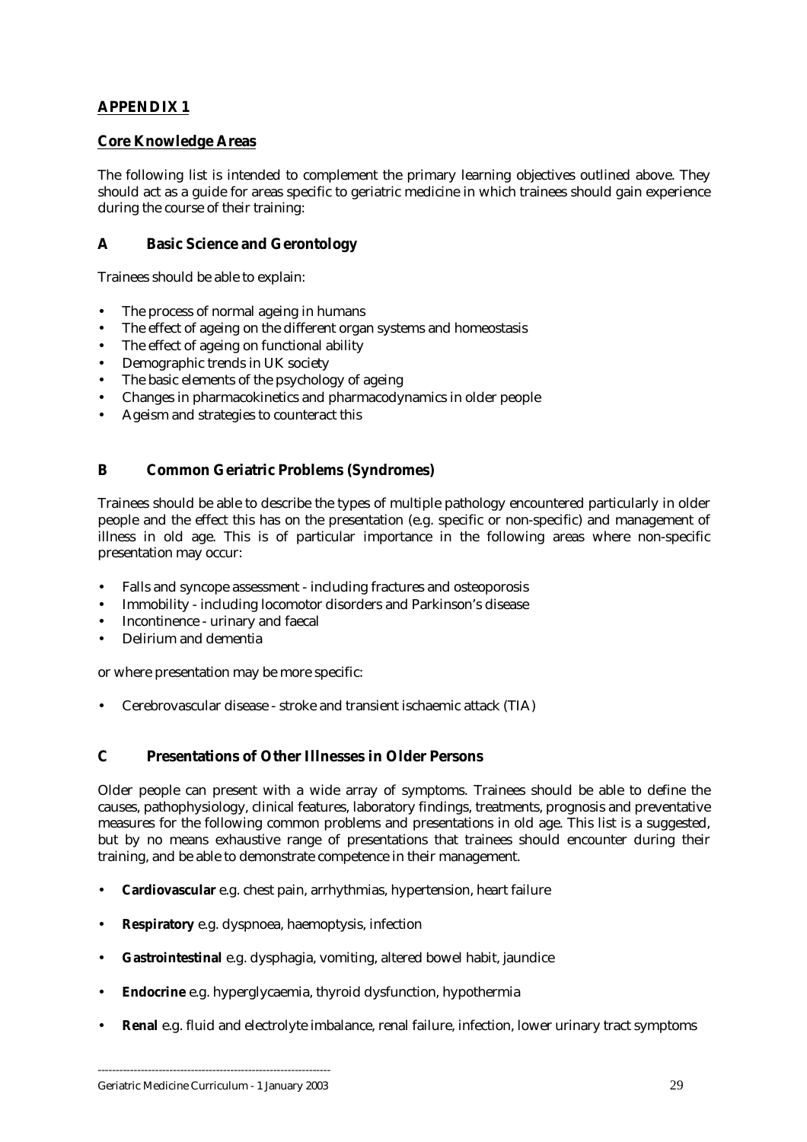## <span id="page-28-0"></span>**APPENDIX 1**

#### **Core Knowledge Areas**

The following list is intended to complement the primary learning objectives outlined above. They should act as a guide for areas specific to geriatric medicine in which trainees should gain experience during the course of their training:

#### **A Basic Science and Gerontology**

Trainees should be able to explain:

- The process of normal ageing in humans
- The effect of ageing on the different organ systems and homeostasis
- The effect of ageing on functional ability
- Demographic trends in UK society
- The basic elements of the psychology of ageing
- Changes in pharmacokinetics and pharmacodynamics in older people
- Ageism and strategies to counteract this

### **B Common Geriatric Problems (Syndromes)**

Trainees should be able to describe the types of multiple pathology encountered particularly in older people and the effect this has on the presentation (e.g. specific or non-specific) and management of illness in old age. This is of particular importance in the following areas where non-specific presentation may occur:

- Falls and syncope assessment including fractures and osteoporosis
- Immobility including locomotor disorders and Parkinson's disease
- Incontinence urinary and faecal
- Delirium and dementia

or where presentation may be more specific:

• Cerebrovascular disease - stroke and transient ischaemic attack (TIA)

#### **C Presentations of Other Illnesses in Older Persons**

Older people can present with a wide array of symptoms. Trainees should be able to define the causes, pathophysiology, clinical features, laboratory findings, treatments, prognosis and preventative measures for the following common problems and presentations in old age. This list is a suggested, but by no means exhaustive range of presentations that trainees should encounter during their training, and be able to demonstrate competence in their management.

- **Cardiovascular** e.g. chest pain, arrhythmias, hypertension, heart failure
- **Respiratory** e.g. dyspnoea, haemoptysis, infection
- **Gastrointestinal** e.g. dysphagia, vomiting, altered bowel habit, jaundice
- **Endocrine** e.g. hyperglycaemia, thyroid dysfunction, hypothermia
- **Renal** e.g. fluid and electrolyte imbalance, renal failure, infection, lower urinary tract symptoms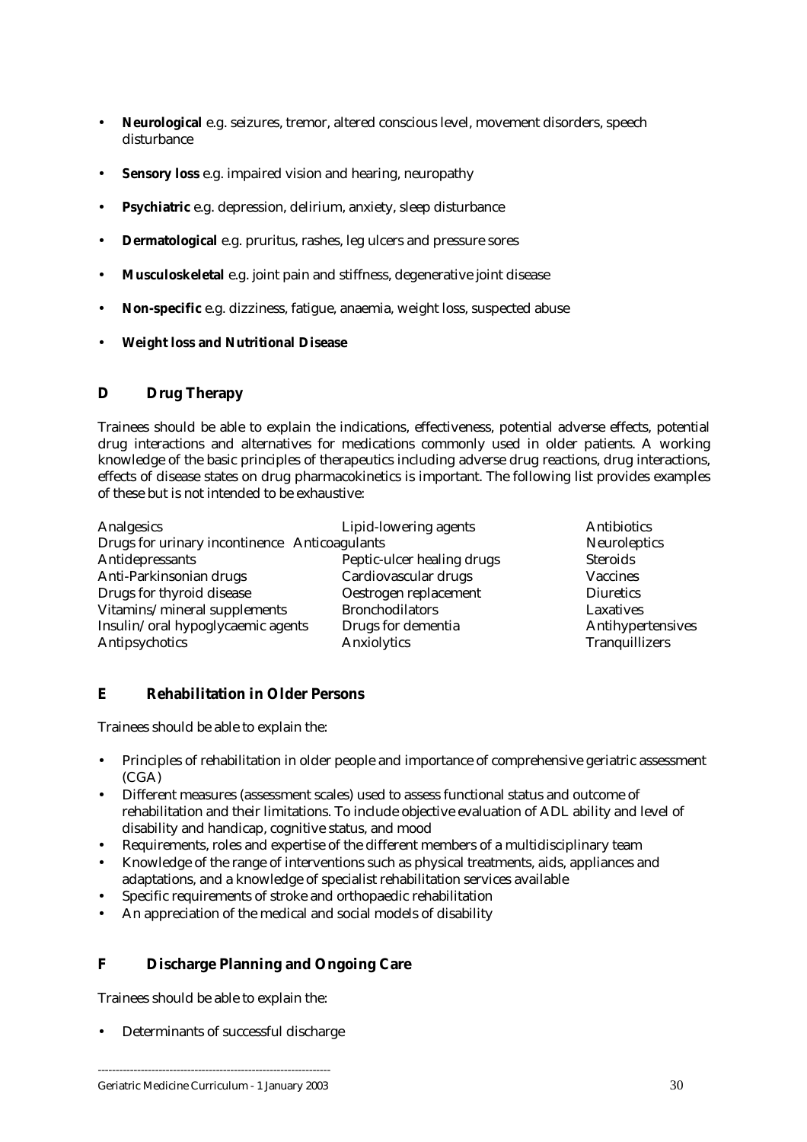- **Neurological** e.g. seizures, tremor, altered conscious level, movement disorders, speech disturbance
- **Sensory loss** e.g. impaired vision and hearing, neuropathy
- **Psychiatric** e.g. depression, delirium, anxiety, sleep disturbance
- **Dermatological** e.g. pruritus, rashes, leg ulcers and pressure sores
- **Musculoskeletal** e.g. joint pain and stiffness, degenerative joint disease
- **Non-specific** e.g. dizziness, fatigue, anaemia, weight loss, suspected abuse
- **Weight loss and Nutritional Disease**

#### **D Drug Therapy**

Trainees should be able to explain the indications, effectiveness, potential adverse effects, potential drug interactions and alternatives for medications commonly used in older patients. A working knowledge of the basic principles of therapeutics including adverse drug reactions, drug interactions, effects of disease states on drug pharmacokinetics is important. The following list provides examples of these but is not intended to be exhaustive:

| Analgesics                                    | Lipid-lowering agents      | Antibiotics       |
|-----------------------------------------------|----------------------------|-------------------|
| Drugs for urinary incontinence Anticoagulants |                            | Neuroleptics      |
| Antidepressants                               | Peptic-ulcer healing drugs | <b>Steroids</b>   |
| Anti-Parkinsonian drugs                       | Cardiovascular drugs       | <b>Vaccines</b>   |
| Drugs for thyroid disease                     | Oestrogen replacement      | <b>Diuretics</b>  |
| Vitamins/mineral supplements                  | <b>Bronchodilators</b>     | Laxatives         |
| Insulin/oral hypoglycaemic agents             | Drugs for dementia         | Antihypertensives |
| Antipsychotics                                | Anxiolytics                | Tranquillizers    |

## **E Rehabilitation in Older Persons**

Trainees should be able to explain the:

- Principles of rehabilitation in older people and importance of comprehensive geriatric assessment  $(CGA)$
- Different measures (assessment scales) used to assess functional status and outcome of rehabilitation and their limitations. To include objective evaluation of ADL ability and level of disability and handicap, cognitive status, and mood
- Requirements, roles and expertise of the different members of a multidisciplinary team
- Knowledge of the range of interventions such as physical treatments, aids, appliances and adaptations, and a knowledge of specialist rehabilitation services available
- Specific requirements of stroke and orthopaedic rehabilitation
- An appreciation of the medical and social models of disability

## **F Discharge Planning and Ongoing Care**

Trainees should be able to explain the:

• Determinants of successful discharge

----------------------------------------------------------------- Geriatric Medicine Curriculum - 1 January 2003 30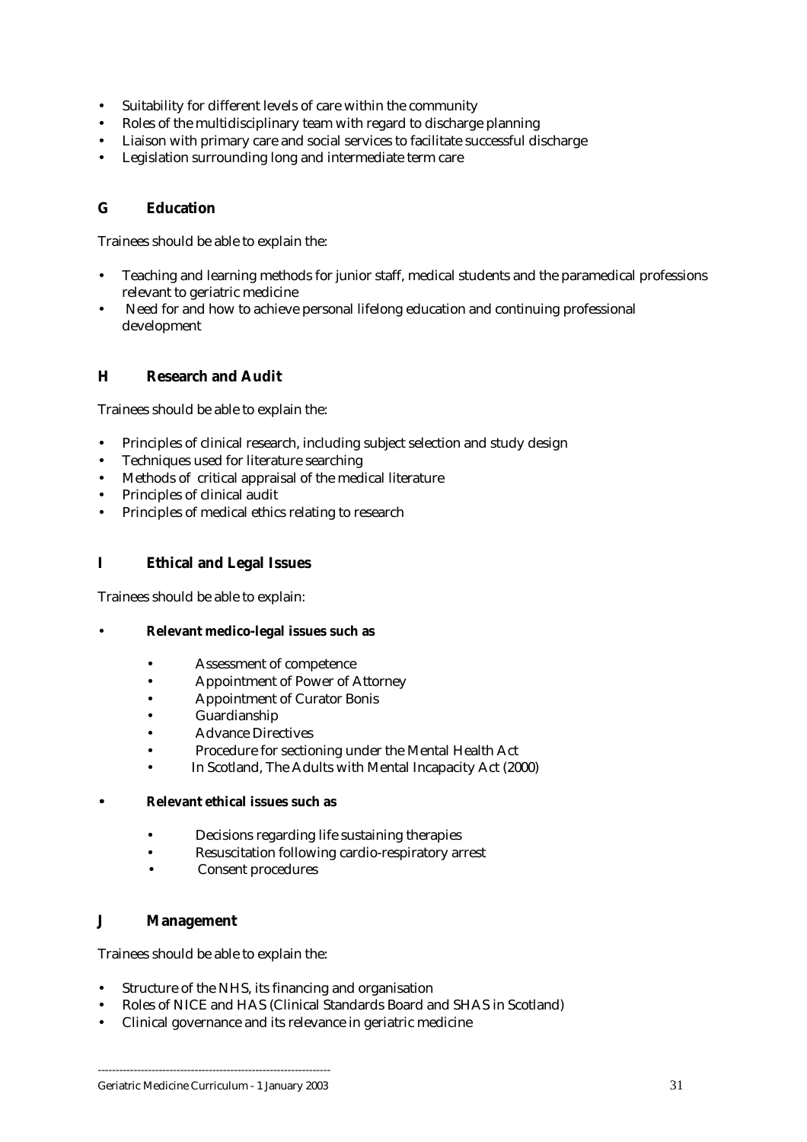- Suitability for different levels of care within the community
- Roles of the multidisciplinary team with regard to discharge planning
- Liaison with primary care and social services to facilitate successful discharge
- Legislation surrounding long and intermediate term care

#### **G Education**

Trainees should be able to explain the:

- Teaching and learning methods for junior staff, medical students and the paramedical professions relevant to geriatric medicine
- Need for and how to achieve personal lifelong education and continuing professional development

#### **H Research and Audit**

Trainees should be able to explain the:

- Principles of clinical research, including subject selection and study design
- Techniques used for literature searching
- Methods of critical appraisal of the medical literature
- Principles of clinical audit
- Principles of medical ethics relating to research

#### **I Ethical and Legal Issues**

Trainees should be able to explain:

- **Relevant medico-legal issues such as** 
	- Assessment of competence
	- Appointment of Power of Attorney
	- Appointment of Curator Bonis
	- Guardianship
	- Advance Directives
	- Procedure for sectioning under the Mental Health Act
	- In Scotland, The Adults with Mental Incapacity Act (2000)

#### • **Relevant ethical issues such as**

- Decisions regarding life sustaining therapies
- Resuscitation following cardio-respiratory arrest
- Consent procedures

#### **J Management**

Trainees should be able to explain the:

- Structure of the NHS, its financing and organisation
- Roles of NICE and HAS (Clinical Standards Board and SHAS in Scotland)
- Clinical governance and its relevance in geriatric medicine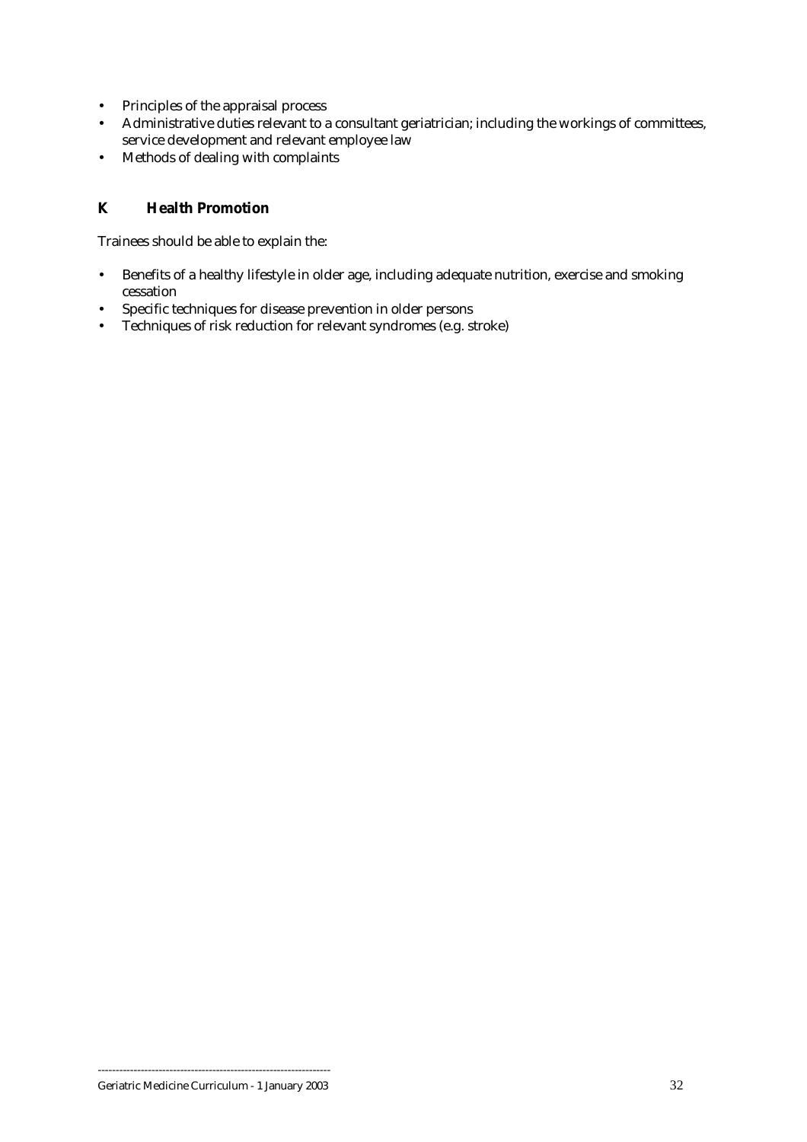- Principles of the appraisal process
- Administrative duties relevant to a consultant geriatrician; including the workings of committees, service development and relevant employee law
- Methods of dealing with complaints

## **K Health Promotion**

Trainees should be able to explain the:

- Benefits of a healthy lifestyle in older age, including adequate nutrition, exercise and smoking cessation
- Specific techniques for disease prevention in older persons
- Techniques of risk reduction for relevant syndromes (e.g. stroke)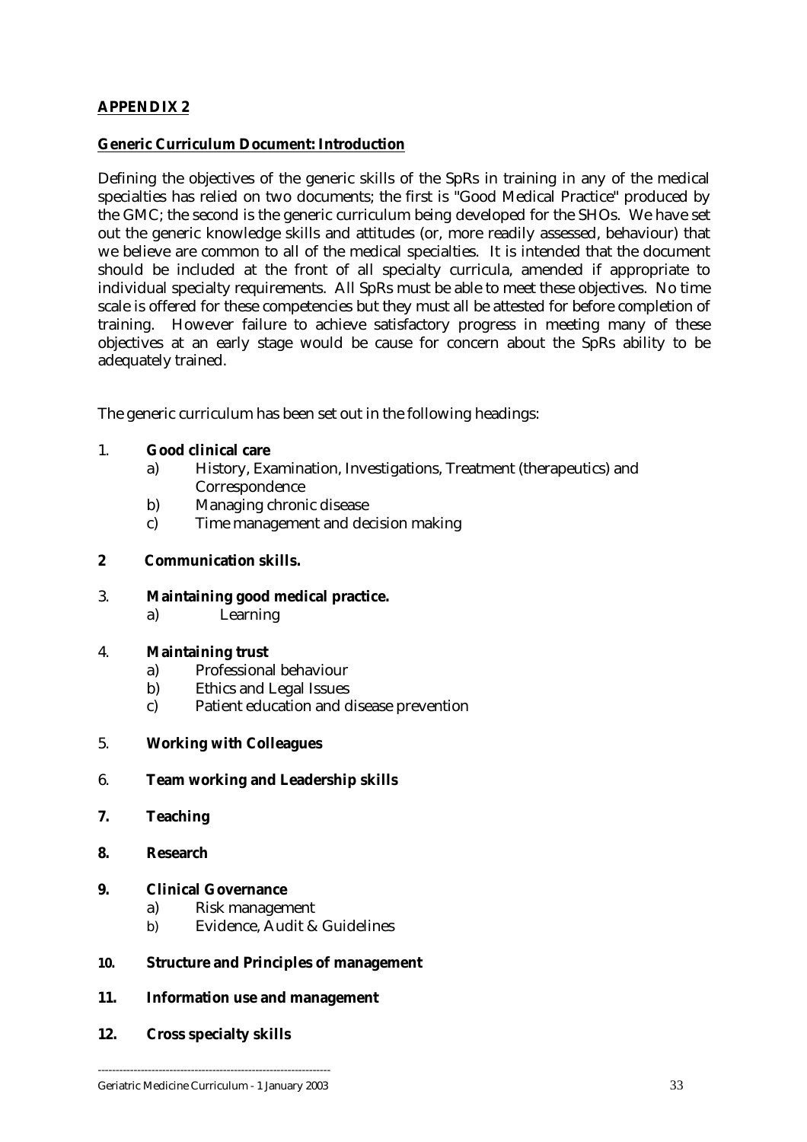## <span id="page-32-0"></span>**APPENDIX 2**

### **Generic Curriculum Document: Introduction**

Defining the objectives of the generic skills of the SpRs in training in any of the medical specialties has relied on two documents; the first is "Good Medical Practice" produced by the GMC; the second is the generic curriculum being developed for the SHOs. We have set out the generic knowledge skills and attitudes (or, more readily assessed, behaviour) that we believe are common to all of the medical specialties. It is intended that the document should be included at the front of all specialty curricula, amended if appropriate to individual specialty requirements. All SpRs must be able to meet these objectives. No time scale is offered for these competencies but they must all be attested for before completion of training. However failure to achieve satisfactory progress in meeting many of these objectives at an early stage would be cause for concern about the SpRs ability to be adequately trained.

The generic curriculum has been set out in the following headings:

#### 1. **Good clinical care**

- a) History, Examination, Investigations, Treatment (therapeutics) and **Correspondence**
- b) Managing chronic disease
- c) Time management and decision making

#### **2 Communication skills.**

#### 3. **Maintaining good medical practice.**

a) Learning

#### 4. **Maintaining trust**

- a) Professional behaviour
- b) Ethics and Legal Issues
- c) Patient education and disease prevention
- 5. **Working with Colleagues**

#### 6. **Team working and Leadership skills**

- **7. Teaching**
- **8. Research**

#### **9. Clinical Governance**

- a) Risk management
- b) Evidence, Audit & Guidelines

#### **10. Structure and Principles of management**

#### **11. Information use and management**

**12. Cross specialty skills**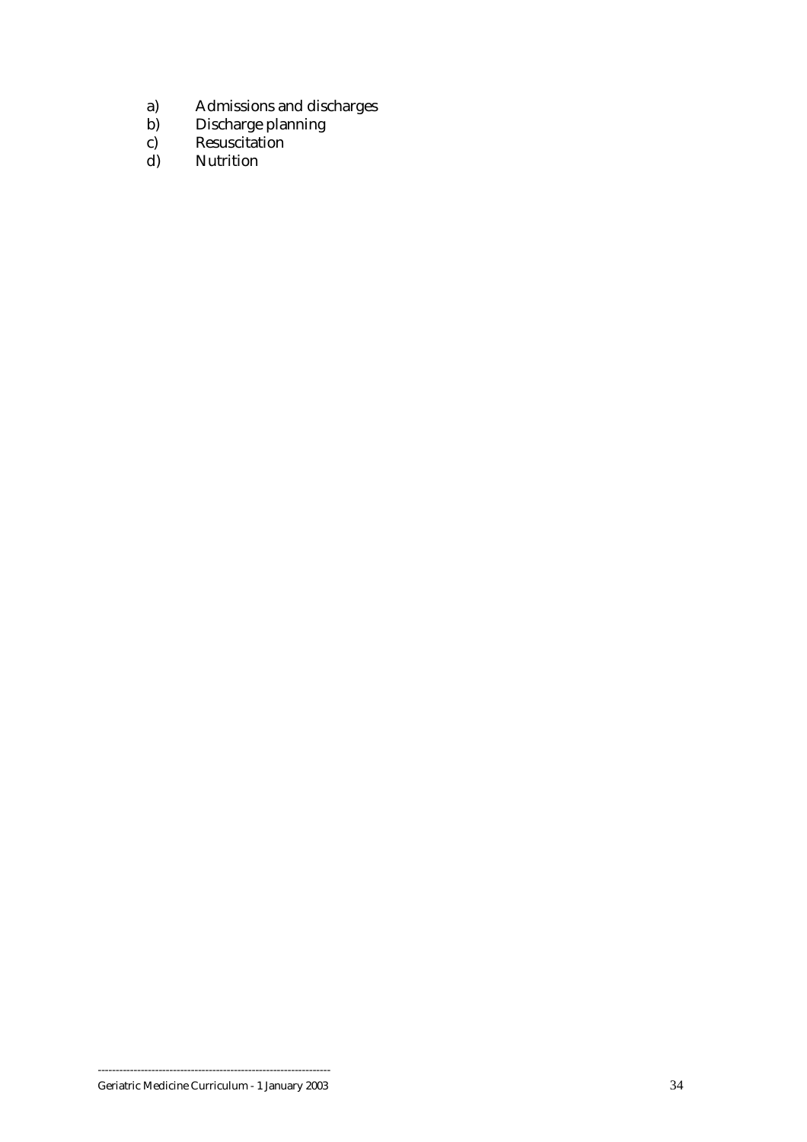- a) Admissions and discharges
- b) Discharge planning
- c) Resuscitation
	- d) Nutrition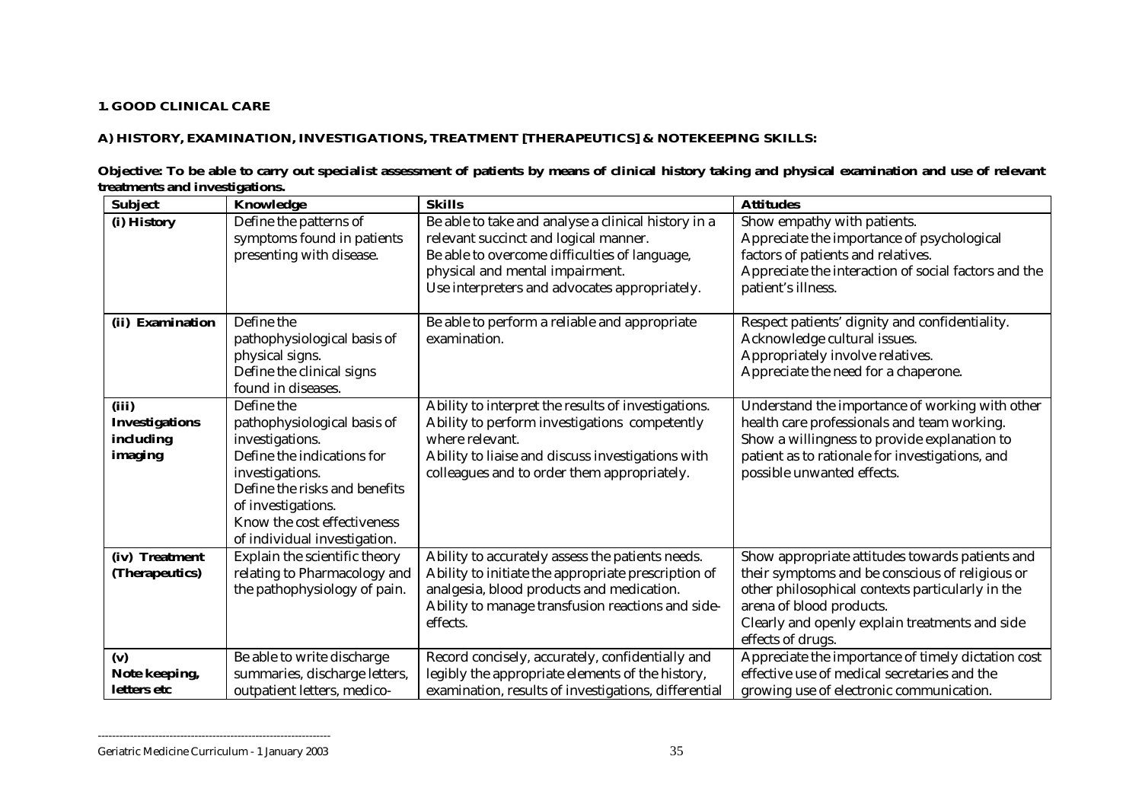#### **1. GOOD CLINICAL CARE**

## **A) HISTORY, EXAMINATION, INVESTIGATIONS, TREATMENT [THERAPEUTICS] & NOTEKEEPING SKILLS:**

|                                | Objective: To be able to carry out specialist assessment of patients by means of clinical history taking and physical examination and use of relevant |
|--------------------------------|-------------------------------------------------------------------------------------------------------------------------------------------------------|
| treatments and investigations. |                                                                                                                                                       |

| <b>Subject</b>        | Knowledge                     | <b>Skills</b>                                        | <b>Attitudes</b>                                     |
|-----------------------|-------------------------------|------------------------------------------------------|------------------------------------------------------|
| (i) History           | Define the patterns of        | Be able to take and analyse a clinical history in a  | Show empathy with patients.                          |
|                       | symptoms found in patients    | relevant succinct and logical manner.                | Appreciate the importance of psychological           |
|                       | presenting with disease.      | Be able to overcome difficulties of language,        | factors of patients and relatives.                   |
|                       |                               | physical and mental impairment.                      | Appreciate the interaction of social factors and the |
|                       |                               | Use interpreters and advocates appropriately.        | patient's illness.                                   |
|                       |                               |                                                      |                                                      |
| (ii) Examination      | Define the                    | Be able to perform a reliable and appropriate        | Respect patients' dignity and confidentiality.       |
|                       | pathophysiological basis of   | examination.                                         | Acknowledge cultural issues.                         |
|                       | physical signs.               |                                                      | Appropriately involve relatives.                     |
|                       | Define the clinical signs     |                                                      | Appreciate the need for a chaperone.                 |
|                       | found in diseases.            |                                                      |                                                      |
| (iii)                 | Define the                    | Ability to interpret the results of investigations.  | Understand the importance of working with other      |
| <b>Investigations</b> | pathophysiological basis of   | Ability to perform investigations competently        | health care professionals and team working.          |
| including             | investigations.               | where relevant.                                      | Show a willingness to provide explanation to         |
| imaging               | Define the indications for    | Ability to liaise and discuss investigations with    | patient as to rationale for investigations, and      |
|                       | investigations.               | colleagues and to order them appropriately.          | possible unwanted effects.                           |
|                       | Define the risks and benefits |                                                      |                                                      |
|                       | of investigations.            |                                                      |                                                      |
|                       | Know the cost effectiveness   |                                                      |                                                      |
|                       | of individual investigation.  |                                                      |                                                      |
| (iv) Treatment        | Explain the scientific theory | Ability to accurately assess the patients needs.     | Show appropriate attitudes towards patients and      |
| (Therapeutics)        | relating to Pharmacology and  | Ability to initiate the appropriate prescription of  | their symptoms and be conscious of religious or      |
|                       | the pathophysiology of pain.  | analgesia, blood products and medication.            | other philosophical contexts particularly in the     |
|                       |                               | Ability to manage transfusion reactions and side-    | arena of blood products.                             |
|                       |                               | effects.                                             | Clearly and openly explain treatments and side       |
|                       |                               |                                                      | effects of drugs.                                    |
| (v)                   | Be able to write discharge    | Record concisely, accurately, confidentially and     | Appreciate the importance of timely dictation cost   |
| Note keeping,         | summaries, discharge letters, | legibly the appropriate elements of the history,     | effective use of medical secretaries and the         |
| letters etc           | outpatient letters, medico-   | examination, results of investigations, differential | growing use of electronic communication.             |

Geriatric Medicine Curriculum - 1 January 2003 35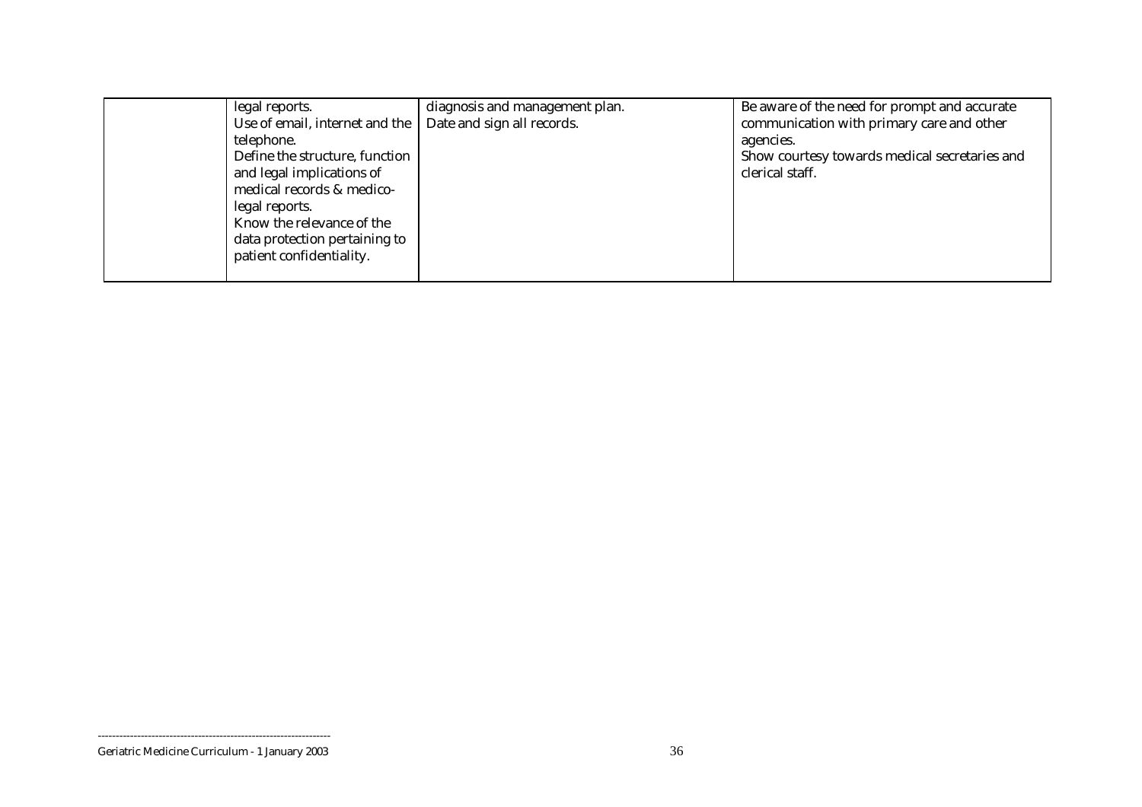| legal reports.                 | diagnosis and management plan. | Be aware of the need for prompt and accurate  |
|--------------------------------|--------------------------------|-----------------------------------------------|
| Use of email, internet and the | Date and sign all records.     | communication with primary care and other     |
| telephone.                     |                                | agencies.                                     |
| Define the structure, function |                                | Show courtesy towards medical secretaries and |
| and legal implications of      |                                | clerical staff.                               |
| medical records & medico-      |                                |                                               |
| legal reports.                 |                                |                                               |
| Know the relevance of the      |                                |                                               |
| data protection pertaining to  |                                |                                               |
| patient confidentiality.       |                                |                                               |
|                                |                                |                                               |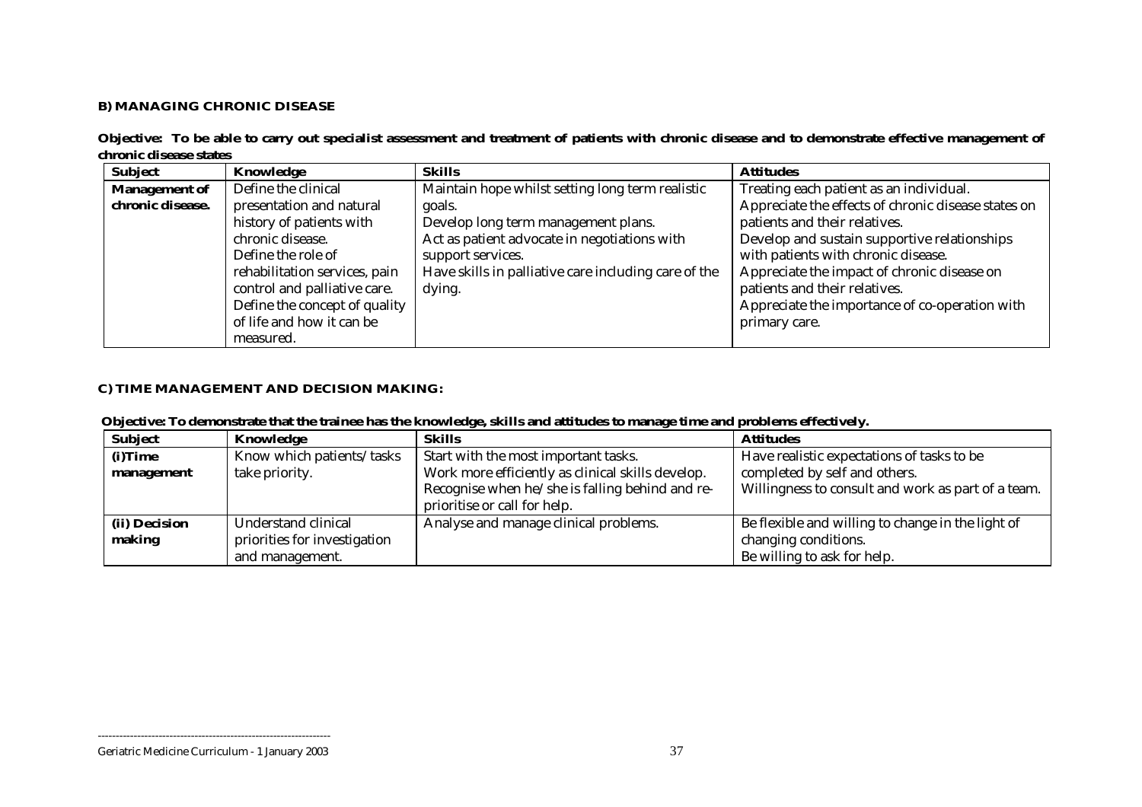## **B) MANAGING CHRONIC DISEASE**

|                        | Objective: To be able to carry out specialist assessment and treatment of patients with chronic disease and to demonstrate effective management of |  |  |  |  |
|------------------------|----------------------------------------------------------------------------------------------------------------------------------------------------|--|--|--|--|
| chronic disease states |                                                                                                                                                    |  |  |  |  |

| <b>Subject</b>       | Knowledge                     | <b>Skills</b>                                        | <b>Attitudes</b>                                    |
|----------------------|-------------------------------|------------------------------------------------------|-----------------------------------------------------|
| <b>Management of</b> | Define the clinical           | Maintain hope whilst setting long term realistic     | Treating each patient as an individual.             |
| chronic disease.     | presentation and natural      | goals.                                               | Appreciate the effects of chronic disease states on |
|                      | history of patients with      | Develop long term management plans.                  | patients and their relatives.                       |
|                      | chronic disease.              | Act as patient advocate in negotiations with         | Develop and sustain supportive relationships        |
|                      | Define the role of            | support services.                                    | with patients with chronic disease.                 |
|                      | rehabilitation services, pain | Have skills in palliative care including care of the | Appreciate the impact of chronic disease on         |
|                      | control and palliative care.  | dying.                                               | patients and their relatives.                       |
|                      | Define the concept of quality |                                                      | Appreciate the importance of co-operation with      |
|                      | of life and how it can be     |                                                      | primary care.                                       |
|                      | measured.                     |                                                      |                                                     |

## **C) TIME MANAGEMENT AND DECISION MAKING:**

|  |  |  | Objective: To demonstrate that the trainee has the knowledge, skills and attitudes to manage time and problems effectively. |
|--|--|--|-----------------------------------------------------------------------------------------------------------------------------|
|  |  |  |                                                                                                                             |

| <b>Subject</b> | Knowledge                    | <b>Skills</b>                                     | <b>Attitudes</b>                                   |
|----------------|------------------------------|---------------------------------------------------|----------------------------------------------------|
| (i)Time        | Know which patients/tasks    | Start with the most important tasks.              | Have realistic expectations of tasks to be         |
| management     | take priority.               | Work more efficiently as clinical skills develop. | completed by self and others.                      |
|                |                              | Recognise when he/she is falling behind and re-   | Willingness to consult and work as part of a team. |
|                |                              | prioritise or call for help.                      |                                                    |
| (ii) Decision  | Understand clinical          | Analyse and manage clinical problems.             | Be flexible and willing to change in the light of  |
| making         | priorities for investigation |                                                   | changing conditions.                               |
|                | and management.              |                                                   | Be willing to ask for help.                        |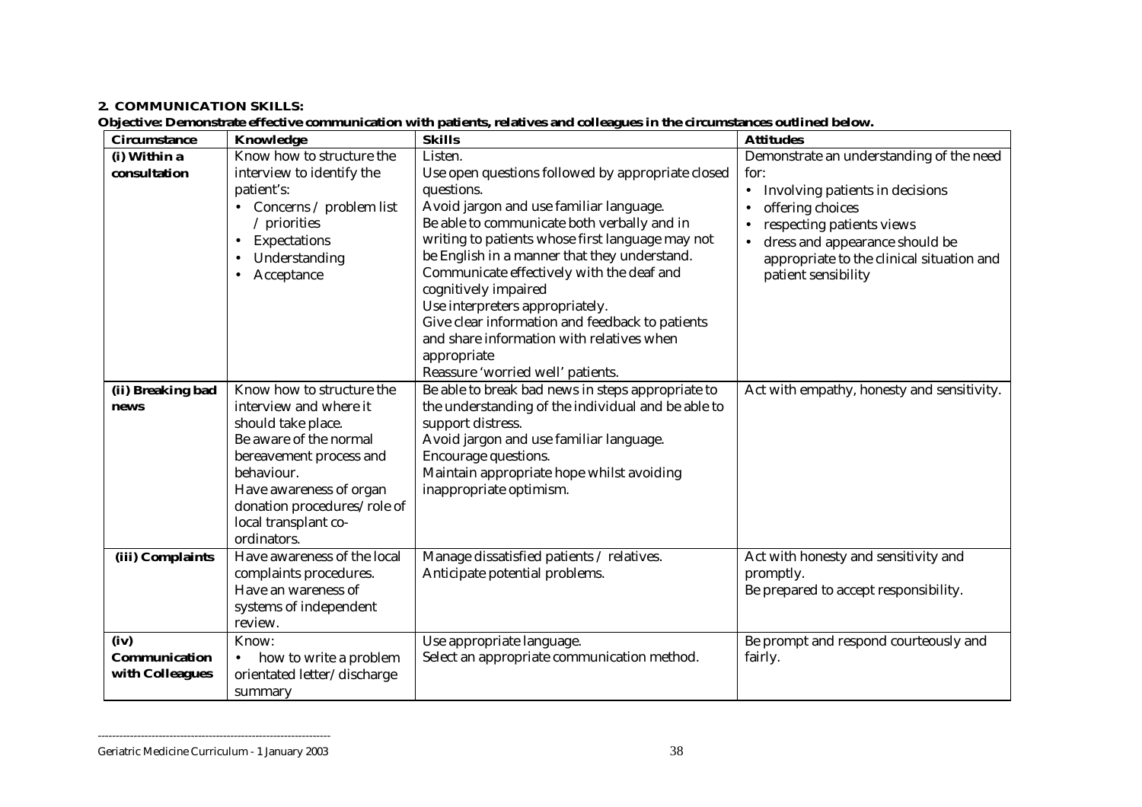#### **2. COMMUNICATION SKILLS:**

**Objective: Demonstrate effective communication with patients, relatives and colleagues in the circumstances outlined below.** 

| <b>Circumstance</b> | Knowledge                                             | <b>Skills</b>                                                            | <b>Attitudes</b>                                 |
|---------------------|-------------------------------------------------------|--------------------------------------------------------------------------|--------------------------------------------------|
| (i) Within a        | Know how to structure the                             | Listen.                                                                  | Demonstrate an understanding of the need         |
| consultation        | interview to identify the                             | Use open questions followed by appropriate closed                        | for:                                             |
|                     | patient's:                                            | questions.                                                               | Involving patients in decisions<br>$\bullet$     |
|                     | Concerns / problem list                               | Avoid jargon and use familiar language.                                  | offering choices                                 |
|                     | $/$ priorities                                        | Be able to communicate both verbally and in                              | respecting patients views                        |
|                     | Expectations<br>$\bullet$                             | writing to patients whose first language may not                         | dress and appearance should be                   |
|                     | Understanding                                         | be English in a manner that they understand.                             | appropriate to the clinical situation and        |
|                     | Acceptance<br>$\bullet$                               | Communicate effectively with the deaf and<br>cognitively impaired        | patient sensibility                              |
|                     |                                                       | Use interpreters appropriately.                                          |                                                  |
|                     |                                                       | Give clear information and feedback to patients                          |                                                  |
|                     |                                                       | and share information with relatives when                                |                                                  |
|                     |                                                       | appropriate                                                              |                                                  |
|                     |                                                       | Reassure 'worried well' patients.                                        |                                                  |
| (ii) Breaking bad   | Know how to structure the                             | Be able to break bad news in steps appropriate to                        | Act with empathy, honesty and sensitivity.       |
| news                | interview and where it                                | the understanding of the individual and be able to                       |                                                  |
|                     | should take place.                                    | support distress.                                                        |                                                  |
|                     | Be aware of the normal                                | Avoid jargon and use familiar language.                                  |                                                  |
|                     | bereavement process and                               | Encourage questions.                                                     |                                                  |
|                     | behaviour.                                            | Maintain appropriate hope whilst avoiding                                |                                                  |
|                     | Have awareness of organ                               | inappropriate optimism.                                                  |                                                  |
|                     | donation procedures/role of                           |                                                                          |                                                  |
|                     | local transplant co-                                  |                                                                          |                                                  |
|                     | ordinators.                                           |                                                                          |                                                  |
| (iii) Complaints    | Have awareness of the local                           | Manage dissatisfied patients / relatives.                                | Act with honesty and sensitivity and             |
|                     | complaints procedures.<br>Have an wareness of         | Anticipate potential problems.                                           | promptly.                                        |
|                     |                                                       |                                                                          | Be prepared to accept responsibility.            |
|                     | systems of independent<br>review.                     |                                                                          |                                                  |
| (iv)                | Know:                                                 |                                                                          |                                                  |
| Communication       |                                                       | Use appropriate language.<br>Select an appropriate communication method. | Be prompt and respond courteously and<br>fairly. |
| with Colleagues     | how to write a problem<br>orientated letter/discharge |                                                                          |                                                  |
|                     | summary                                               |                                                                          |                                                  |

Geriatric Medicine Curriculum - 1 January 2003 38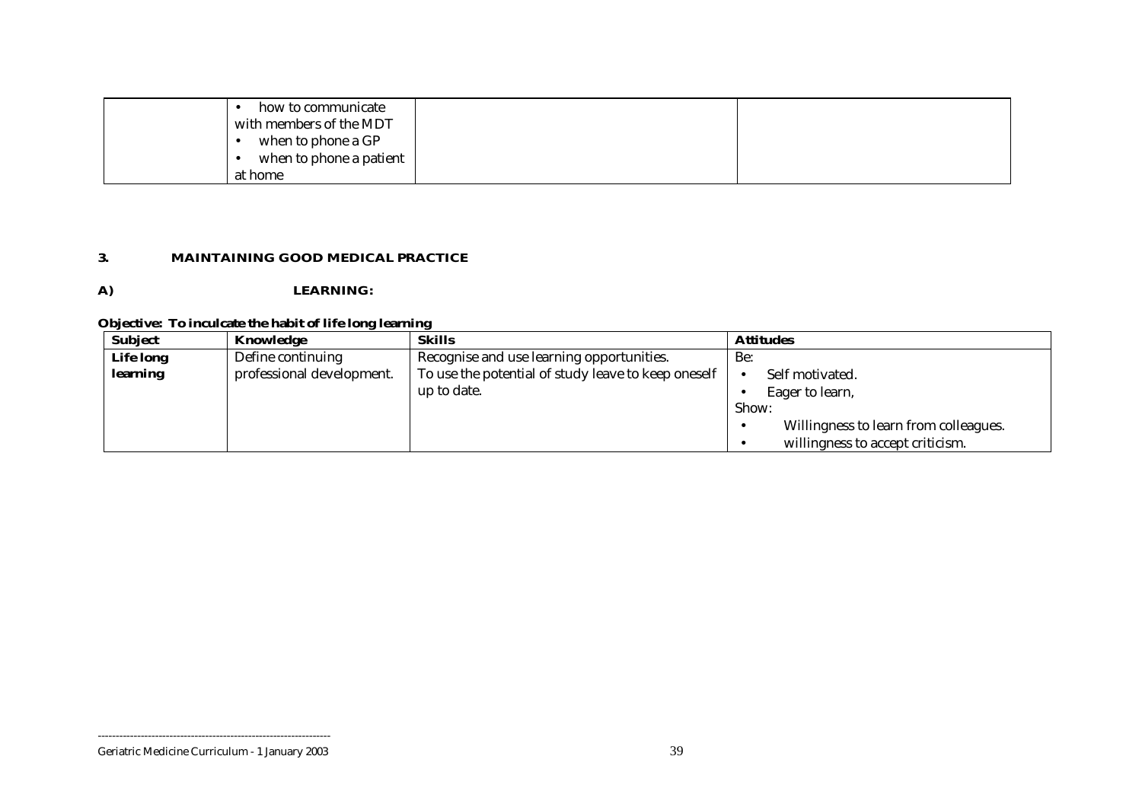| how to communicate<br>with members of the MDT<br>when to phone a GP |  |
|---------------------------------------------------------------------|--|
| when to phone a patient                                             |  |
| at home                                                             |  |

#### **3. MAINTAINING GOOD MEDICAL PRACTICE**

## **A) LEARNING:**

## **Objective: To inculcate the habit of life long learning**

| <b>Subject</b>   | Knowledge                 | <b>Skills</b>                                       | <b>Attitudes</b>                      |
|------------------|---------------------------|-----------------------------------------------------|---------------------------------------|
| <b>Life long</b> | Define continuing         | Recognise and use learning opportunities.           | Be:                                   |
| learning         | professional development. | To use the potential of study leave to keep oneself | Self motivated.                       |
|                  |                           | up to date.                                         | Eager to learn,                       |
|                  |                           |                                                     | Show:                                 |
|                  |                           |                                                     | Willingness to learn from colleagues. |
|                  |                           |                                                     | willingness to accept criticism.      |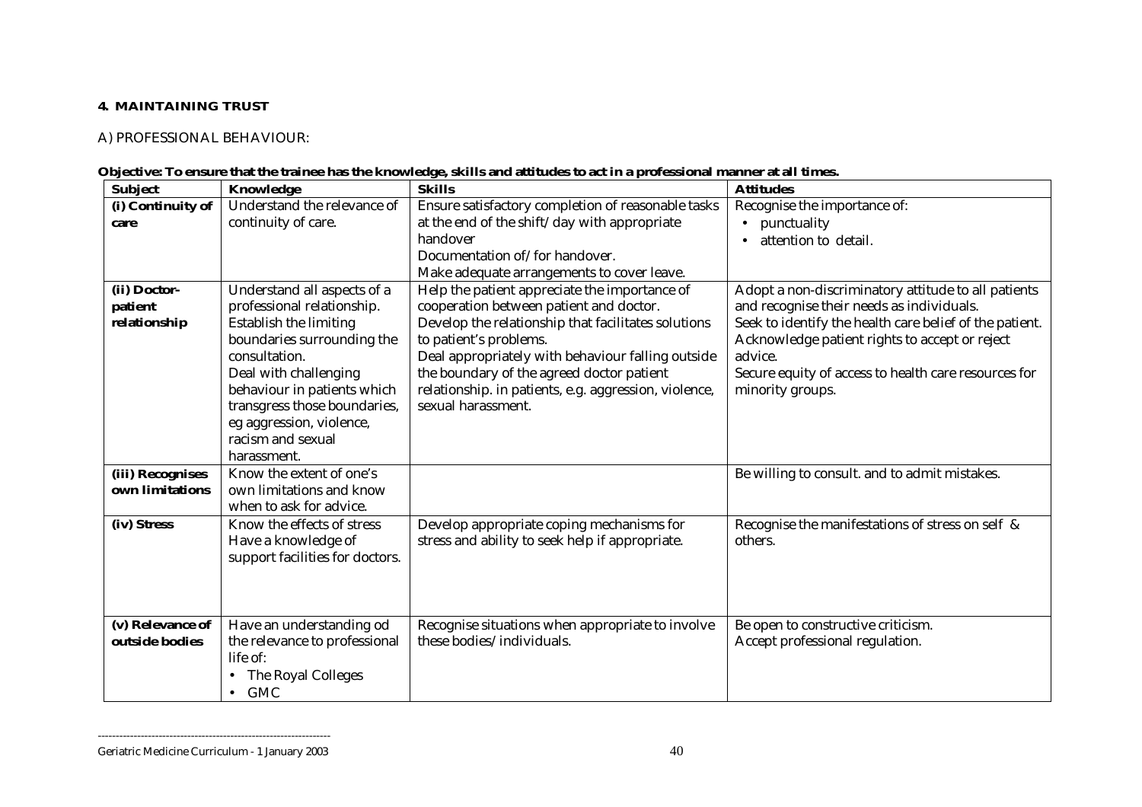#### **4. MAINTAINING TRUST**

## A) PROFESSIONAL BEHAVIOUR:

|  |  |  |  |  | Objective: To ensure that the trainee has the knowledge, skills and attitudes to act in a professional manner at all times. |  |
|--|--|--|--|--|-----------------------------------------------------------------------------------------------------------------------------|--|
|  |  |  |  |  |                                                                                                                             |  |

| <b>Subject</b>    | Knowledge                       | <b>Skills</b>                                         | <b>Attitudes</b>                                        |
|-------------------|---------------------------------|-------------------------------------------------------|---------------------------------------------------------|
| (i) Continuity of | Understand the relevance of     | Ensure satisfactory completion of reasonable tasks    | Recognise the importance of:                            |
| care              | continuity of care.             | at the end of the shift/day with appropriate          | punctuality                                             |
|                   |                                 | handover                                              | attention to detail.                                    |
|                   |                                 | Documentation of/for handover.                        |                                                         |
|                   |                                 | Make adequate arrangements to cover leave.            |                                                         |
| (ii) Doctor-      | Understand all aspects of a     | Help the patient appreciate the importance of         | Adopt a non-discriminatory attitude to all patients     |
| patient           | professional relationship.      | cooperation between patient and doctor.               | and recognise their needs as individuals.               |
| relationship      | Establish the limiting          | Develop the relationship that facilitates solutions   | Seek to identify the health care belief of the patient. |
|                   | boundaries surrounding the      | to patient's problems.                                | Acknowledge patient rights to accept or reject          |
|                   | consultation.                   | Deal appropriately with behaviour falling outside     | advice.                                                 |
|                   | Deal with challenging           | the boundary of the agreed doctor patient             | Secure equity of access to health care resources for    |
|                   | behaviour in patients which     | relationship. in patients, e.g. aggression, violence, | minority groups.                                        |
|                   | transgress those boundaries,    | sexual harassment.                                    |                                                         |
|                   | eg aggression, violence,        |                                                       |                                                         |
|                   | racism and sexual               |                                                       |                                                         |
|                   | harassment.                     |                                                       |                                                         |
| (iii) Recognises  | Know the extent of one's        |                                                       | Be willing to consult. and to admit mistakes.           |
| own limitations   | own limitations and know        |                                                       |                                                         |
|                   | when to ask for advice.         |                                                       |                                                         |
| (iv) Stress       | Know the effects of stress      | Develop appropriate coping mechanisms for             | Recognise the manifestations of stress on self &        |
|                   | Have a knowledge of             | stress and ability to seek help if appropriate.       | others.                                                 |
|                   | support facilities for doctors. |                                                       |                                                         |
|                   |                                 |                                                       |                                                         |
|                   |                                 |                                                       |                                                         |
| (v) Relevance of  | Have an understanding od        | Recognise situations when appropriate to involve      | Be open to constructive criticism.                      |
| outside bodies    | the relevance to professional   | these bodies/individuals.                             | Accept professional regulation.                         |
|                   | life of:                        |                                                       |                                                         |
|                   | The Royal Colleges              |                                                       |                                                         |
|                   | <b>GMC</b><br>$\bullet$         |                                                       |                                                         |
|                   |                                 |                                                       |                                                         |

Geriatric Medicine Curriculum - 1 January 2003 40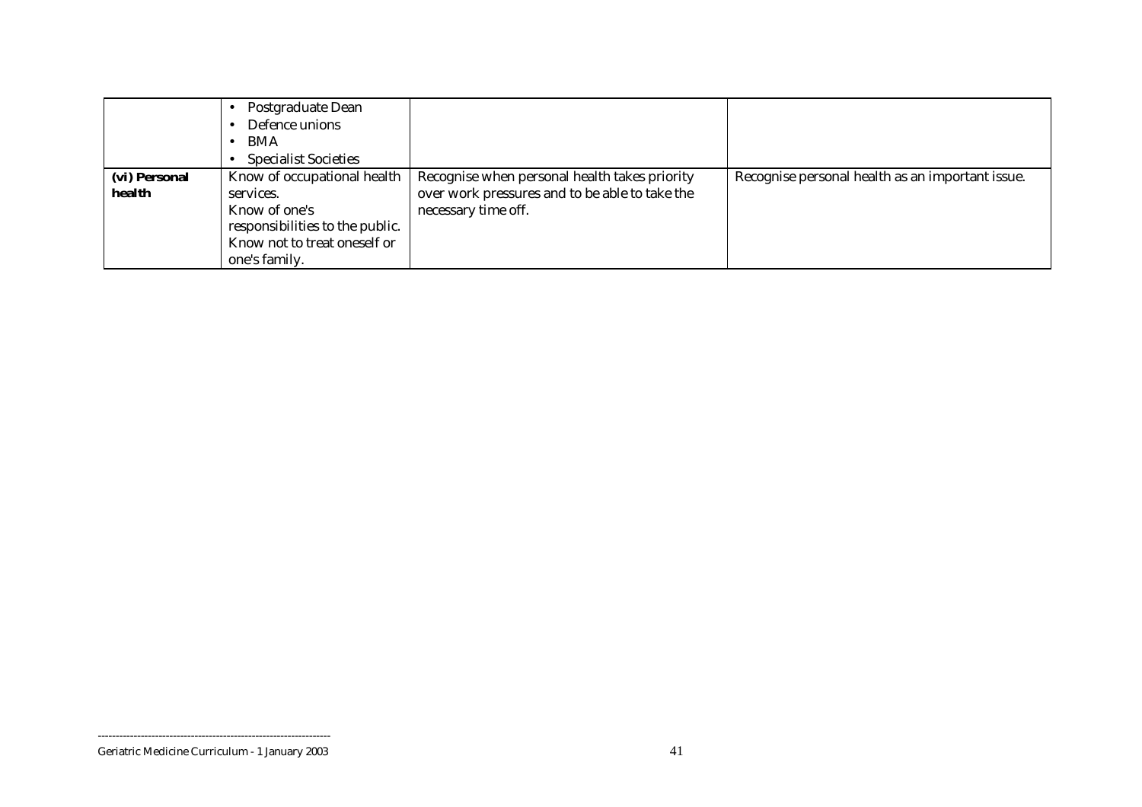|                         | Postgraduate Dean<br>Defence unions<br>BMA<br><b>Specialist Societies</b>                                                                     |                                                                                                                        |                                                  |
|-------------------------|-----------------------------------------------------------------------------------------------------------------------------------------------|------------------------------------------------------------------------------------------------------------------------|--------------------------------------------------|
| (vi) Personal<br>health | Know of occupational health<br>services.<br>Know of one's<br>responsibilities to the public.<br>Know not to treat oneself or<br>one's family. | Recognise when personal health takes priority<br>over work pressures and to be able to take the<br>necessary time off. | Recognise personal health as an important issue. |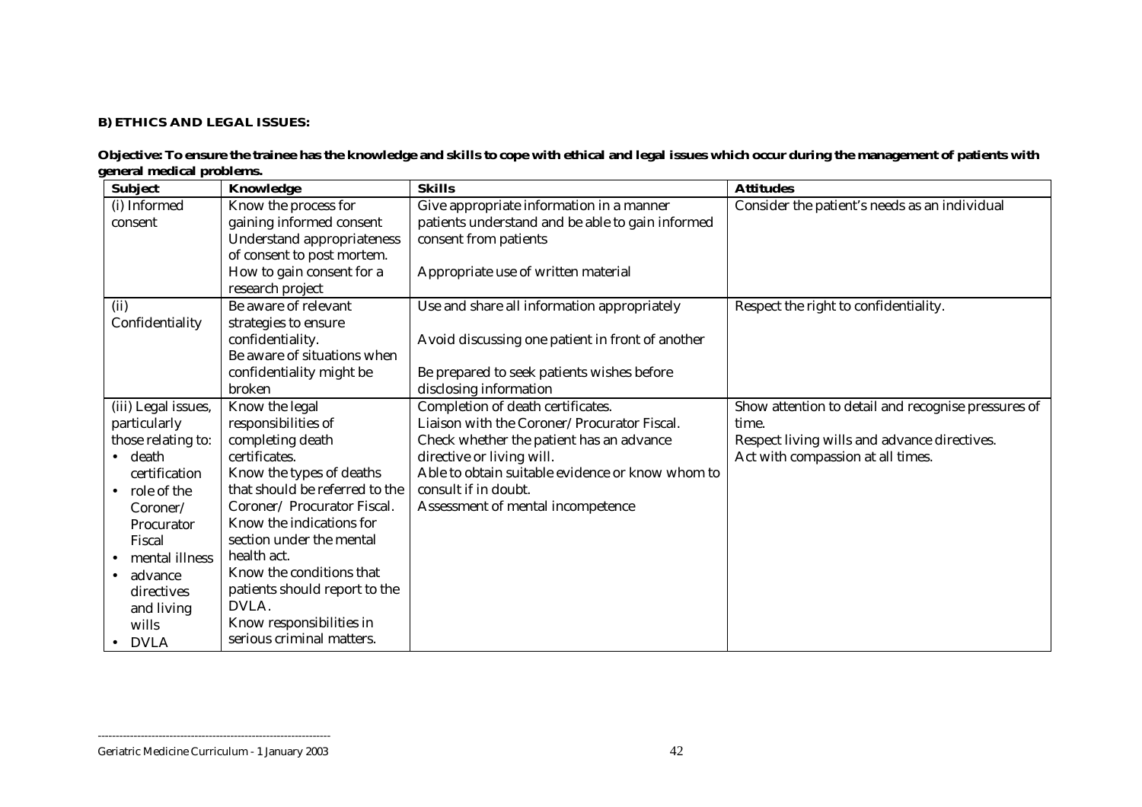### **B) ETHICS AND LEGAL ISSUES:**

| <b>Subject</b>           | Knowledge                      | <b>Skills</b>                                    | <b>Attitudes</b>                                    |
|--------------------------|--------------------------------|--------------------------------------------------|-----------------------------------------------------|
| (i) Informed             | Know the process for           | Give appropriate information in a manner         | Consider the patient's needs as an individual       |
| consent                  | gaining informed consent       | patients understand and be able to gain informed |                                                     |
|                          | Understand appropriateness     | consent from patients                            |                                                     |
|                          | of consent to post mortem.     |                                                  |                                                     |
|                          | How to gain consent for a      | Appropriate use of written material              |                                                     |
|                          | research project               |                                                  |                                                     |
| (ii)                     | Be aware of relevant           | Use and share all information appropriately      | Respect the right to confidentiality.               |
| Confidentiality          | strategies to ensure           |                                                  |                                                     |
|                          | confidentiality.               | Avoid discussing one patient in front of another |                                                     |
|                          | Be aware of situations when    |                                                  |                                                     |
|                          | confidentiality might be       | Be prepared to seek patients wishes before       |                                                     |
|                          | broken                         | disclosing information                           |                                                     |
| (iii) Legal issues,      | Know the legal                 | Completion of death certificates.                | Show attention to detail and recognise pressures of |
| particularly             | responsibilities of            | Liaison with the Coroner/Procurator Fiscal.      | time.                                               |
| those relating to:       | completing death               | Check whether the patient has an advance         | Respect living wills and advance directives.        |
| $\bullet$ death          | certificates.                  | directive or living will.                        | Act with compassion at all times.                   |
| certification            | Know the types of deaths       | Able to obtain suitable evidence or know whom to |                                                     |
| role of the<br>$\bullet$ | that should be referred to the | consult if in doubt.                             |                                                     |
| Coroner/                 | Coroner/ Procurator Fiscal.    | Assessment of mental incompetence                |                                                     |
| Procurator               | Know the indications for       |                                                  |                                                     |
| Fiscal                   | section under the mental       |                                                  |                                                     |
| mental illness           | health act.                    |                                                  |                                                     |
| advance                  | Know the conditions that       |                                                  |                                                     |
| directives               | patients should report to the  |                                                  |                                                     |
| and living               | DVLA.                          |                                                  |                                                     |
| wills                    | Know responsibilities in       |                                                  |                                                     |
| <b>DVLA</b>              | serious criminal matters.      |                                                  |                                                     |

#### **Objective: To ensure the trainee has the knowledge and skills to cope with ethical and legal issues which occur during the management of patients with general medical problems.**

#### Geriatric Medicine Curriculum - 1 January 2003 42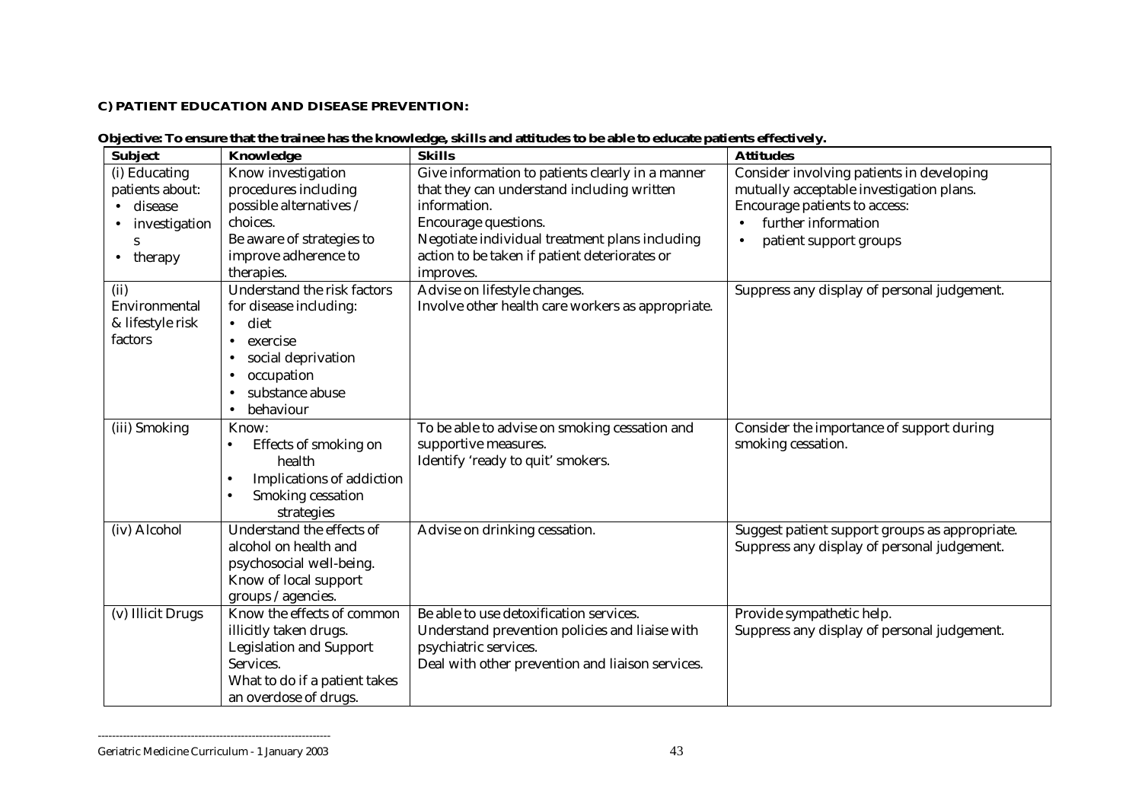#### **C) PATIENT EDUCATION AND DISEASE PREVENTION:**

| <b>Subject</b>                                                                                         | Knowledge                                                                                                                                                                      | Objective: To ensure that the trainee has the knowledge, skills and attitudes to be able to educate patients effectively.<br><b>Skills</b>                                                                                                             | <b>Attitudes</b>                                                                                                                                                        |
|--------------------------------------------------------------------------------------------------------|--------------------------------------------------------------------------------------------------------------------------------------------------------------------------------|--------------------------------------------------------------------------------------------------------------------------------------------------------------------------------------------------------------------------------------------------------|-------------------------------------------------------------------------------------------------------------------------------------------------------------------------|
| (i) Educating<br>patients about:<br>disease<br>$\bullet$<br>investigation<br>S<br>therapy<br>$\bullet$ | Know investigation<br>procedures including<br>possible alternatives /<br>choices.<br>Be aware of strategies to<br>improve adherence to<br>therapies.                           | Give information to patients clearly in a manner<br>that they can understand including written<br>information.<br>Encourage questions.<br>Negotiate individual treatment plans including<br>action to be taken if patient deteriorates or<br>improves. | Consider involving patients in developing<br>mutually acceptable investigation plans.<br>Encourage patients to access:<br>further information<br>patient support groups |
| (ii)<br>Environmental<br>& lifestyle risk<br>factors                                                   | Understand the risk factors<br>for disease including:<br>$\bullet$ diet<br>exercise<br>social deprivation<br>occupation<br>٠<br>substance abuse<br>٠<br>behaviour<br>$\bullet$ | Advise on lifestyle changes.<br>Involve other health care workers as appropriate.                                                                                                                                                                      | Suppress any display of personal judgement.                                                                                                                             |
| (iii) Smoking                                                                                          | Know:<br>Effects of smoking on<br>$\bullet$<br>health<br>Implications of addiction<br>$\bullet$<br>Smoking cessation<br>$\bullet$<br>strategies                                | To be able to advise on smoking cessation and<br>supportive measures.<br>Identify 'ready to quit' smokers.                                                                                                                                             | Consider the importance of support during<br>smoking cessation.                                                                                                         |
| (iv) Alcohol                                                                                           | Understand the effects of<br>alcohol on health and<br>psychosocial well-being.                                                                                                 | Advise on drinking cessation.                                                                                                                                                                                                                          | Suggest patient support groups as appropriate.<br>Suppress any display of personal judgement.                                                                           |

#### **Objective: To ensure that the trainee has the knowledge, skills and attitudes to be able to educate patients effectively.**

Know of local support groups /agencies. (v) Illicit Drugs | Know the effects of common illicitly taken drugs. Legislation and Support Services. What to do if a patient takes an overdose of drugs. Be able to use detoxification services. Understand prevention policies and liaise with psychiatric services. Deal with other prevention and liaison services. Provide sympathetic help. Suppress any display of personal judgement.

<sup>-----------------------------------------------------------------</sup> Geriatric Medicine Curriculum - 1 January 2003 43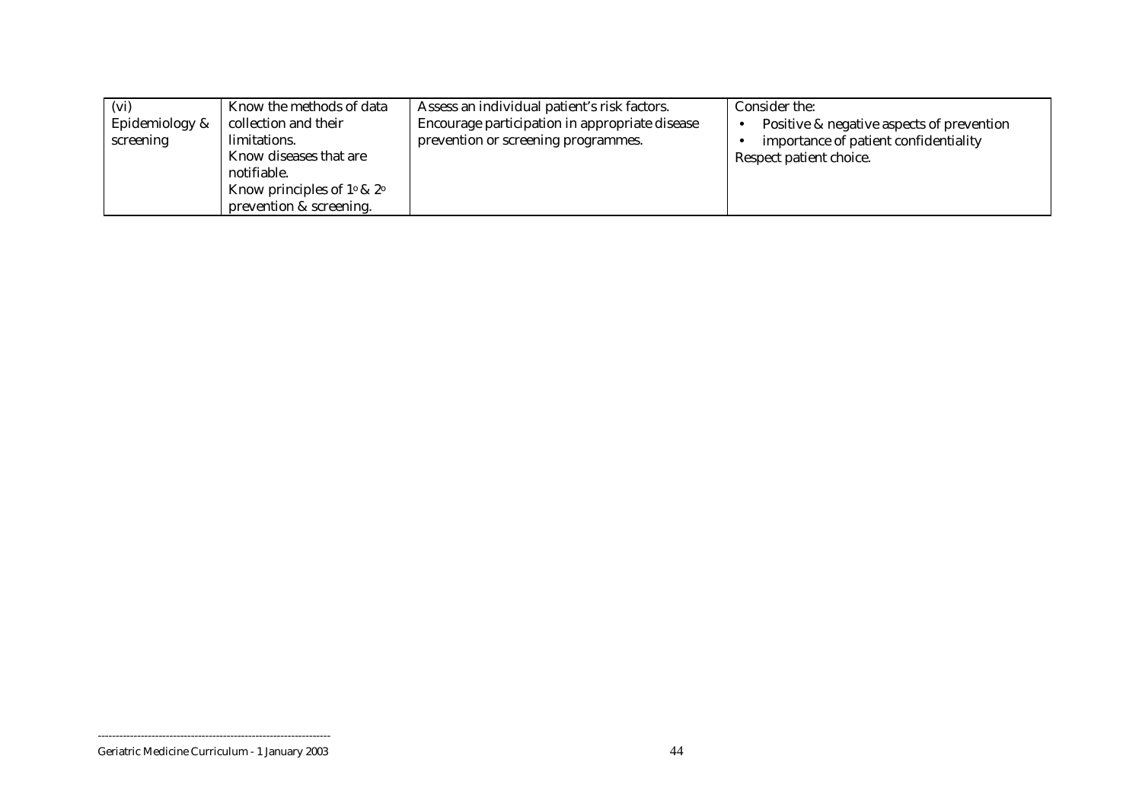| (vi)           | Know the methods of data                | Assess an individual patient's risk factors.   | Consider the:                             |
|----------------|-----------------------------------------|------------------------------------------------|-------------------------------------------|
| Epidemiology & | collection and their                    | Encourage participation in appropriate disease | Positive & negative aspects of prevention |
| screening      | limitations.                            | prevention or screening programmes.            | importance of patient confidentiality     |
|                | Know diseases that are                  |                                                | Respect patient choice.                   |
|                | notifiable.                             |                                                |                                           |
|                | Know principles of $1^\circ \& 2^\circ$ |                                                |                                           |
|                | prevention & screening.                 |                                                |                                           |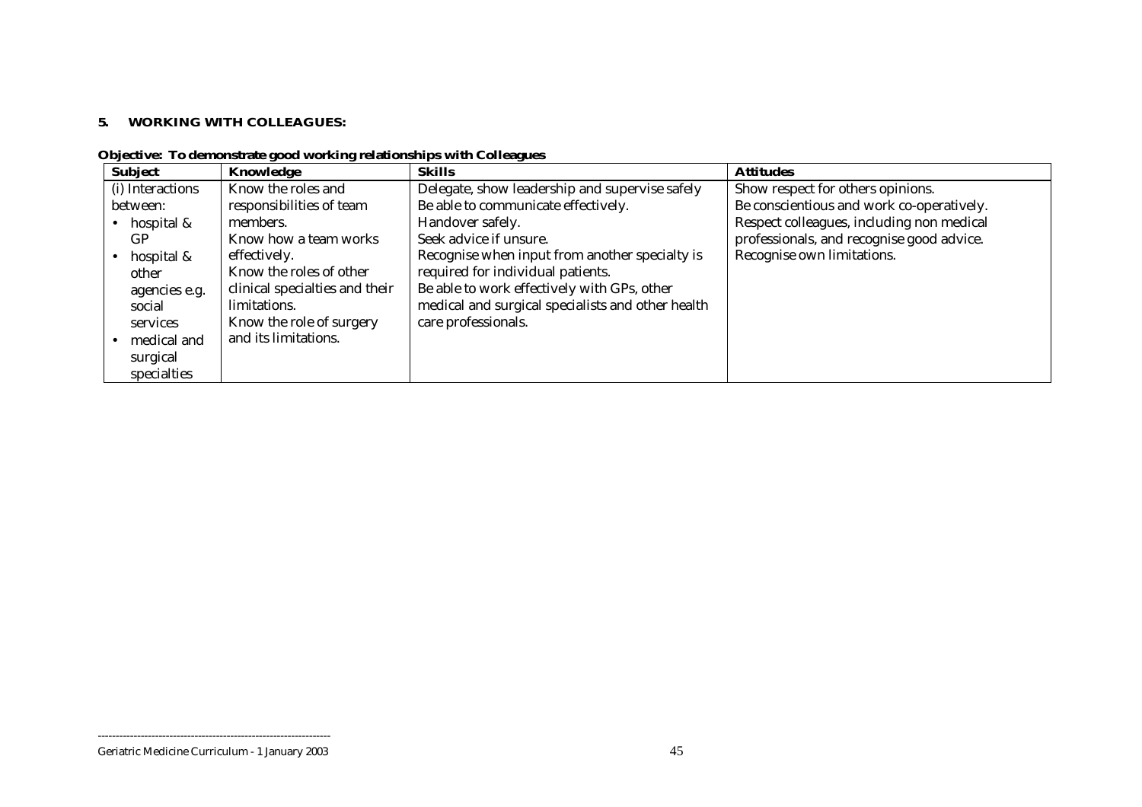#### **5. WORKING WITH COLLEAGUES:**

| <b>Subject</b>   | Knowledge                      | <b>Skills</b>                                     | <b>Attitudes</b>                          |
|------------------|--------------------------------|---------------------------------------------------|-------------------------------------------|
| (i) Interactions | Know the roles and             | Delegate, show leadership and supervise safely    | Show respect for others opinions.         |
| between:         | responsibilities of team       | Be able to communicate effectively.               | Be conscientious and work co-operatively. |
| hospital &       | members.                       | Handover safely.                                  | Respect colleagues, including non medical |
| GP               | Know how a team works          | Seek advice if unsure.                            | professionals, and recognise good advice. |
| hospital &       | effectively.                   | Recognise when input from another specialty is    | Recognise own limitations.                |
| other            | Know the roles of other        | required for individual patients.                 |                                           |
| agencies e.g.    | clinical specialties and their | Be able to work effectively with GPs, other       |                                           |
| social           | limitations.                   | medical and surgical specialists and other health |                                           |
| services         | Know the role of surgery       | care professionals.                               |                                           |
| medical and      | and its limitations.           |                                                   |                                           |
| surgical         |                                |                                                   |                                           |
| specialties      |                                |                                                   |                                           |

**Objective: To demonstrate good working relationships with Colleagues**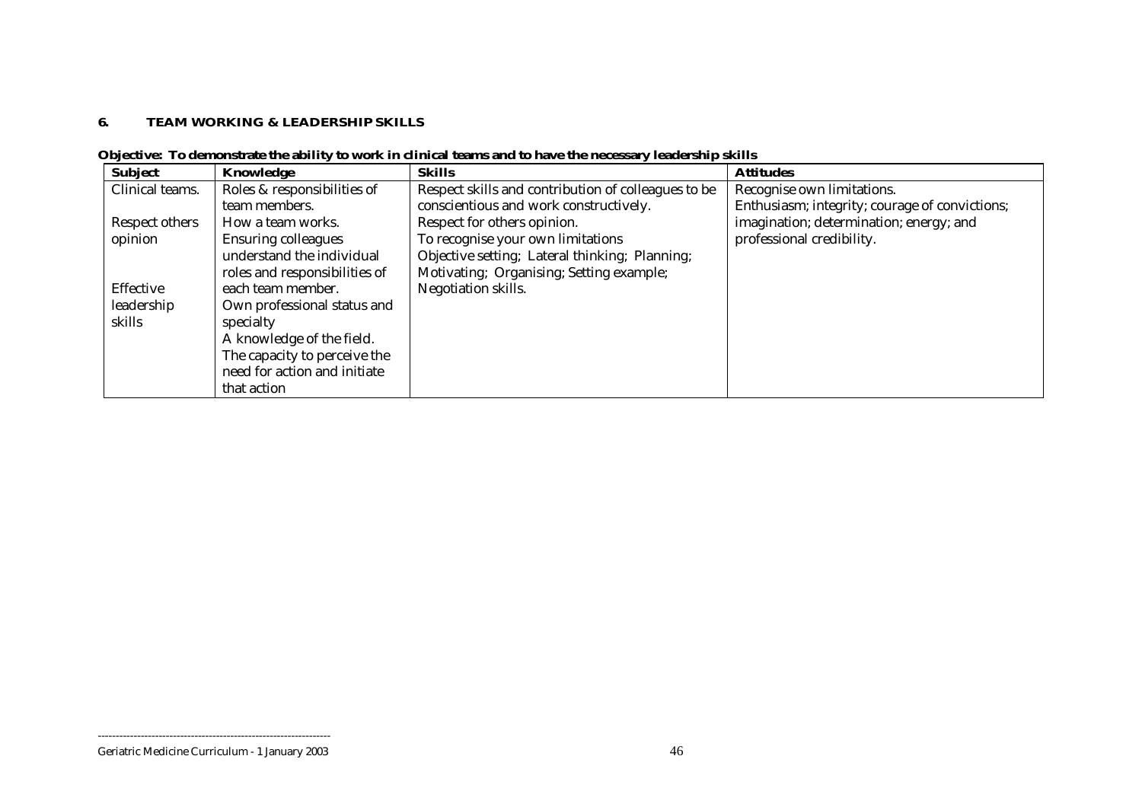#### **6. TEAM WORKING & LEADERSHIP SKILLS**

| <b>Subject</b>  | Knowledge                     | <b>Skills</b>                                       | <b>Attitudes</b>                               |
|-----------------|-------------------------------|-----------------------------------------------------|------------------------------------------------|
| Clinical teams. | Roles & responsibilities of   | Respect skills and contribution of colleagues to be | Recognise own limitations.                     |
|                 | team members.                 | conscientious and work constructively.              | Enthusiasm; integrity; courage of convictions; |
| Respect others  | How a team works.             | Respect for others opinion.                         | imagination; determination; energy; and        |
| opinion         | <b>Ensuring colleagues</b>    | To recognise your own limitations                   | professional credibility.                      |
|                 | understand the individual     | Objective setting; Lateral thinking; Planning;      |                                                |
|                 | roles and responsibilities of | Motivating; Organising; Setting example;            |                                                |
| Effective       | each team member.             | Negotiation skills.                                 |                                                |
| leadership      | Own professional status and   |                                                     |                                                |
| skills          | specialty                     |                                                     |                                                |
|                 | A knowledge of the field.     |                                                     |                                                |
|                 | The capacity to perceive the  |                                                     |                                                |
|                 | need for action and initiate  |                                                     |                                                |
|                 | that action                   |                                                     |                                                |

**Objective: To demonstrate the ability to work in clinical teams and to have the necessary leadership skills**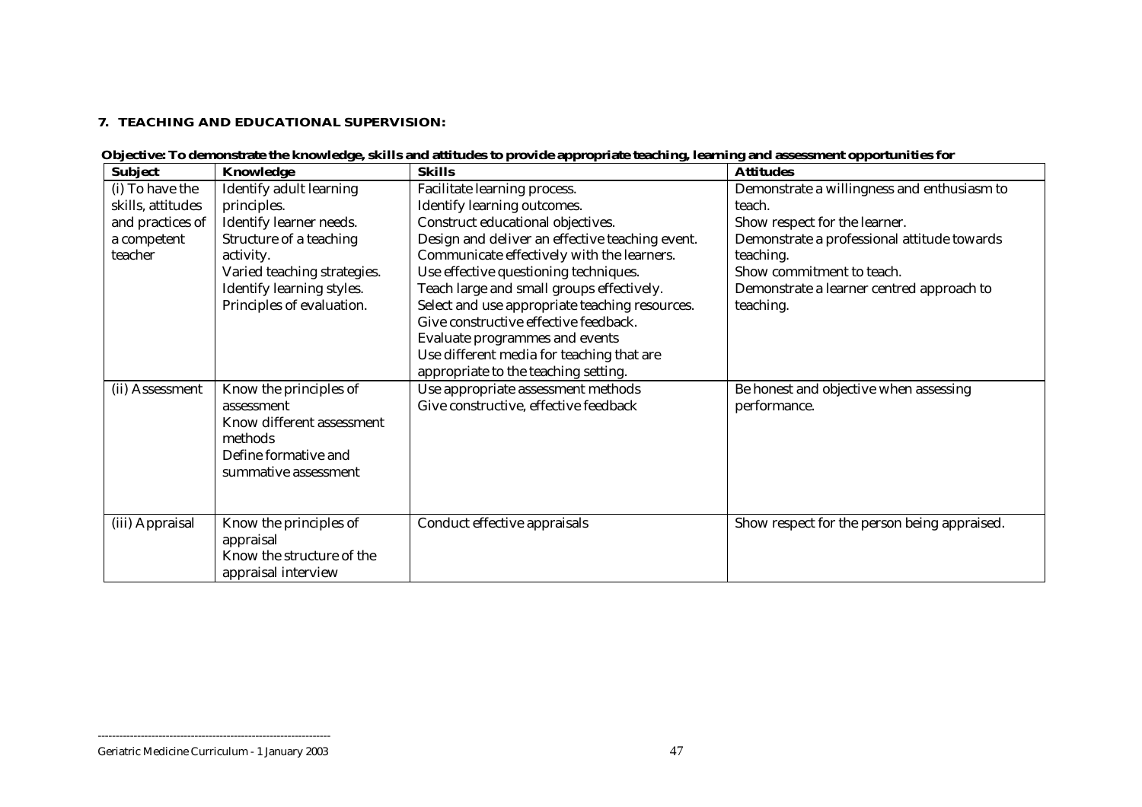#### **7. TEACHING AND EDUCATIONAL SUPERVISION:**

| <b>Subject</b>    | Knowledge                   | <b>Skills</b>                                   | <b>Attitudes</b>                             |
|-------------------|-----------------------------|-------------------------------------------------|----------------------------------------------|
| (i) To have the   | Identify adult learning     | Facilitate learning process.                    | Demonstrate a willingness and enthusiasm to  |
| skills, attitudes | principles.                 | Identify learning outcomes.                     | teach.                                       |
| and practices of  | Identify learner needs.     | Construct educational objectives.               | Show respect for the learner.                |
| a competent       | Structure of a teaching     | Design and deliver an effective teaching event. | Demonstrate a professional attitude towards  |
| teacher           | activity.                   | Communicate effectively with the learners.      | teaching.                                    |
|                   | Varied teaching strategies. | Use effective questioning techniques.           | Show commitment to teach.                    |
|                   | Identify learning styles.   | Teach large and small groups effectively.       | Demonstrate a learner centred approach to    |
|                   | Principles of evaluation.   | Select and use appropriate teaching resources.  | teaching.                                    |
|                   |                             | Give constructive effective feedback.           |                                              |
|                   |                             | Evaluate programmes and events                  |                                              |
|                   |                             | Use different media for teaching that are       |                                              |
|                   |                             | appropriate to the teaching setting.            |                                              |
| (ii) Assessment   | Know the principles of      | Use appropriate assessment methods              | Be honest and objective when assessing       |
|                   | assessment                  | Give constructive, effective feedback           | performance.                                 |
|                   | Know different assessment   |                                                 |                                              |
|                   | methods                     |                                                 |                                              |
|                   | Define formative and        |                                                 |                                              |
|                   | summative assessment        |                                                 |                                              |
|                   |                             |                                                 |                                              |
|                   |                             |                                                 |                                              |
| (iii) Appraisal   | Know the principles of      | Conduct effective appraisals                    | Show respect for the person being appraised. |
|                   | appraisal                   |                                                 |                                              |
|                   | Know the structure of the   |                                                 |                                              |
|                   | appraisal interview         |                                                 |                                              |

| Objective: To demonstrate the knowledge, skills and attitudes to provide appropriate teaching, learning and assessment opportunities for |  |  |  |
|------------------------------------------------------------------------------------------------------------------------------------------|--|--|--|
|                                                                                                                                          |  |  |  |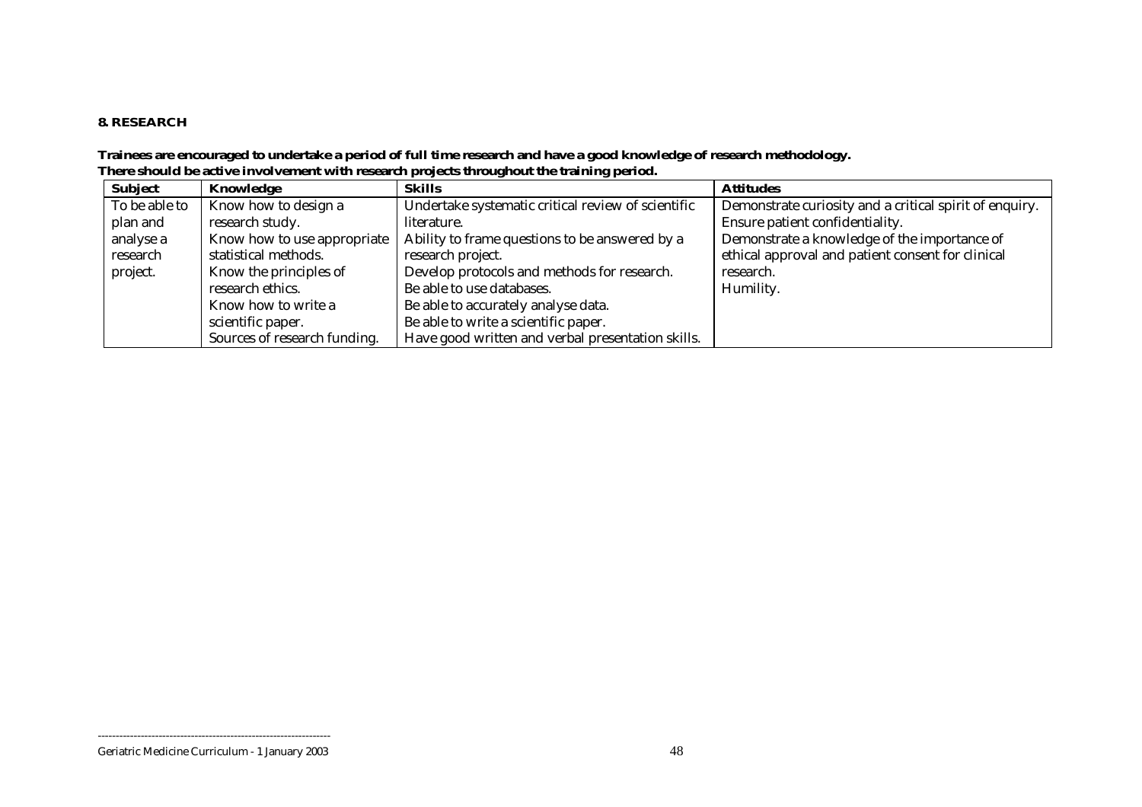#### **8. RESEARCH**

#### **Trainees are encouraged to undertake a period of full time research and have a good knowledge of research methodology. There should be active involvement with research projects throughout the training period.**

| <b>Subject</b> | Knowledge                    | <b>Skills</b>                                      | <b>Attitudes</b>                                        |
|----------------|------------------------------|----------------------------------------------------|---------------------------------------------------------|
| To be able to  | Know how to design a         | Undertake systematic critical review of scientific | Demonstrate curiosity and a critical spirit of enquiry. |
| plan and       | research study.              | literature.                                        | Ensure patient confidentiality.                         |
| analyse a      | Know how to use appropriate  | Ability to frame questions to be answered by a     | Demonstrate a knowledge of the importance of            |
| research       | statistical methods.         | research project.                                  | ethical approval and patient consent for clinical       |
| project.       | Know the principles of       | Develop protocols and methods for research.        | research.                                               |
|                | research ethics.             | Be able to use databases.                          | Humility.                                               |
|                | Know how to write a          | Be able to accurately analyse data.                |                                                         |
|                | scientific paper.            | Be able to write a scientific paper.               |                                                         |
|                | Sources of research funding. | Have good written and verbal presentation skills.  |                                                         |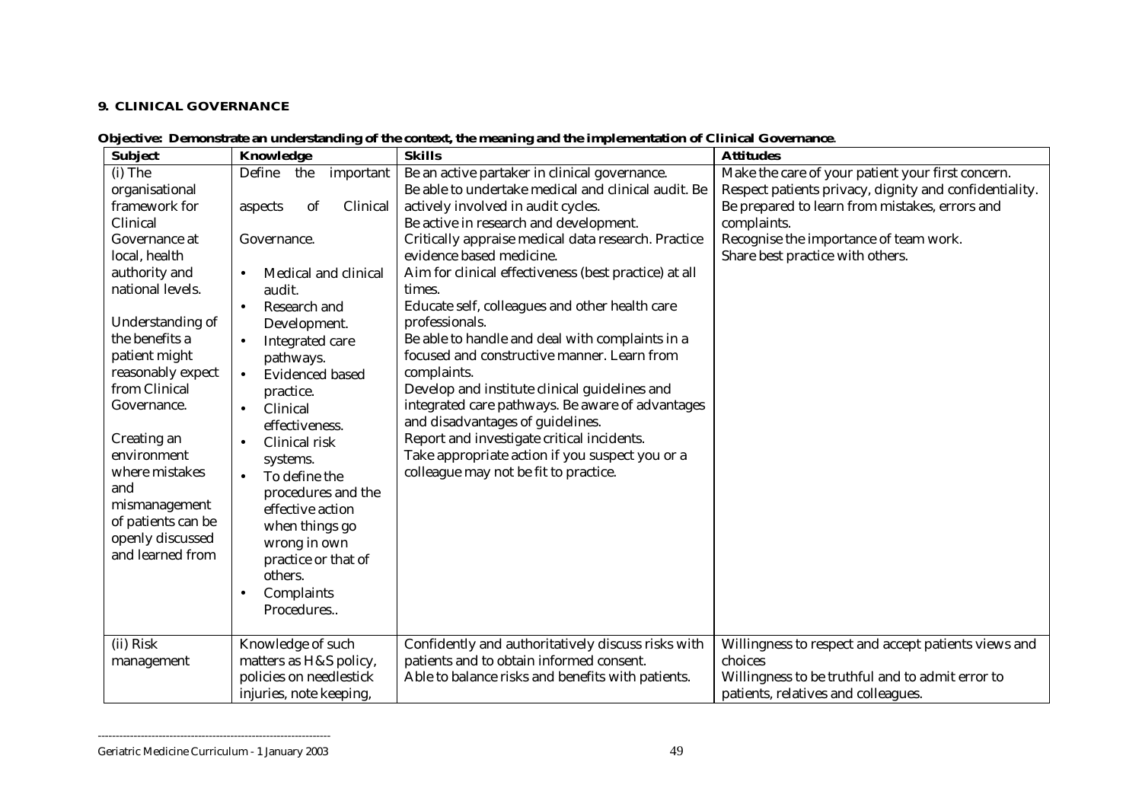#### **9. CLINICAL GOVERNANCE**

| Objective: Demonstrate an understanding of the context, the meaning and the implementation of Clinical Governance. |  |  |
|--------------------------------------------------------------------------------------------------------------------|--|--|
|                                                                                                                    |  |  |

| <b>Subject</b>     | Knowledge                           | <b>Skills</b>                                         | <b>Attitudes</b>                                       |
|--------------------|-------------------------------------|-------------------------------------------------------|--------------------------------------------------------|
| (i) The            | Define<br>the<br>important          | Be an active partaker in clinical governance.         | Make the care of your patient your first concern.      |
| organisational     |                                     | Be able to undertake medical and clinical audit. Be   | Respect patients privacy, dignity and confidentiality. |
| framework for      | Clinical<br>of<br>aspects           | actively involved in audit cycles.                    | Be prepared to learn from mistakes, errors and         |
| Clinical           |                                     | Be active in research and development.                | complaints.                                            |
| Governance at      | Governance.                         | Critically appraise medical data research. Practice   | Recognise the importance of team work.                 |
| local, health      |                                     | evidence based medicine.                              | Share best practice with others.                       |
| authority and      | Medical and clinical<br>$\bullet$   | Aim for clinical effectiveness (best practice) at all |                                                        |
| national levels.   | audit.                              | times.                                                |                                                        |
|                    | Research and<br>$\bullet$           | Educate self, colleagues and other health care        |                                                        |
| Understanding of   | Development.                        | professionals.                                        |                                                        |
| the benefits a     | Integrated care<br>$\bullet$        | Be able to handle and deal with complaints in a       |                                                        |
| patient might      | pathways.                           | focused and constructive manner. Learn from           |                                                        |
| reasonably expect  | <b>Evidenced based</b><br>$\bullet$ | complaints.                                           |                                                        |
| from Clinical      | practice.                           | Develop and institute clinical guidelines and         |                                                        |
| Governance.        | Clinical<br>$\bullet$               | integrated care pathways. Be aware of advantages      |                                                        |
|                    | effectiveness.                      | and disadvantages of guidelines.                      |                                                        |
| Creating an        | Clinical risk                       | Report and investigate critical incidents.            |                                                        |
| environment        | systems.                            | Take appropriate action if you suspect you or a       |                                                        |
| where mistakes     | To define the<br>$\bullet$          | colleague may not be fit to practice.                 |                                                        |
| and                | procedures and the                  |                                                       |                                                        |
| mismanagement      | effective action                    |                                                       |                                                        |
| of patients can be | when things go                      |                                                       |                                                        |
| openly discussed   | wrong in own                        |                                                       |                                                        |
| and learned from   | practice or that of                 |                                                       |                                                        |
|                    | others.                             |                                                       |                                                        |
|                    | Complaints                          |                                                       |                                                        |
|                    | Procedures                          |                                                       |                                                        |
|                    |                                     |                                                       |                                                        |
| (ii) Risk          | Knowledge of such                   | Confidently and authoritatively discuss risks with    | Willingness to respect and accept patients views and   |
| management         | matters as H&S policy,              | patients and to obtain informed consent.              | choices                                                |
|                    | policies on needlestick             | Able to balance risks and benefits with patients.     | Willingness to be truthful and to admit error to       |
|                    | injuries, note keeping,             |                                                       | patients, relatives and colleagues.                    |

Geriatric Medicine Curriculum - 1 January 2003 49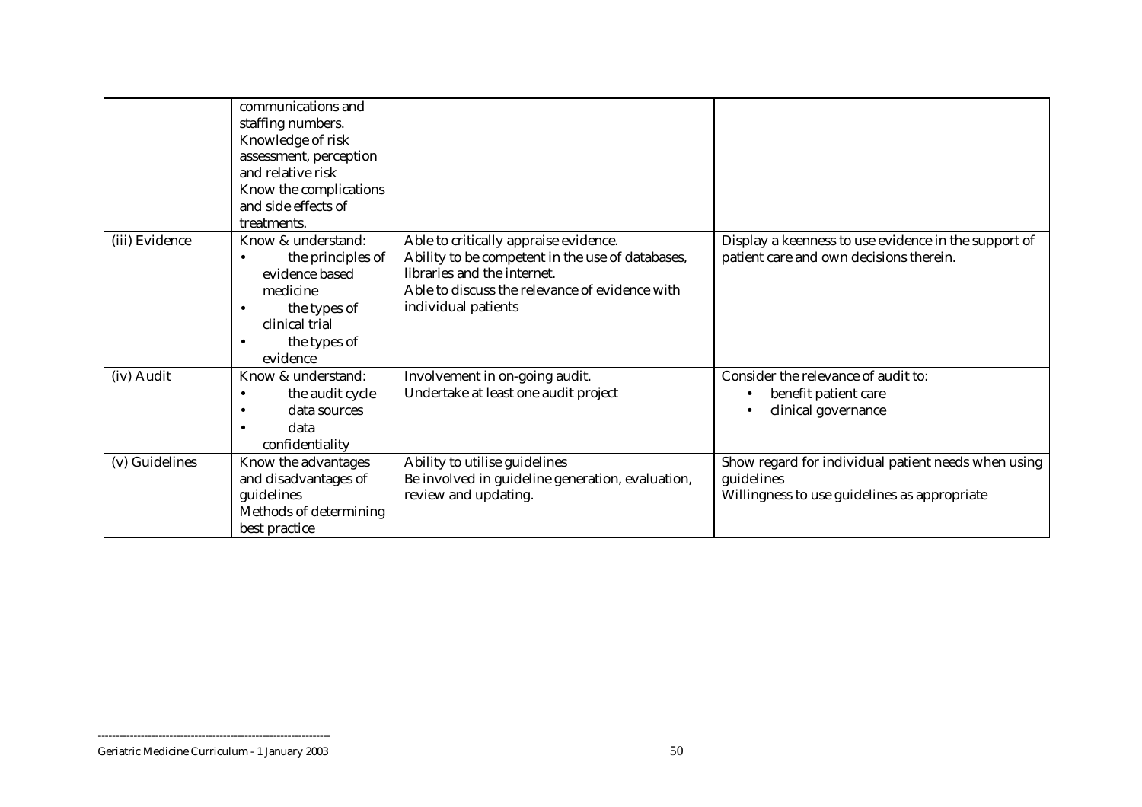|                | communications and<br>staffing numbers. |                                                  |                                                      |
|----------------|-----------------------------------------|--------------------------------------------------|------------------------------------------------------|
|                | Knowledge of risk                       |                                                  |                                                      |
|                | assessment, perception                  |                                                  |                                                      |
|                | and relative risk                       |                                                  |                                                      |
|                | Know the complications                  |                                                  |                                                      |
|                | and side effects of                     |                                                  |                                                      |
|                | treatments.                             |                                                  |                                                      |
| (iii) Evidence | Know & understand:                      | Able to critically appraise evidence.            | Display a keenness to use evidence in the support of |
|                | the principles of                       | Ability to be competent in the use of databases, | patient care and own decisions therein.              |
|                | evidence based                          | libraries and the internet.                      |                                                      |
|                | medicine                                | Able to discuss the relevance of evidence with   |                                                      |
|                | the types of                            | individual patients                              |                                                      |
|                | clinical trial                          |                                                  |                                                      |
|                | the types of                            |                                                  |                                                      |
|                | evidence                                |                                                  |                                                      |
| (iv) Audit     | Know & understand:                      | Involvement in on-going audit.                   | Consider the relevance of audit to:                  |
|                | the audit cycle                         | Undertake at least one audit project             | benefit patient care                                 |
|                | data sources                            |                                                  | clinical governance                                  |
|                | data                                    |                                                  |                                                      |
|                | confidentiality                         |                                                  |                                                      |
| (v) Guidelines | Know the advantages                     | Ability to utilise guidelines                    | Show regard for individual patient needs when using  |
|                | and disadvantages of                    | Be involved in guideline generation, evaluation, | guidelines                                           |
|                | guidelines                              | review and updating.                             | Willingness to use guidelines as appropriate         |
|                | Methods of determining                  |                                                  |                                                      |
|                | best practice                           |                                                  |                                                      |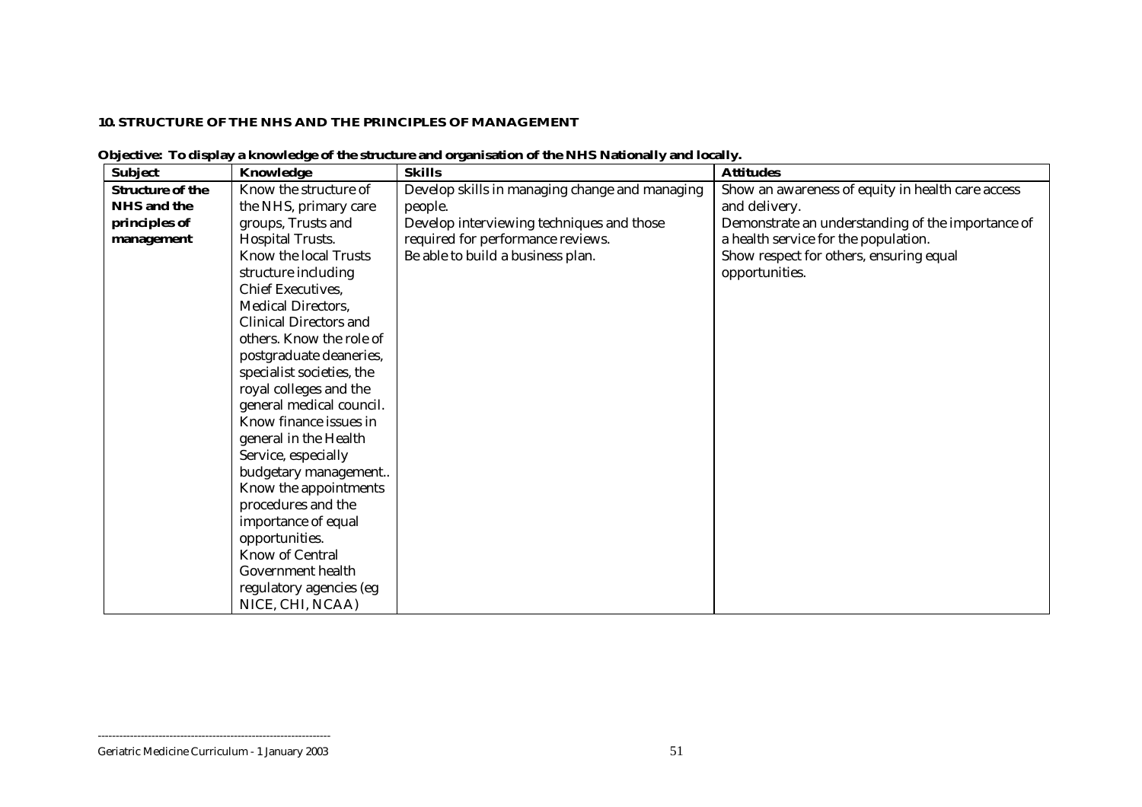#### **10. STRUCTURE OF THE NHS AND THE PRINCIPLES OF MANAGEMENT**

| <b>Subject</b>          | Knowledge                     | <b>Skills</b>                                  | <b>Attitudes</b>                                  |
|-------------------------|-------------------------------|------------------------------------------------|---------------------------------------------------|
| <b>Structure of the</b> | Know the structure of         | Develop skills in managing change and managing | Show an awareness of equity in health care access |
| <b>NHS</b> and the      | the NHS, primary care         | people.                                        | and delivery.                                     |
| principles of           | groups, Trusts and            | Develop interviewing techniques and those      | Demonstrate an understanding of the importance of |
| management              | <b>Hospital Trusts.</b>       | required for performance reviews.              | a health service for the population.              |
|                         | Know the local Trusts         | Be able to build a business plan.              | Show respect for others, ensuring equal           |
|                         | structure including           |                                                | opportunities.                                    |
|                         | Chief Executives,             |                                                |                                                   |
|                         | <b>Medical Directors,</b>     |                                                |                                                   |
|                         | <b>Clinical Directors and</b> |                                                |                                                   |
|                         | others. Know the role of      |                                                |                                                   |
|                         | postgraduate deaneries,       |                                                |                                                   |
|                         | specialist societies, the     |                                                |                                                   |
|                         | royal colleges and the        |                                                |                                                   |
|                         | general medical council.      |                                                |                                                   |
|                         | Know finance issues in        |                                                |                                                   |
|                         | general in the Health         |                                                |                                                   |
|                         | Service, especially           |                                                |                                                   |
|                         | budgetary management          |                                                |                                                   |
|                         | Know the appointments         |                                                |                                                   |
|                         | procedures and the            |                                                |                                                   |
|                         | importance of equal           |                                                |                                                   |
|                         | opportunities.                |                                                |                                                   |
|                         | <b>Know of Central</b>        |                                                |                                                   |
|                         | Government health             |                                                |                                                   |
|                         | regulatory agencies (eg       |                                                |                                                   |
|                         | NICE, CHI, NCAA)              |                                                |                                                   |

**Objective: To display a knowledge of the structure and organisation of the NHS Nationally and locally.**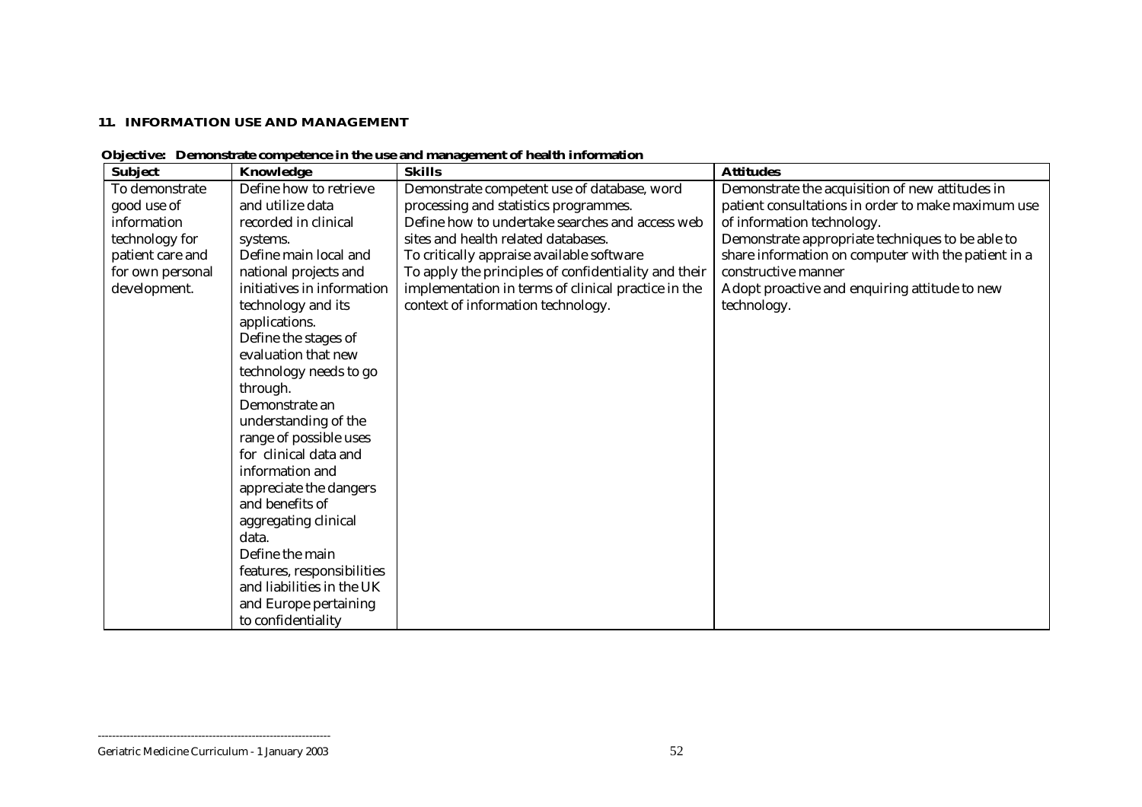#### **11. INFORMATION USE AND MANAGEMENT**

| <b>Subject</b>   | Knowledge                  | <b>Skills</b>                                        | <b>Attitudes</b>                                    |
|------------------|----------------------------|------------------------------------------------------|-----------------------------------------------------|
| To demonstrate   | Define how to retrieve     | Demonstrate competent use of database, word          | Demonstrate the acquisition of new attitudes in     |
| good use of      | and utilize data           | processing and statistics programmes.                | patient consultations in order to make maximum use  |
| information      | recorded in clinical       | Define how to undertake searches and access web      | of information technology.                          |
| technology for   | systems.                   | sites and health related databases.                  | Demonstrate appropriate techniques to be able to    |
| patient care and | Define main local and      | To critically appraise available software            | share information on computer with the patient in a |
| for own personal | national projects and      | To apply the principles of confidentiality and their | constructive manner                                 |
| development.     | initiatives in information | implementation in terms of clinical practice in the  | Adopt proactive and enquiring attitude to new       |
|                  | technology and its         | context of information technology.                   | technology.                                         |
|                  | applications.              |                                                      |                                                     |
|                  | Define the stages of       |                                                      |                                                     |
|                  | evaluation that new        |                                                      |                                                     |
|                  | technology needs to go     |                                                      |                                                     |
|                  | through.                   |                                                      |                                                     |
|                  | Demonstrate an             |                                                      |                                                     |
|                  | understanding of the       |                                                      |                                                     |
|                  | range of possible uses     |                                                      |                                                     |
|                  | for clinical data and      |                                                      |                                                     |
|                  | information and            |                                                      |                                                     |
|                  | appreciate the dangers     |                                                      |                                                     |
|                  | and benefits of            |                                                      |                                                     |
|                  | aggregating clinical       |                                                      |                                                     |
|                  | data.                      |                                                      |                                                     |
|                  | Define the main            |                                                      |                                                     |
|                  | features, responsibilities |                                                      |                                                     |
|                  | and liabilities in the UK  |                                                      |                                                     |
|                  | and Europe pertaining      |                                                      |                                                     |
|                  | to confidentiality         |                                                      |                                                     |

 **Objective: Demonstrate competence in the use and management of health information**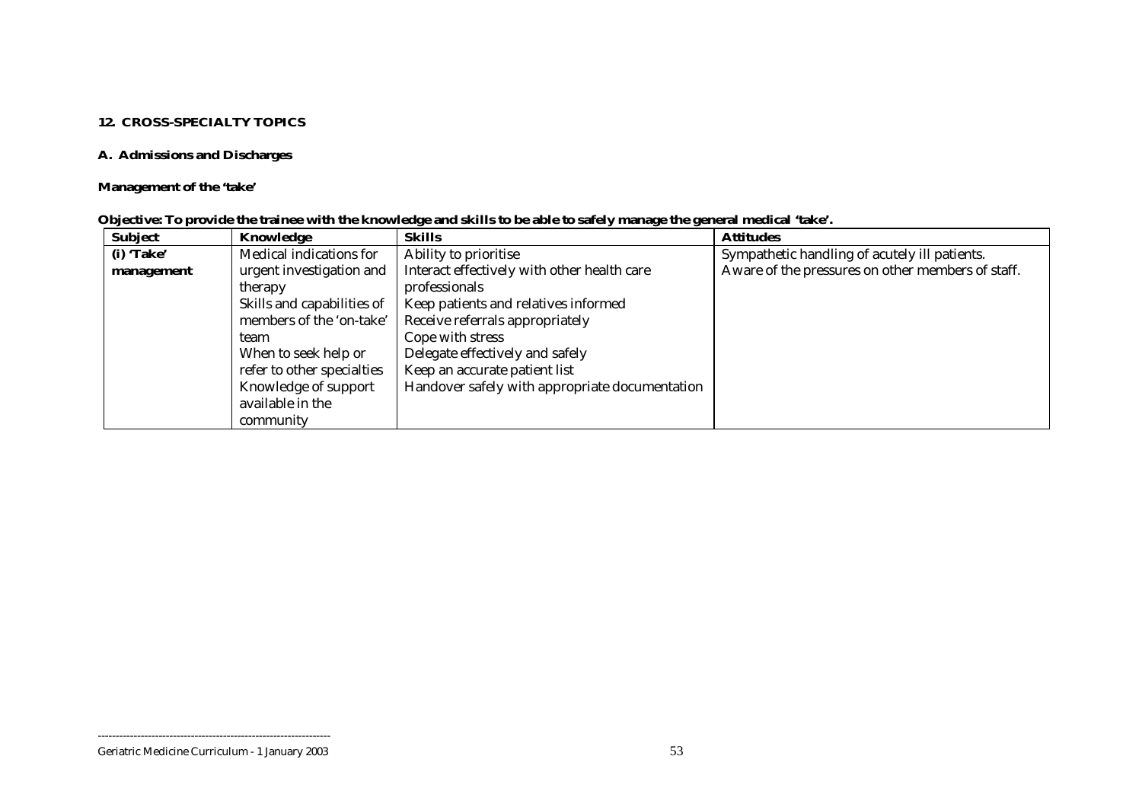#### **12. CROSS-SPECIALTY TOPICS**

## **A. Admissions and Discharges**

## **Management of the 'take'**

| <b>Subject</b> | Knowledge                  | <b>Skills</b>                                  | <b>Attitudes</b>                                  |
|----------------|----------------------------|------------------------------------------------|---------------------------------------------------|
| (i) 'Take'     | Medical indications for    | Ability to prioritise                          | Sympathetic handling of acutely ill patients.     |
| management     | urgent investigation and   | Interact effectively with other health care    | Aware of the pressures on other members of staff. |
|                | therapy                    | professionals                                  |                                                   |
|                | Skills and capabilities of | Keep patients and relatives informed           |                                                   |
|                | members of the 'on-take'   | Receive referrals appropriately                |                                                   |
|                | team                       | Cope with stress                               |                                                   |
|                | When to seek help or       | Delegate effectively and safely                |                                                   |
|                | refer to other specialties | Keep an accurate patient list                  |                                                   |
|                | Knowledge of support       | Handover safely with appropriate documentation |                                                   |
|                | available in the           |                                                |                                                   |
|                | community                  |                                                |                                                   |

|  |  |  |  |  |  | Objective: To provide the trainee with the knowledge and skills to be able to safely manage the general medical 'take'. |  |
|--|--|--|--|--|--|-------------------------------------------------------------------------------------------------------------------------|--|
|  |  |  |  |  |  |                                                                                                                         |  |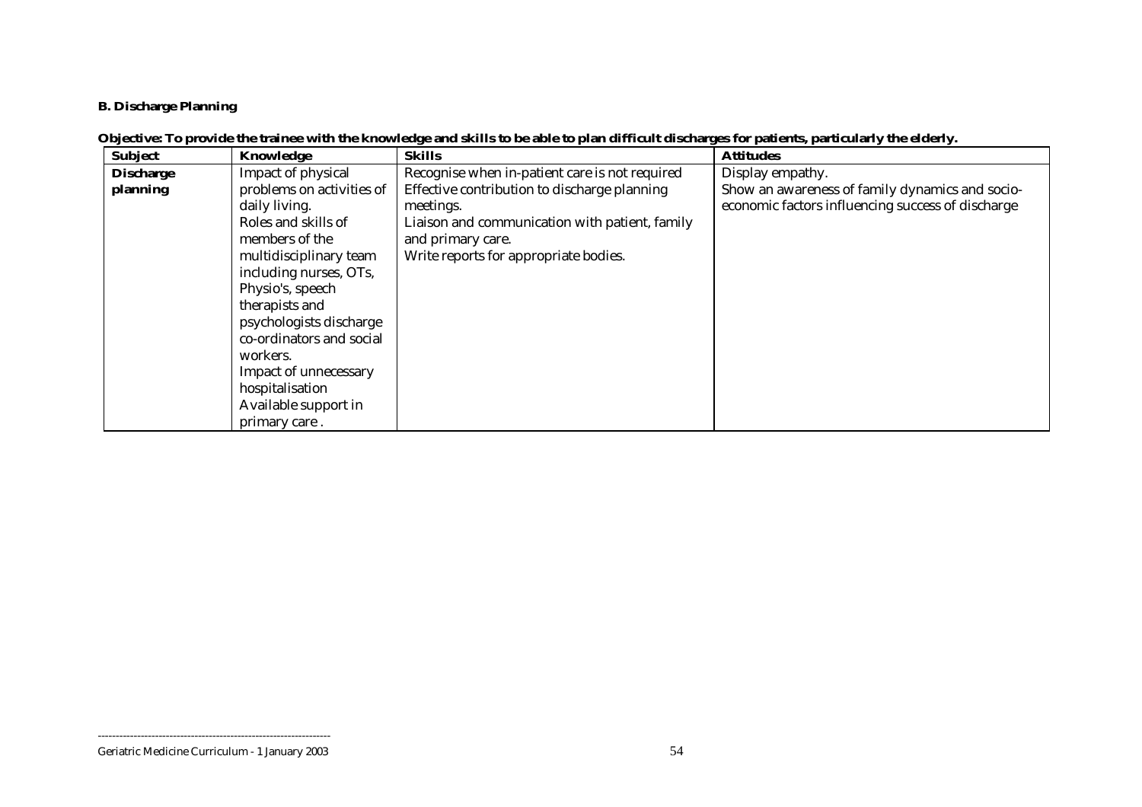## **B. Discharge Planning**

## **Objective: To provide the trainee with the knowledge and skills to be able to plan difficult discharges for patients, particularly the elderly.**

| <b>Subject</b>   | Knowledge                 | <b>Skills</b>                                  | <b>Attitudes</b>                                  |
|------------------|---------------------------|------------------------------------------------|---------------------------------------------------|
| <b>Discharge</b> | Impact of physical        | Recognise when in-patient care is not required | Display empathy.                                  |
| planning         | problems on activities of | Effective contribution to discharge planning   | Show an awareness of family dynamics and socio-   |
|                  | daily living.             | meetings.                                      | economic factors influencing success of discharge |
|                  | Roles and skills of       | Liaison and communication with patient, family |                                                   |
|                  | members of the            | and primary care.                              |                                                   |
|                  | multidisciplinary team    | Write reports for appropriate bodies.          |                                                   |
|                  | including nurses, OTs,    |                                                |                                                   |
|                  | Physio's, speech          |                                                |                                                   |
|                  | therapists and            |                                                |                                                   |
|                  | psychologists discharge   |                                                |                                                   |
|                  | co-ordinators and social  |                                                |                                                   |
|                  | workers.                  |                                                |                                                   |
|                  | Impact of unnecessary     |                                                |                                                   |
|                  | hospitalisation           |                                                |                                                   |
|                  | Available support in      |                                                |                                                   |
|                  | primary care.             |                                                |                                                   |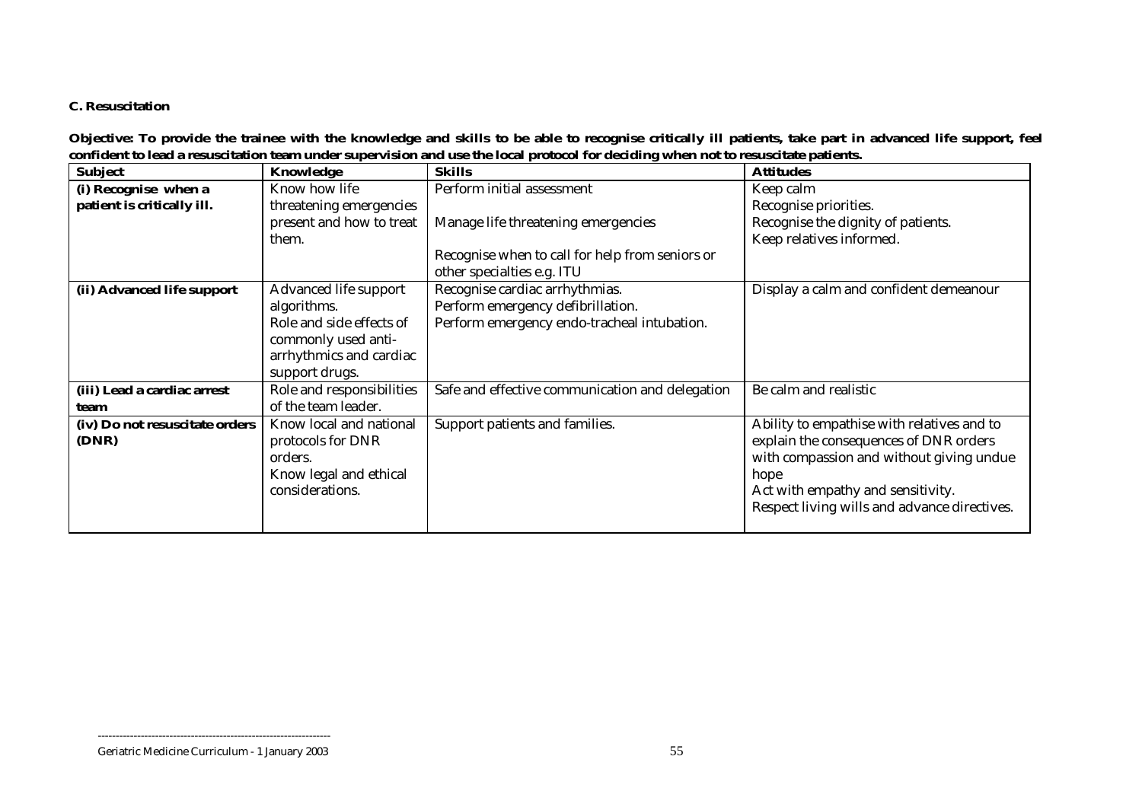#### **C. Resuscitation**

**Objective: To provide the trainee with the knowledge and skills to be able to recognise critically ill patients, take part in advanced life support, feel confident to lead a resuscitation team under supervision and use the local protocol for deciding when not to resuscitate patients.** 

| <b>Subject</b>                 | Knowledge                 | <b>Skills</b>                                   | <b>Attitudes</b>                             |
|--------------------------------|---------------------------|-------------------------------------------------|----------------------------------------------|
| (i) Recognise when a           | Know how life             | Perform initial assessment                      | Keep calm                                    |
| patient is critically ill.     | threatening emergencies   |                                                 | Recognise priorities.                        |
|                                | present and how to treat  | Manage life threatening emergencies             | Recognise the dignity of patients.           |
|                                | them.                     |                                                 | Keep relatives informed.                     |
|                                |                           | Recognise when to call for help from seniors or |                                              |
|                                |                           | other specialties e.g. ITU                      |                                              |
| (ii) Advanced life support     | Advanced life support     | Recognise cardiac arrhythmias.                  | Display a calm and confident demeanour       |
|                                | algorithms.               | Perform emergency defibrillation.               |                                              |
|                                | Role and side effects of  | Perform emergency endo-tracheal intubation.     |                                              |
|                                | commonly used anti-       |                                                 |                                              |
|                                | arrhythmics and cardiac   |                                                 |                                              |
|                                | support drugs.            |                                                 |                                              |
| (iii) Lead a cardiac arrest    | Role and responsibilities | Safe and effective communication and delegation | Be calm and realistic                        |
| team                           | of the team leader.       |                                                 |                                              |
| (iv) Do not resuscitate orders | Know local and national   | Support patients and families.                  | Ability to empathise with relatives and to   |
| (DNR)                          | protocols for DNR         |                                                 | explain the consequences of DNR orders       |
|                                | orders.                   |                                                 | with compassion and without giving undue     |
|                                | Know legal and ethical    |                                                 | hope                                         |
|                                | considerations.           |                                                 | Act with empathy and sensitivity.            |
|                                |                           |                                                 | Respect living wills and advance directives. |
|                                |                           |                                                 |                                              |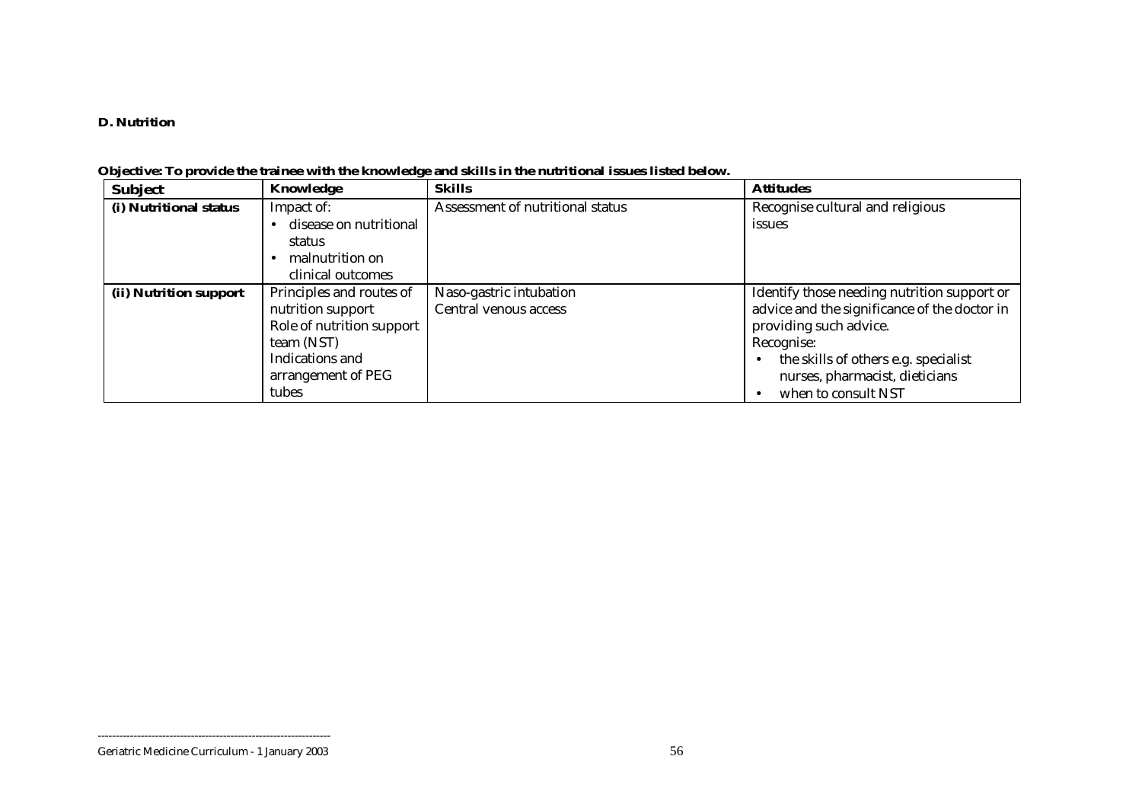#### **D. Nutrition**

| <b>Subject</b>         | Knowledge                 | <b>Skills</b>                    | <b>Attitudes</b>                             |
|------------------------|---------------------------|----------------------------------|----------------------------------------------|
| (i) Nutritional status | Impact of:                | Assessment of nutritional status | Recognise cultural and religious             |
|                        | disease on nutritional    |                                  | issues                                       |
|                        | status                    |                                  |                                              |
|                        | malnutrition on           |                                  |                                              |
|                        | clinical outcomes         |                                  |                                              |
| (ii) Nutrition support | Principles and routes of  | Naso-gastric intubation          | Identify those needing nutrition support or  |
|                        | nutrition support         | Central venous access            | advice and the significance of the doctor in |
|                        | Role of nutrition support |                                  | providing such advice.                       |
|                        | team (NST)                |                                  | Recognise:                                   |
|                        | Indications and           |                                  | the skills of others e.g. specialist         |
|                        | arrangement of PEG        |                                  | nurses, pharmacist, dieticians               |
|                        | tubes                     |                                  | when to consult NST                          |

## **Objective: To provide the trainee with the knowledge and skills in the nutritional issues listed below.**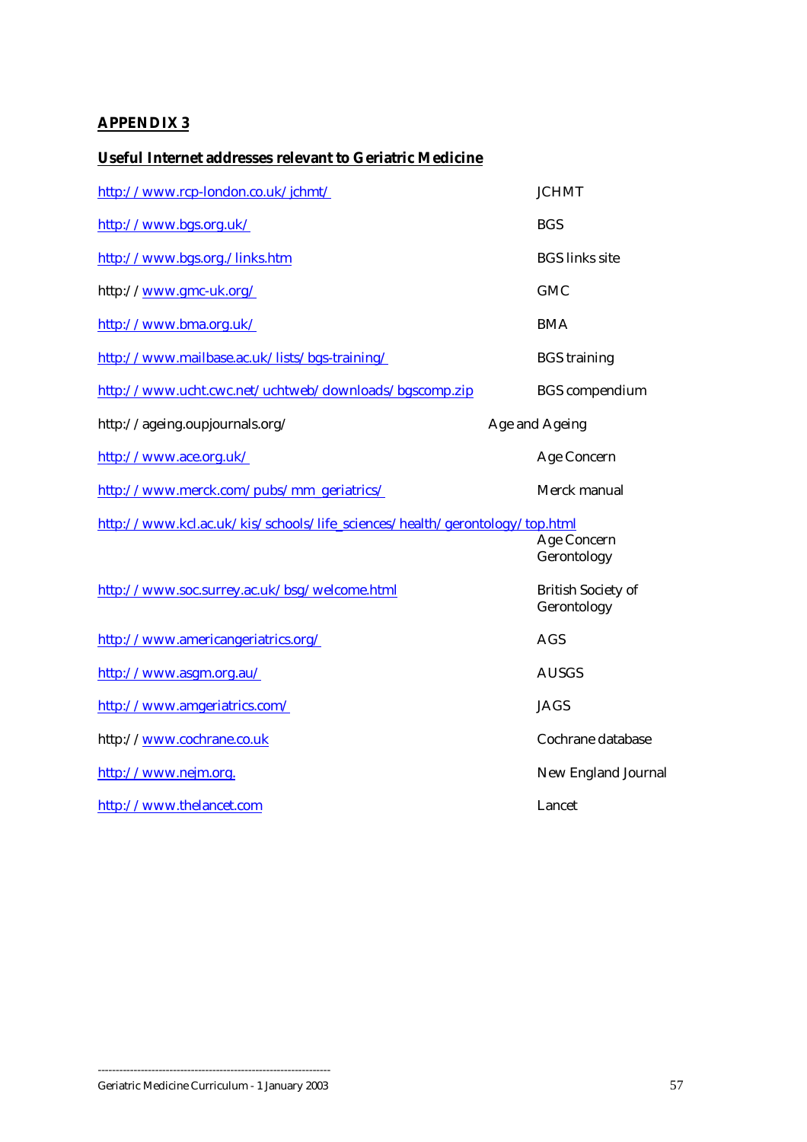## <span id="page-56-0"></span>**APPENDIX 3**

## **Useful Internet addresses relevant to Geriatric Medicine**

| http://www.rcp-london.co.uk/jchmt/                                         | <b>JCHMT</b>                             |
|----------------------------------------------------------------------------|------------------------------------------|
| http://www.bgs.org.uk/                                                     | <b>BGS</b>                               |
| http://www.bgs.org./links.htm                                              | <b>BGS</b> links site                    |
| http://www.gmc-uk.org/                                                     | <b>GMC</b>                               |
| http://www.bma.org.uk/                                                     | <b>BMA</b>                               |
| http://www.mailbase.ac.uk/lists/bgs-training/                              | <b>BGS</b> training                      |
| http://www.ucht.cwc.net/uchtweb/downloads/bgscomp.zip                      | <b>BGS</b> compendium                    |
| http://ageing.oupjournals.org/                                             | Age and Ageing                           |
| http://www.ace.org.uk/                                                     | Age Concern                              |
| http://www.merck.com/pubs/mm_geriatrics/                                   | Merck manual                             |
| http://www.kcl.ac.uk/kis/schools/life_sciences/health/gerontology/top.html | Age Concern<br>Gerontology               |
| http://www.soc.surrey.ac.uk/bsg/welcome.html                               | <b>British Society of</b><br>Gerontology |
| http://www.americangeriatrics.org/                                         | <b>AGS</b>                               |
| http://www.asgm.org.au/                                                    | <b>AUSGS</b>                             |
| http://www.amgeriatrics.com/                                               | <b>JAGS</b>                              |
| http://www.cochrane.co.uk                                                  | Cochrane database                        |
| http://www.nejm.org.                                                       | New England Journal                      |
| http://www.thelancet.com                                                   | Lancet                                   |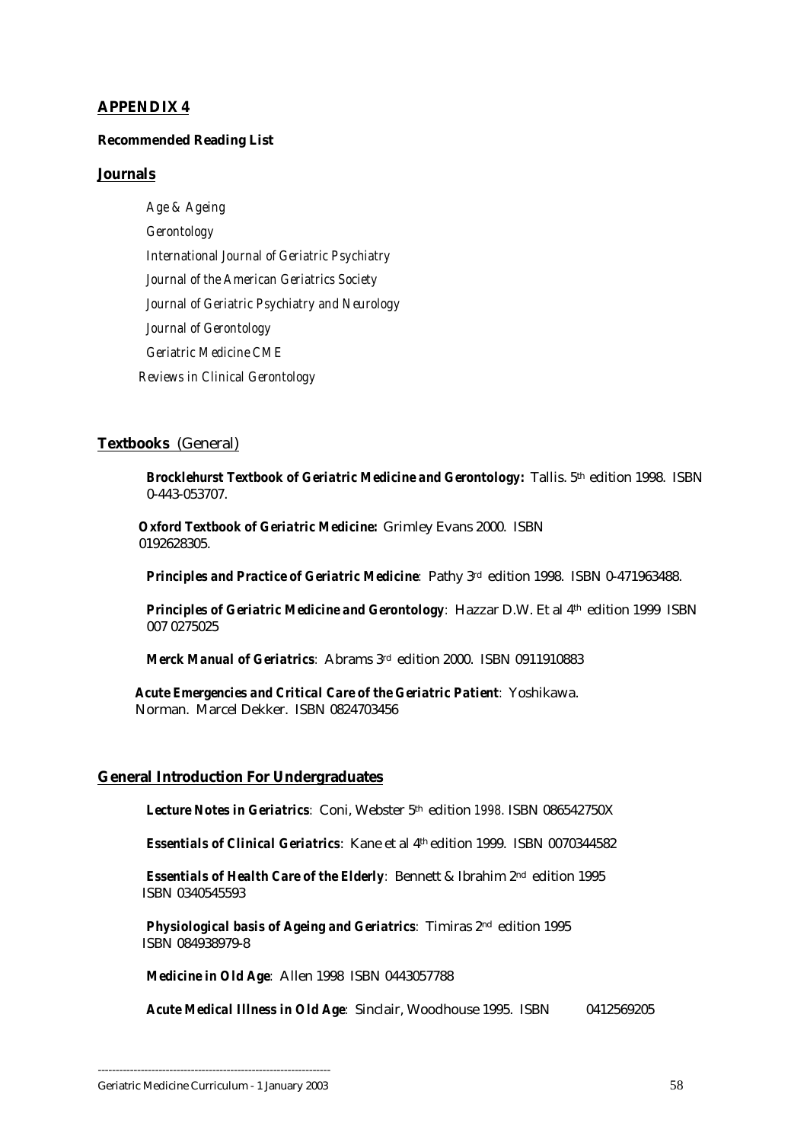#### <span id="page-57-0"></span>**APPENDIX 4**

#### **Recommended Reading List**

#### **Journals**

*Age & Ageing Gerontology International Journal of Geriatric Psychiatry Journal of the American Geriatrics Society Journal of Geriatric Psychiatry and Neurology Journal of Gerontology Geriatric Medicine CME Reviews in Clinical Gerontology*

#### **Textbooks** (General)

**Brocklehurst Textbook of Geriatric Medicine and Gerontology:** Tallis. 5th edition 1998. ISBN 0-443-053707.

 *Oxford Textbook of Geriatric Medicine:* Grimley Evans 2000. ISBN 0192628305.

**Principles and Practice of Geriatric Medicine**: Pathy 3rd edition 1998. ISBN 0-471963488.

**Principles of Geriatric Medicine and Gerontology**: Hazzar D.W. Et al 4<sup>th</sup> edition 1999 ISBN 007 0275025

*Merck Manual of Geriatrics:* Abrams 3rd edition 2000. ISBN 0911910883

 *Acute Emergencies and Critical Care of the Geriatric Patient:* Yoshikawa. Norman. Marcel Dekker. ISBN 0824703456

#### **General Introduction For Undergraduates**

*Lecture Notes in Geriatrics:* Coni, Webster 5th edition *1998.* ISBN 086542750X

*Essentials of Clinical Geriatrics*: Kane et al 4th edition 1999. ISBN 0070344582

*Essentials of Health Care of the Elderly:* Bennett & Ibrahim 2nd edition 1995 ISBN 0340545593

*Physiological basis of Ageing and Geriatrics:* Timiras 2nd edition 1995 ISBN 084938979-8

*Medicine in Old Age:* Allen 1998 ISBN 0443057788

*Acute Medical Illness in Old Age:* Sinclair, Woodhouse 1995. ISBN 0412569205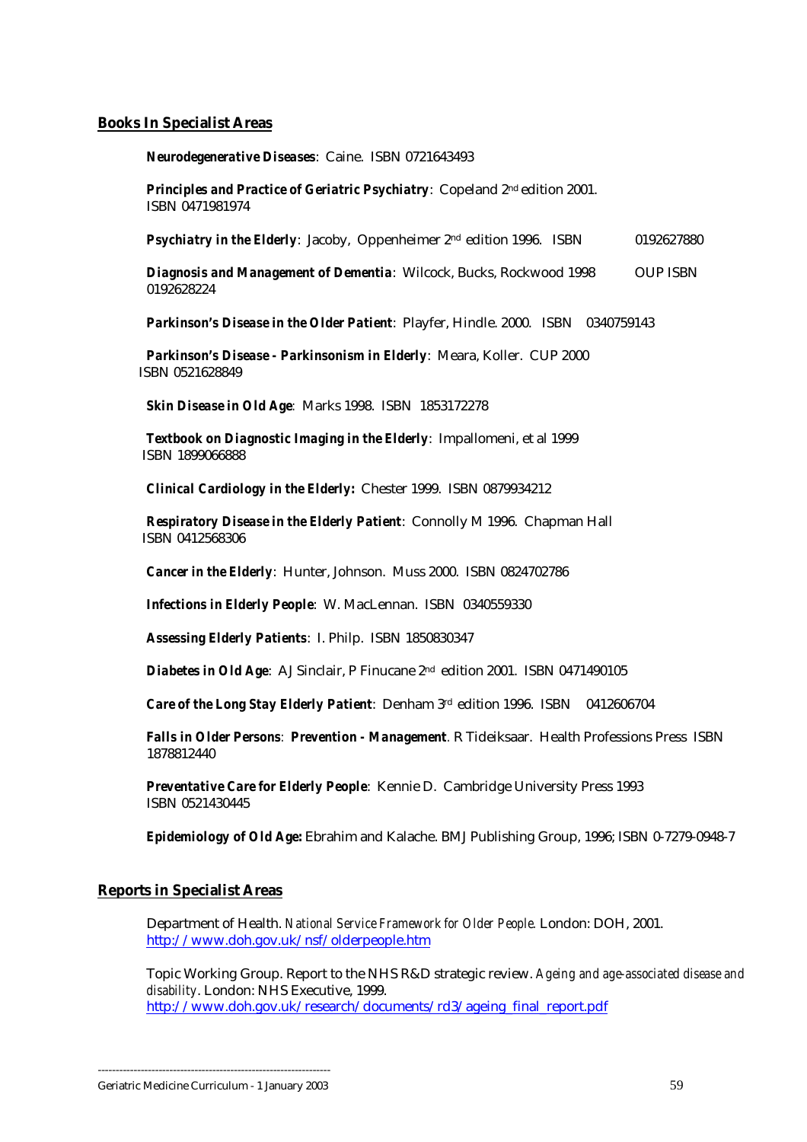#### <span id="page-58-0"></span>**Books In Specialist Areas**

*Neurodegenerative Diseases*: Caine. ISBN 0721643493

*Principles and Practice of Geriatric Psychiatry*: Copeland 2nd edition 2001. ISBN 0471981974

**Psychiatry in the Elderly**: Jacoby, Oppenheimer 2<sup>nd</sup> edition 1996. ISBN 0192627880

**Diagnosis and Management of Dementia**: Wilcock, Bucks, Rockwood 1998 OUP ISBN 0192628224

**Parkinson's Disease in the Older Patient**: Playfer, Hindle. 2000. ISBN 0340759143

*Parkinson's Disease - Parkinsonism in Elderly*: Meara, Koller. CUP 2000 ISBN 0521628849

*Skin Disease in Old Age:* Marks 1998. ISBN 1853172278

*Textbook on Diagnostic Imaging in the Elderly*: Impallomeni, et al 1999 ISBN 1899066888

*Clinical Cardiology in the Elderly***:** Chester 1999. ISBN 0879934212

*Respiratory Disease in the Elderly Patient*: Connolly M 1996. Chapman Hall ISBN 0412568306

*Cancer in the Elderly*: Hunter, Johnson. Muss 2000. ISBN 0824702786

*Infections in Elderly People*: W. MacLennan. ISBN 0340559330

*Assessing Elderly Patients*: I. Philp. ISBN 1850830347

*Diabetes in Old Age*: AJ Sinclair, P Finucane 2nd edition 2001. ISBN 0471490105

*Care of the Long Stay Elderly Patient*: Denham 3rd edition 1996. ISBN 0412606704

*Falls in Older Persons: Prevention - Management.* R Tideiksaar. Health Professions Press ISBN 1878812440

*Preventative Care for Elderly People*: Kennie D. Cambridge University Press 1993 ISBN 0521430445

*Epidemiology of Old Age***:** Ebrahim and Kalache. BMJ Publishing Group, 1996; ISBN 0-7279-0948-7

#### **Reports in Specialist Areas**

Department of Health. *National Service Framework for Older People.* London: DOH, 2001. <http://www.doh.gov.uk/nsf/olderpeople.htm>

Topic Working Group. Report to the NHS R&D strategic review. *Ageing and age-associated disease and disability*. London: NHS Executive, 1999. [http://www.doh.gov.uk/research/documents/rd3/ageing\\_final\\_report.pdf](http://www.doh.gov.uk/research/documents/rd3/ageing_final_report.pdf)

<sup>-----------------------------------------------------------------</sup>  Geriatric Medicine Curriculum - 1 January 2003 59